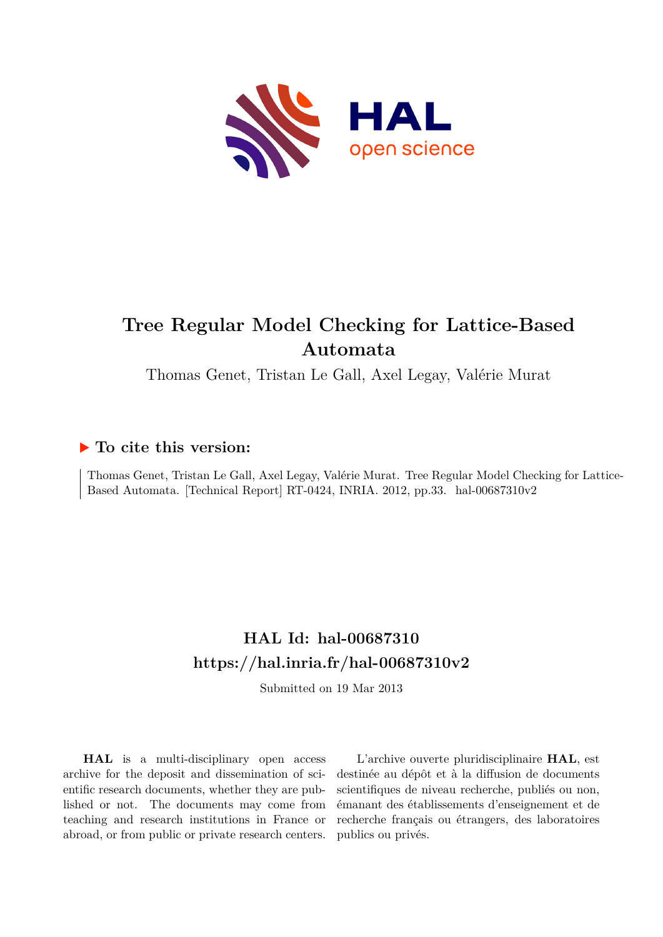

# **Tree Regular Model Checking for Lattice-Based Automata**

Thomas Genet, Tristan Le Gall, Axel Legay, Valérie Murat

### **To cite this version:**

Thomas Genet, Tristan Le Gall, Axel Legay, Valérie Murat. Tree Regular Model Checking for Lattice-Based Automata. [Technical Report] RT-0424, INRIA. 2012, pp.33. hal-00687310v2

## **HAL Id: hal-00687310 <https://hal.inria.fr/hal-00687310v2>**

Submitted on 19 Mar 2013

**HAL** is a multi-disciplinary open access archive for the deposit and dissemination of scientific research documents, whether they are published or not. The documents may come from teaching and research institutions in France or abroad, or from public or private research centers.

L'archive ouverte pluridisciplinaire **HAL**, est destinée au dépôt et à la diffusion de documents scientifiques de niveau recherche, publiés ou non, émanant des établissements d'enseignement et de recherche français ou étrangers, des laboratoires publics ou privés.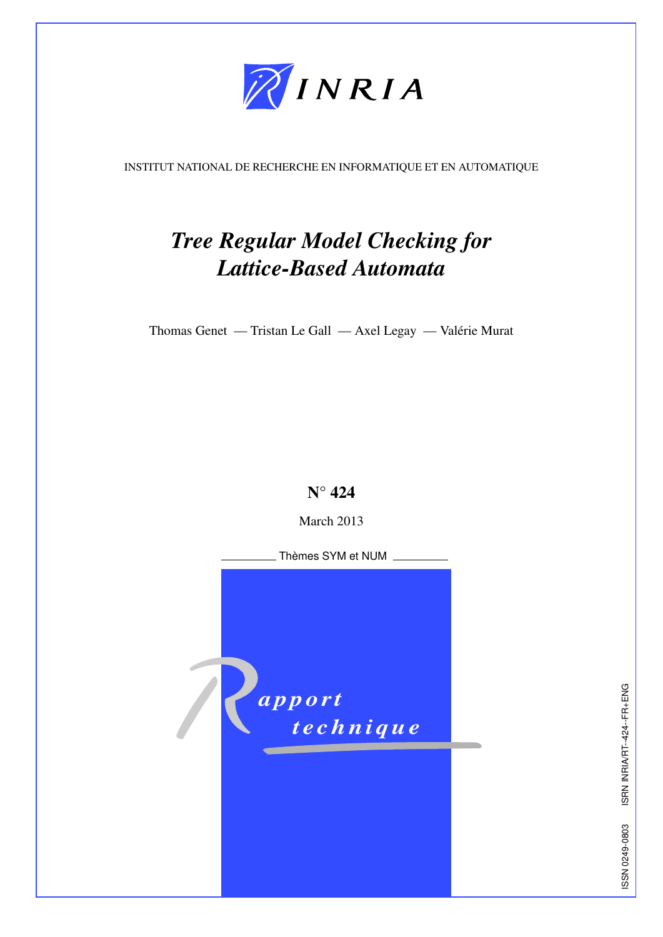

<span id="page-1-0"></span>INSTITUT NATIONAL DE RECHERCHE EN INFORMATIQUE ET EN AUTOMATIQUE

# *Tree Regular Model Checking for Lattice-Based Automata*

Thomas Genet — Tristan Le Gall — Axel Legay — Valérie Murat



March 2013

*apport technique*  Thèmes SYM et NUM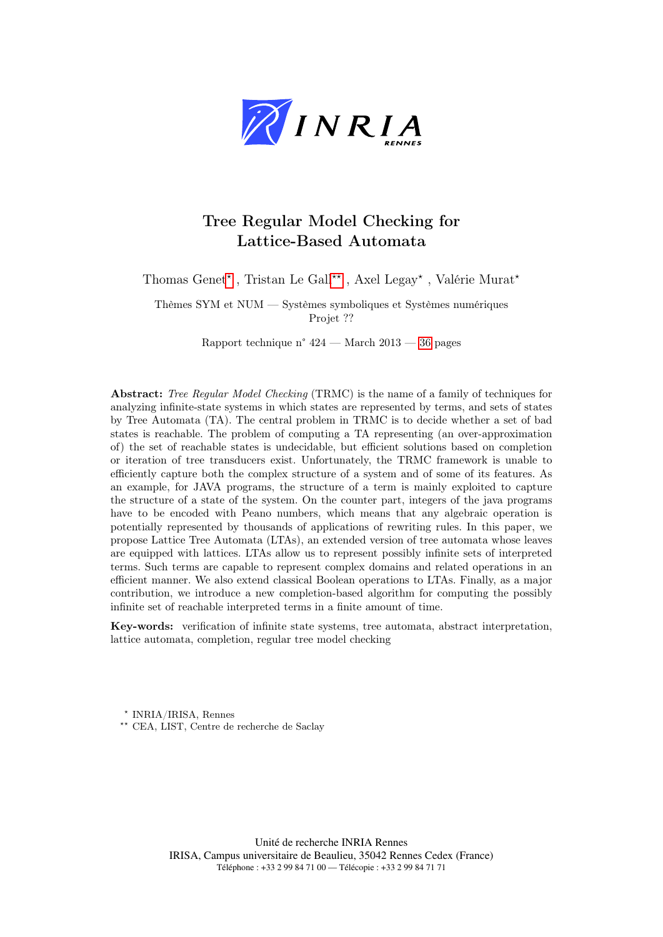

### Tree Regular Model Checking for Lattice-Based Automata

Thomas Genet<sup>\*</sup>, Tristan Le Gall<sup>\*\*</sup>, Axel Legay<sup>\*</sup>, Valérie Murat<sup>\*</sup>

Thèmes SYM et NUM — Systèmes symboliques et Systèmes numériques Projet ??

Rapport technique n° 424 — March 2013 — [36](#page-36-0) pages

Abstract: Tree Regular Model Checking (TRMC) is the name of a family of techniques for analyzing infinite-state systems in which states are represented by terms, and sets of states by Tree Automata (TA). The central problem in TRMC is to decide whether a set of bad states is reachable. The problem of computing a TA representing (an over-approximation of) the set of reachable states is undecidable, but efficient solutions based on completion or iteration of tree transducers exist. Unfortunately, the TRMC framework is unable to efficiently capture both the complex structure of a system and of some of its features. As an example, for JAVA programs, the structure of a term is mainly exploited to capture the structure of a state of the system. On the counter part, integers of the java programs have to be encoded with Peano numbers, which means that any algebraic operation is potentially represented by thousands of applications of rewriting rules. In this paper, we propose Lattice Tree Automata (LTAs), an extended version of tree automata whose leaves are equipped with lattices. LTAs allow us to represent possibly infinite sets of interpreted terms. Such terms are capable to represent complex domains and related operations in an efficient manner. We also extend classical Boolean operations to LTAs. Finally, as a major contribution, we introduce a new completion-based algorithm for computing the possibly infinite set of reachable interpreted terms in a finite amount of time.

Key-words: verification of infinite state systems, tree automata, abstract interpretation, lattice automata, completion, regular tree model checking

⋆ INRIA/IRISA, Rennes

⋆⋆ CEA, LIST, Centre de recherche de Saclay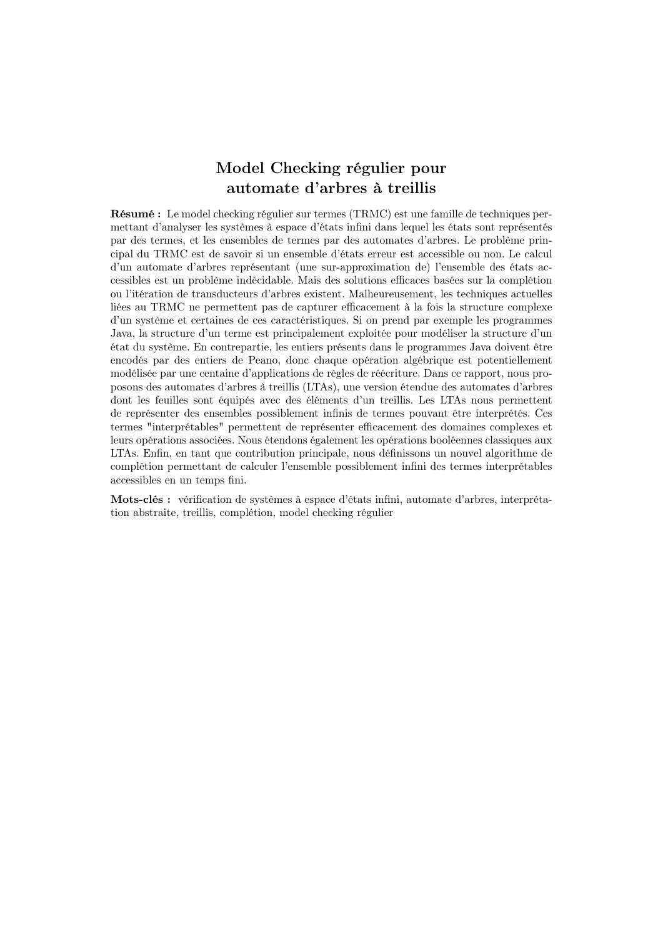### Model Checking régulier pour automate d'arbres à treillis

Résumé : Le model checking régulier sur termes (TRMC) est une famille de techniques permettant d'analyser les systèmes à espace d'états infini dans lequel les états sont représentés par des termes, et les ensembles de termes par des automates d'arbres. Le problème principal du TRMC est de savoir si un ensemble d'états erreur est accessible ou non. Le calcul d'un automate d'arbres représentant (une sur-approximation de) l'ensemble des états accessibles est un problème indécidable. Mais des solutions efficaces basées sur la complétion ou l'itération de transducteurs d'arbres existent. Malheureusement, les techniques actuelles liées au TRMC ne permettent pas de capturer efficacement à la fois la structure complexe d'un système et certaines de ces caractéristiques. Si on prend par exemple les programmes Java, la structure d'un terme est principalement exploitée pour modéliser la structure d'un état du système. En contrepartie, les entiers présents dans le programmes Java doivent être encodés par des entiers de Peano, donc chaque opération algébrique est potentiellement modélisée par une centaine d'applications de règles de réécriture. Dans ce rapport, nous proposons des automates d'arbres à treillis (LTAs), une version étendue des automates d'arbres dont les feuilles sont équipés avec des éléments d'un treillis. Les LTAs nous permettent de représenter des ensembles possiblement infinis de termes pouvant être interprétés. Ces termes "interprétables" permettent de représenter efficacement des domaines complexes et leurs opérations associées. Nous étendons également les opérations booléennes classiques aux LTAs. Enfin, en tant que contribution principale, nous définissons un nouvel algorithme de complétion permettant de calculer l'ensemble possiblement infini des termes interprétables accessibles en un temps fini.

Mots-clés : vérification de systèmes à espace d'états infini, automate d'arbres, interprétation abstraite, treillis, complétion, model checking régulier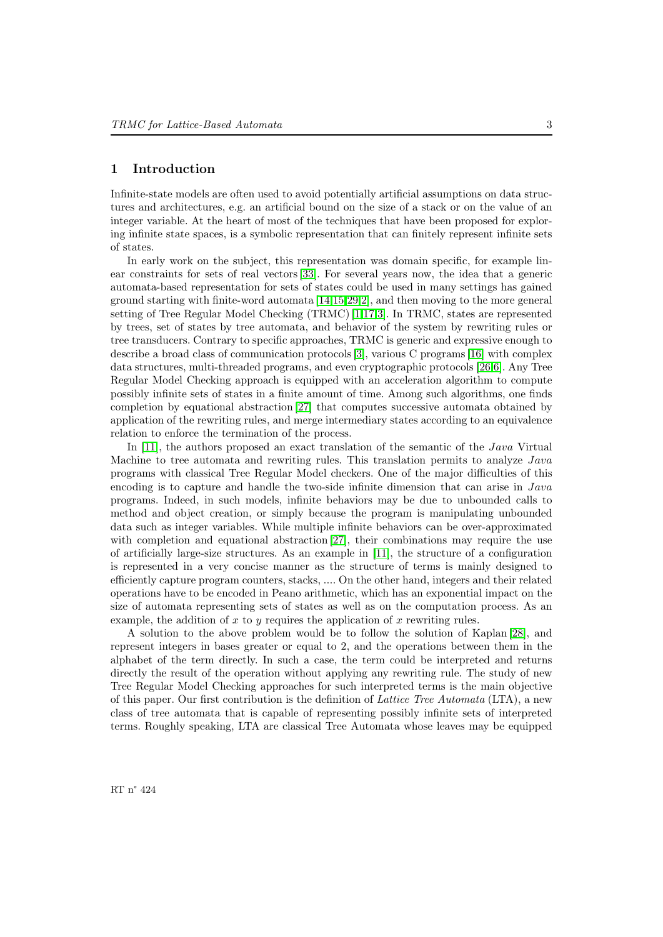### 1 Introduction

Infinite-state models are often used to avoid potentially artificial assumptions on data structures and architectures, e.g. an artificial bound on the size of a stack or on the value of an integer variable. At the heart of most of the techniques that have been proposed for exploring infinite state spaces, is a symbolic representation that can finitely represent infinite sets of states.

In early work on the subject, this representation was domain specific, for example linear constraints for sets of real vectors [\[33\]](#page-38-0). For several years now, the idea that a generic automata-based representation for sets of states could be used in many settings has gained ground starting with finite-word automata [\[14](#page-37-0)[,15,](#page-37-1)[29,](#page-38-1)[2\]](#page-36-1), and then moving to the more general setting of Tree Regular Model Checking (TRMC) [\[1,](#page-36-2)[17](#page-37-2)[,3\]](#page-37-3). In TRMC, states are represented by trees, set of states by tree automata, and behavior of the system by rewriting rules or tree transducers. Contrary to specific approaches, TRMC is generic and expressive enough to describe a broad class of communication protocols [\[3\]](#page-37-3), various C programs [\[16\]](#page-37-4) with complex data structures, multi-threaded programs, and even cryptographic protocols [\[26,](#page-38-2)[6\]](#page-37-5). Any Tree Regular Model Checking approach is equipped with an acceleration algorithm to compute possibly infinite sets of states in a finite amount of time. Among such algorithms, one finds completion by equational abstraction [\[27\]](#page-38-3) that computes successive automata obtained by application of the rewriting rules, and merge intermediary states according to an equivalence relation to enforce the termination of the process.

In [\[11\]](#page-37-6), the authors proposed an exact translation of the semantic of the *Java* Virtual Machine to tree automata and rewriting rules. This translation permits to analyze Java programs with classical Tree Regular Model checkers. One of the major difficulties of this encoding is to capture and handle the two-side infinite dimension that can arise in  $Java$ programs. Indeed, in such models, infinite behaviors may be due to unbounded calls to method and object creation, or simply because the program is manipulating unbounded data such as integer variables. While multiple infinite behaviors can be over-approximated with completion and equational abstraction [\[27\]](#page-38-3), their combinations may require the use of artificially large-size structures. As an example in [\[11\]](#page-37-6), the structure of a configuration is represented in a very concise manner as the structure of terms is mainly designed to efficiently capture program counters, stacks, .... On the other hand, integers and their related operations have to be encoded in Peano arithmetic, which has an exponential impact on the size of automata representing sets of states as well as on the computation process. As an example, the addition of x to y requires the application of x rewriting rules.

A solution to the above problem would be to follow the solution of Kaplan [\[28\]](#page-38-4), and represent integers in bases greater or equal to 2, and the operations between them in the alphabet of the term directly. In such a case, the term could be interpreted and returns directly the result of the operation without applying any rewriting rule. The study of new Tree Regular Model Checking approaches for such interpreted terms is the main objective of this paper. Our first contribution is the definition of Lattice Tree Automata (LTA), a new class of tree automata that is capable of representing possibly infinite sets of interpreted terms. Roughly speaking, LTA are classical Tree Automata whose leaves may be equipped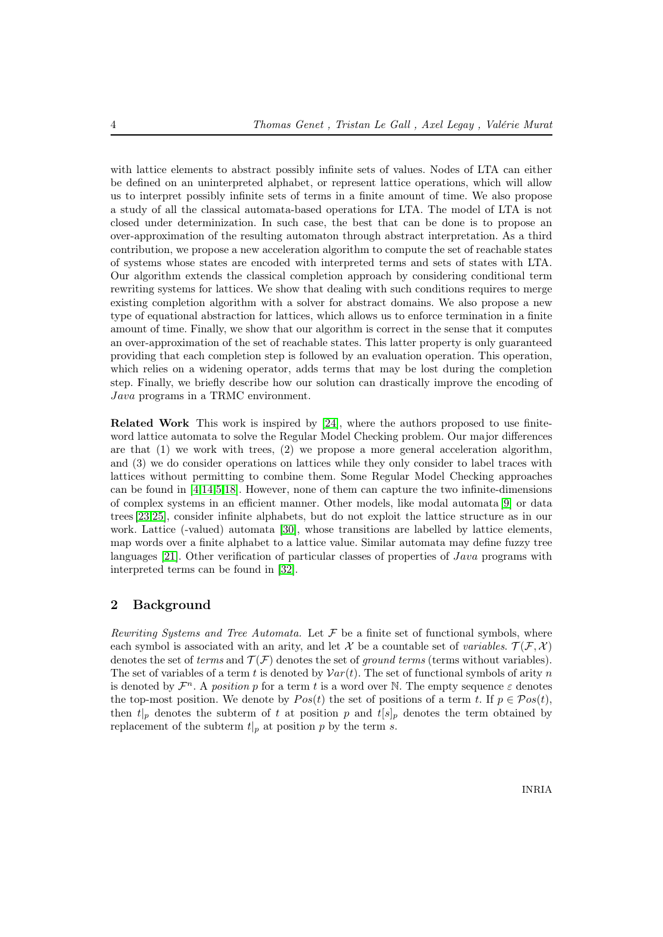with lattice elements to abstract possibly infinite sets of values. Nodes of LTA can either be defined on an uninterpreted alphabet, or represent lattice operations, which will allow us to interpret possibly infinite sets of terms in a finite amount of time. We also propose a study of all the classical automata-based operations for LTA. The model of LTA is not closed under determinization. In such case, the best that can be done is to propose an over-approximation of the resulting automaton through abstract interpretation. As a third contribution, we propose a new acceleration algorithm to compute the set of reachable states of systems whose states are encoded with interpreted terms and sets of states with LTA. Our algorithm extends the classical completion approach by considering conditional term rewriting systems for lattices. We show that dealing with such conditions requires to merge existing completion algorithm with a solver for abstract domains. We also propose a new type of equational abstraction for lattices, which allows us to enforce termination in a finite amount of time. Finally, we show that our algorithm is correct in the sense that it computes an over-approximation of the set of reachable states. This latter property is only guaranteed providing that each completion step is followed by an evaluation operation. This operation, which relies on a widening operator, adds terms that may be lost during the completion step. Finally, we briefly describe how our solution can drastically improve the encoding of Java programs in a TRMC environment.

Related Work This work is inspired by [\[24\]](#page-37-7), where the authors proposed to use finiteword lattice automata to solve the Regular Model Checking problem. Our major differences are that  $(1)$  we work with trees,  $(2)$  we propose a more general acceleration algorithm. and (3) we do consider operations on lattices while they only consider to label traces with lattices without permitting to combine them. Some Regular Model Checking approaches can be found in [\[4](#page-37-8)[,14](#page-37-0)[,5,](#page-37-9)[18\]](#page-37-10). However, none of them can capture the two infinite-dimensions of complex systems in an efficient manner. Other models, like modal automata [\[9\]](#page-37-11) or data trees [\[23](#page-37-12)[,25\]](#page-37-13), consider infinite alphabets, but do not exploit the lattice structure as in our work. Lattice (-valued) automata [\[30\]](#page-38-5), whose transitions are labelled by lattice elements, map words over a finite alphabet to a lattice value. Similar automata may define fuzzy tree languages [\[21\]](#page-37-14). Other verification of particular classes of properties of *Java* programs with interpreted terms can be found in [\[32\]](#page-38-6).

### <span id="page-6-0"></span>2 Background

Rewriting Systems and Tree Automata. Let  $\mathcal F$  be a finite set of functional symbols, where each symbol is associated with an arity, and let X be a countable set of variables.  $\mathcal{T}(\mathcal{F}, \mathcal{X})$ denotes the set of terms and  $\mathcal{T}(\mathcal{F})$  denotes the set of ground terms (terms without variables). The set of variables of a term t is denoted by  $Var(t)$ . The set of functional symbols of arity n is denoted by  $\mathcal{F}^n$ . A position p for a term t is a word over N. The empty sequence  $\varepsilon$  denotes the top-most position. We denote by  $Pos(t)$  the set of positions of a term t. If  $p \in Pos(t)$ , then  $t|_p$  denotes the subterm of t at position p and  $t[s]_p$  denotes the term obtained by replacement of the subterm  $t|_p$  at position p by the term s.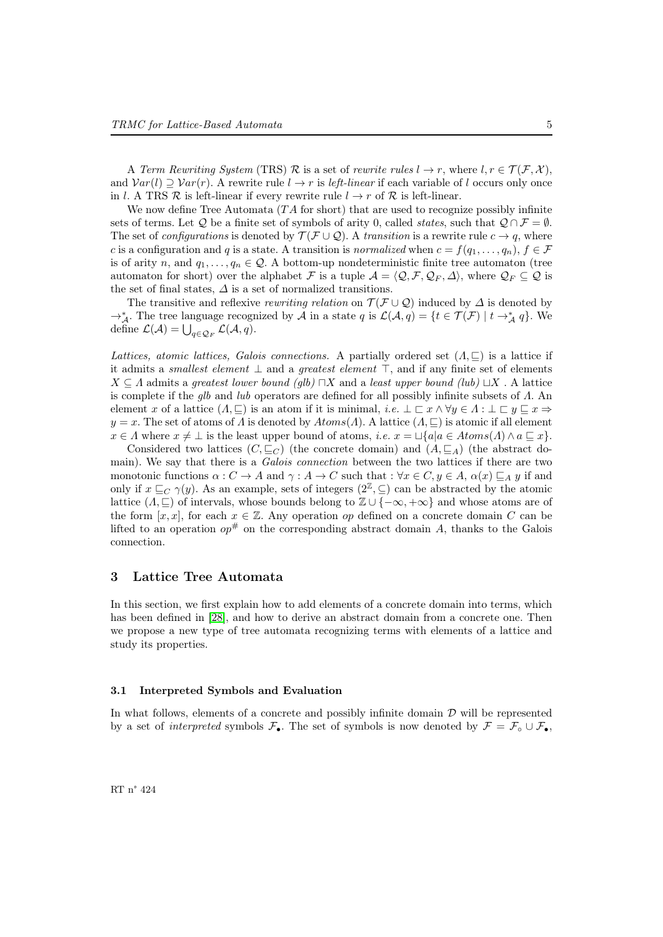A Term Rewriting System (TRS) R is a set of rewrite rules  $l \to r$ , where  $l, r \in \mathcal{T}(\mathcal{F}, \mathcal{X})$ , and  $Var(l) \supset Var(r)$ . A rewrite rule  $l \rightarrow r$  is *left-linear* if each variable of l occurs only once in l. A TRS  $\mathcal R$  is left-linear if every rewrite rule  $l \to r$  of  $\mathcal R$  is left-linear.

We now define Tree Automata  $(TA)$  for short) that are used to recognize possibly infinite sets of terms. Let Q be a finite set of symbols of arity 0, called *states*, such that  $Q \cap \mathcal{F} = \emptyset$ . The set of *configurations* is denoted by  $\mathcal{T}(\mathcal{F} \cup \mathcal{Q})$ . A *transition* is a rewrite rule  $c \to q$ , where c is a configuration and q is a state. A transition is normalized when  $c = f(q_1, \ldots, q_n)$ ,  $f \in \mathcal{F}$ is of arity n, and  $q_1, \ldots, q_n \in \mathcal{Q}$ . A bottom-up nondeterministic finite tree automaton (tree automaton for short) over the alphabet F is a tuple  $A = \langle Q, \mathcal{F}, \mathcal{Q}_F, \Delta \rangle$ , where  $\mathcal{Q}_F \subseteq \mathcal{Q}$  is the set of final states,  $\Delta$  is a set of normalized transitions.

The transitive and reflexive *rewriting relation* on  $\mathcal{T}(\mathcal{F}\cup \mathcal{Q})$  induced by  $\Delta$  is denoted by  $\rightarrow_{\mathcal{A}}^*$ . The tree language recognized by  $\mathcal{A}$  in a state  $q$  is  $\mathcal{L}(\mathcal{A}, q) = \{t \in \mathcal{T}(\mathcal{F}) \mid t \rightarrow_{\mathcal{A}}^* q\}$ . We define  $\mathcal{L}(\mathcal{A}) = \bigcup_{q \in \mathcal{Q}_F} \mathcal{L}(\mathcal{A}, q).$ 

Lattices, atomic lattices, Galois connections. A partially ordered set  $(A, \sqsubseteq)$  is a lattice if it admits a *smallest element*  $\perp$  and a *greatest element*  $\top$ , and if any finite set of elements  $X \subseteq \Lambda$  admits a greatest lower bound (glb)  $\Box X$  and a least upper bound (lub)  $\Box X$ . A lattice is complete if the glb and lub operators are defined for all possibly infinite subsets of  $\Lambda$ . An element x of a lattice  $(A, \square)$  is an atom if it is minimal, i.e.  $\bot \sqsubset x \land \forall y \in A : \bot \sqsubset y \sqsubset x \Rightarrow$  $y = x$ . The set of atoms of  $\Lambda$  is denoted by  $Atoms(\Lambda)$ . A lattice  $(\Lambda, \sqsubseteq)$  is atomic if all element  $x \in \Lambda$  where  $x \neq \bot$  is the least upper bound of atoms, i.e.  $x = \sqcup \{a | a \in Atoms(\Lambda) \land a \sqsubseteq x\}.$ 

Considered two lattices  $(C, \sqsubseteq_C)$  (the concrete domain) and  $(A, \sqsubseteq_A)$  (the abstract domain). We say that there is a *Galois connection* between the two lattices if there are two monotonic functions  $\alpha: C \to A$  and  $\gamma: A \to C$  such that  $: \forall x \in C, y \in A$ ,  $\alpha(x) \sqsubseteq_A y$  if and only if  $x \sqsubseteq_C \gamma(y)$ . As an example, sets of integers  $(2^{\mathbb{Z}}, \subseteq)$  can be abstracted by the atomic lattice  $(\Lambda, \sqsubseteq)$  of intervals, whose bounds belong to  $\mathbb{Z} \cup \{-\infty, +\infty\}$  and whose atoms are of the form  $[x, x]$ , for each  $x \in \mathbb{Z}$ . Any operation op defined on a concrete domain C can be lifted to an operation  $op^*$  on the corresponding abstract domain A, thanks to the Galois connection.

### 3 Lattice Tree Automata

In this section, we first explain how to add elements of a concrete domain into terms, which has been defined in [\[28\]](#page-38-4), and how to derive an abstract domain from a concrete one. Then we propose a new type of tree automata recognizing terms with elements of a lattice and study its properties.

### 3.1 Interpreted Symbols and Evaluation

In what follows, elements of a concrete and possibly infinite domain  $D$  will be represented by a set of *interpreted* symbols  $\mathcal{F}_\bullet$ . The set of symbols is now denoted by  $\mathcal{F} = \mathcal{F}_\circ \cup \mathcal{F}_\bullet$ ,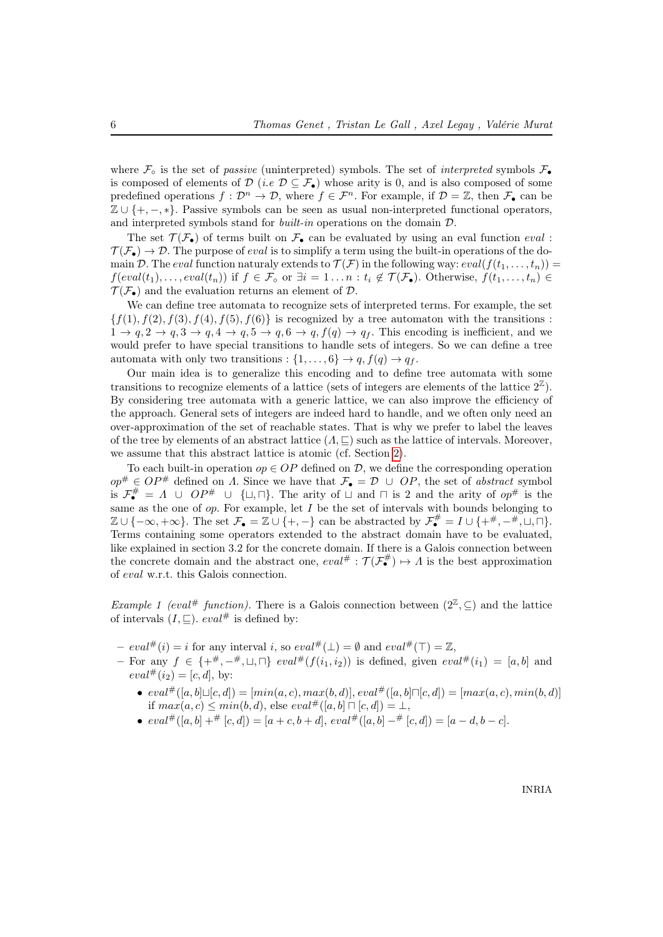where  $\mathcal{F}_{\circ}$  is the set of passive (uninterpreted) symbols. The set of interpreted symbols  $\mathcal{F}_{\bullet}$ is composed of elements of  $\mathcal{D}$  (i.e  $\mathcal{D} \subseteq \mathcal{F}_{\bullet}$ ) whose arity is 0, and is also composed of some predefined operations  $f: \mathcal{D}^n \to \mathcal{D}$ , where  $f \in \mathcal{F}^n$ . For example, if  $\mathcal{D} = \mathbb{Z}$ , then  $\mathcal{F}_\bullet$  can be  $\mathbb{Z} \cup \{+, -, *\}.$  Passive symbols can be seen as usual non-interpreted functional operators, and interpreted symbols stand for *built-in* operations on the domain  $D$ .

The set  $\mathcal{T}(\mathcal{F}_{\bullet})$  of terms built on  $\mathcal{F}_{\bullet}$  can be evaluated by using an eval function eval :  $\mathcal{T}(\mathcal{F}_{\bullet}) \to \mathcal{D}$ . The purpose of *eval* is to simplify a term using the built-in operations of the domain D. The eval function naturaly extends to  $\mathcal{T}(\mathcal{F})$  in the following way:  $eval(f(t_1, \ldots, t_n)) =$  $f(\text{eval}(t_1), \ldots, \text{eval}(t_n))$  if  $f \in \mathcal{F}_\circ$  or  $\exists i = 1 \ldots n : t_i \notin \mathcal{T}(\mathcal{F}_\bullet)$ . Otherwise,  $f(t_1, \ldots, t_n) \in$  $\mathcal{T}(\mathcal{F}_{\bullet})$  and the evaluation returns an element of  $\mathcal{D}$ .

We can define tree automata to recognize sets of interpreted terms. For example, the set  ${f(1), f(2), f(3), f(4), f(5), f(6)}$  is recognized by a tree automaton with the transitions :  $1 \rightarrow q$ ,  $2 \rightarrow q$ ,  $3 \rightarrow q$ ,  $4 \rightarrow q$ ,  $5 \rightarrow q$ ,  $6 \rightarrow q$ ,  $f(q) \rightarrow q$ . This encoding is inefficient, and we would prefer to have special transitions to handle sets of integers. So we can define a tree automata with only two transitions :  $\{1, \ldots, 6\} \rightarrow q$ ,  $f(q) \rightarrow q_f$ .

Our main idea is to generalize this encoding and to define tree automata with some transitions to recognize elements of a lattice (sets of integers are elements of the lattice  $2^{\mathbb{Z}}$ ). By considering tree automata with a generic lattice, we can also improve the efficiency of the approach. General sets of integers are indeed hard to handle, and we often only need an over-approximation of the set of reachable states. That is why we prefer to label the leaves of the tree by elements of an abstract lattice  $(\Lambda, \subseteq)$  such as the lattice of intervals. Moreover, we assume that this abstract lattice is atomic (cf. Section [2\)](#page-6-0).

To each built-in operation  $op \in OP$  defined on D, we define the corresponding operation  $op^{\#} \in OP^{\#}$  defined on A. Since we have that  $\mathcal{F}_{\bullet} = \mathcal{D} \cup OP$ , the set of abstract symbol is  $\mathcal{F}_{\bullet}^{\#} = \Lambda \cup OP^{\#} \cup \{\sqcup, \sqcap\}$ . The arity of  $\sqcup$  and  $\sqcap$  is 2 and the arity of  $op^{\#}$  is the same as the one of  $op.$  For example, let I be the set of intervals with bounds belonging to  $\mathbb{Z} \cup \{-\infty, +\infty\}$ . The set  $\mathcal{F}_{\bullet} = \mathbb{Z} \cup \{+, -\}$  can be abstracted by  $\mathcal{F}_{\bullet}^{\#} = I \cup \{+, -\},$   $\Box, \Box\}$ . Terms containing some operators extended to the abstract domain have to be evaluated, like explained in section 3.2 for the concrete domain. If there is a Galois connection between the concrete domain and the abstract one,  $eval^{\#}: \mathcal{T}(\mathcal{F}_{\bullet}^{\#}) \mapsto \Lambda$  is the best approximation of eval w.r.t. this Galois connection.

Example 1 (eval<sup>#</sup> function). There is a Galois connection between  $(2^{\mathbb{Z}}, \subseteq)$  and the lattice of intervals  $(I, \subseteq)$ .  $eval^{\#}$  is defined by:

- $eval^{\#}(i) = i$  for any interval i, so  $eval^{\#}(\perp) = \emptyset$  and  $eval^{\#}(\top) = \mathbb{Z}$ ,
- For any  $f \in \{+\pi, -\pi, \perp, \perp\}$  eval# $(f(i_1, i_2))$  is defined, given eval# $(i_1) = [a, b]$  and  $eval^{\#}(i_2) = [c, d],$  by:
	- $eval^{\#}([a, b] \sqcup [c, d]) = [min(a, c), max(b, d)], eval^{\#}([a, b] \sqcap [c, d]) = [max(a, c), min(b, d)]$ if  $max(a, c) \leq min(b, d)$ , else  $eval^{\#}([a, b] \sqcap [c, d]) = \bot$ ,
	- $eval^{\#}([a, b] + ^{\#}[c, d]) = [a + c, b + d], eval^{\#}([a, b] ^{\#}[c, d]) = [a d, b c].$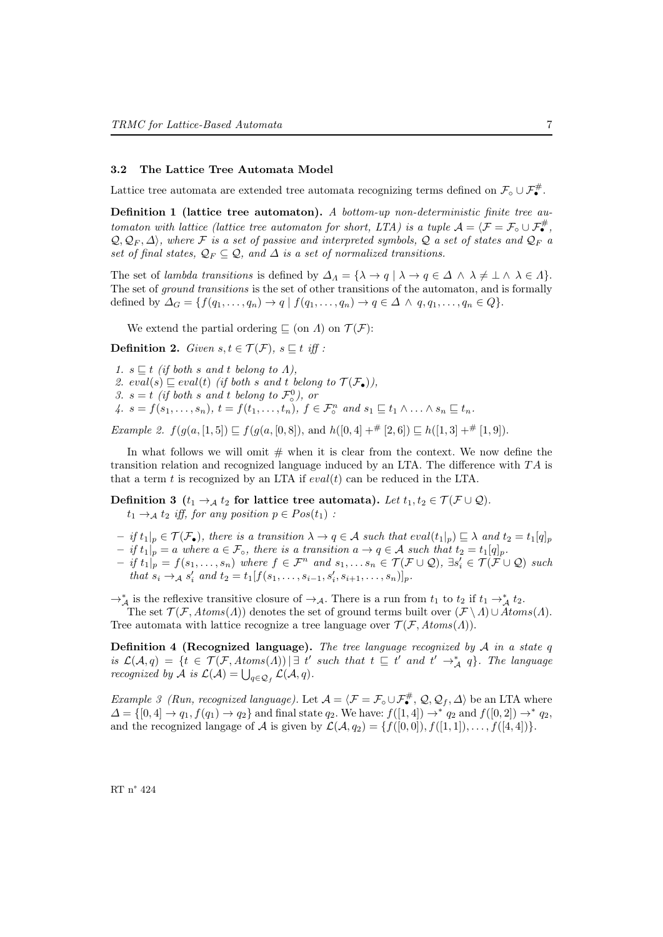#### 3.2 The Lattice Tree Automata Model

Lattice tree automata are extended tree automata recognizing terms defined on  $\mathcal{F}_{\circ} \cup \mathcal{F}_{\bullet}^{\#}$ .

Definition 1 (lattice tree automaton). A bottom-up non-deterministic finite tree automaton with lattice (lattice tree automaton for short, LTA) is a tuple  $A = \langle \mathcal{F} = \mathcal{F}_{\circ} \cup \mathcal{F}_{\bullet}^{\#},$  $Q, Q_F, \Delta$ , where F is a set of passive and interpreted symbols, Q a set of states and  $Q_F$  a set of final states,  $\mathcal{Q}_F \subseteq \mathcal{Q}$ , and  $\Delta$  is a set of normalized transitions.

The set of lambda transitions is defined by  $\Delta_A = {\lambda \to q \mid \lambda \to q \in \Delta \land \lambda \neq \bot \land \lambda \in \Lambda}.$ The set of *ground transitions* is the set of other transitions of the automaton, and is formally defined by  $\Delta_G = \{f(q_1, \ldots, q_n) \to q \mid f(q_1, \ldots, q_n) \to q \in \Delta \land q, q_1, \ldots, q_n \in Q\}.$ 

We extend the partial ordering  $\Box$  (on  $\Lambda$ ) on  $\mathcal{T}(\mathcal{F})$ :

**Definition 2.** Given  $s, t \in \mathcal{T}(\mathcal{F})$ ,  $s \sqsubseteq t$  iff :

1.  $s \sqsubseteq t$  (if both s and t belong to A), 2.  $eval(s) \sqsubseteq eval(t)$  (if both s and t belong to  $\mathcal{T}(\mathcal{F}_{\bullet})$ ), 3.  $s = t$  (if both s and t belong to  $\mathcal{F}^0_{\circ}$ ), or 4.  $s = f(s_1, \ldots, s_n)$ ,  $t = f(t_1, \ldots, t_n)$ ,  $f \in \mathcal{F}_{\circ}^n$  and  $s_1 \sqsubseteq t_1 \wedge \ldots \wedge s_n \sqsubseteq t_n$ .

Example 2.  $f(g(a, [1, 5]) \sqsubseteq f(g(a, [0, 8]), \text{ and } h([0, 4] + \# [2, 6]) \sqsubseteq h([1, 3] + \# [1, 9]).$ 

In what follows we will omit  $#$  when it is clear from the context. We now define the transition relation and recognized language induced by an LTA. The difference with  $TA$  is that a term  $t$  is recognized by an LTA if  $eval(t)$  can be reduced in the LTA.

Definition 3 ( $t_1 \rightarrow_A t_2$  for lattice tree automata). Let  $t_1, t_2 \in \mathcal{T}(\mathcal{F} \cup \mathcal{Q})$ .  $t_1 \rightarrow_A t_2$  iff, for any position  $p \in Pos(t_1)$ :

- $-$  if  $t_1|_p \in \mathcal{T}(\mathcal{F}_{\bullet})$ , there is a transition  $\lambda \to q \in \mathcal{A}$  such that  $eval(t_1|_p) \sqsubseteq \lambda$  and  $t_2 = t_1[q]_p$
- $-$  if  $t_1|_p = a$  where  $a \in \mathcal{F}_\circ$ , there is a transition  $a \to q \in \mathcal{A}$  such that  $t_2 = t_1[q]_p$ .

 $(-if t_1|_p = f(s_1, \ldots, s_n)$  where  $f \in \mathcal{F}^n$  and  $s_1, \ldots s_n \in \mathcal{T}(\mathcal{F} \cup \mathcal{Q})$ ,  $\exists s'_i \in \mathcal{T}(\mathcal{F} \cup \mathcal{Q})$  such that  $s_i \to_{\mathcal{A}} s'_i$  and  $t_2 = t_1[f(s_1, \ldots, s_{i-1}, s'_i, s_{i+1}, \ldots, s_n)]_p$ .

 $\rightarrow_{\mathcal{A}}^{*}$  is the reflexive transitive closure of  $\rightarrow_{\mathcal{A}}$ . There is a run from  $t_1$  to  $t_2$  if  $t_1 \rightarrow_{\mathcal{A}}^{*} t_2$ .

The set  $\mathcal{T}(\mathcal{F}, Atoms(\Lambda))$  denotes the set of ground terms built over  $(\mathcal{F} \setminus \Lambda) \cup Atoms(\Lambda)$ . Tree automata with lattice recognize a tree language over  $\mathcal{T}(\mathcal{F}, Atoms(\Lambda)).$ 

**Definition 4 (Recognized language).** The tree language recognized by  $A$  in a state  $q$ is  $\mathcal{L}(\mathcal{A}, q) = \{t \in \mathcal{T}(\mathcal{F}, Atoms(\Lambda)) \mid \exists t' \text{ such that } t \sqsubseteq t' \text{ and } t' \rightarrow^*_{\mathcal{A}} q\}.$  The language recognized by A is  $\mathcal{L}(\mathcal{A}) = \bigcup_{q \in \mathcal{Q}_f} \mathcal{L}(\mathcal{A}, q)$ .

*Example 3 (Run, recognized language).* Let  $\mathcal{A} = \langle \mathcal{F} = \mathcal{F}_{\circ} \cup \mathcal{F}_{\bullet}^{\#}, \mathcal{Q}, \mathcal{Q}_f, \Delta \rangle$  be an LTA where  $\Delta = \{ [0,4] \rightarrow q_1, f(q_1) \rightarrow q_2 \}$  and final state  $q_2$ . We have:  $f([1,4]) \rightarrow^* q_2$  and  $f([0,2]) \rightarrow^* q_2$ , and the recognized langage of A is given by  $\mathcal{L}(\mathcal{A}, q_2) = \{f([0, 0]), f([1, 1]), \ldots, f([4, 4])\}.$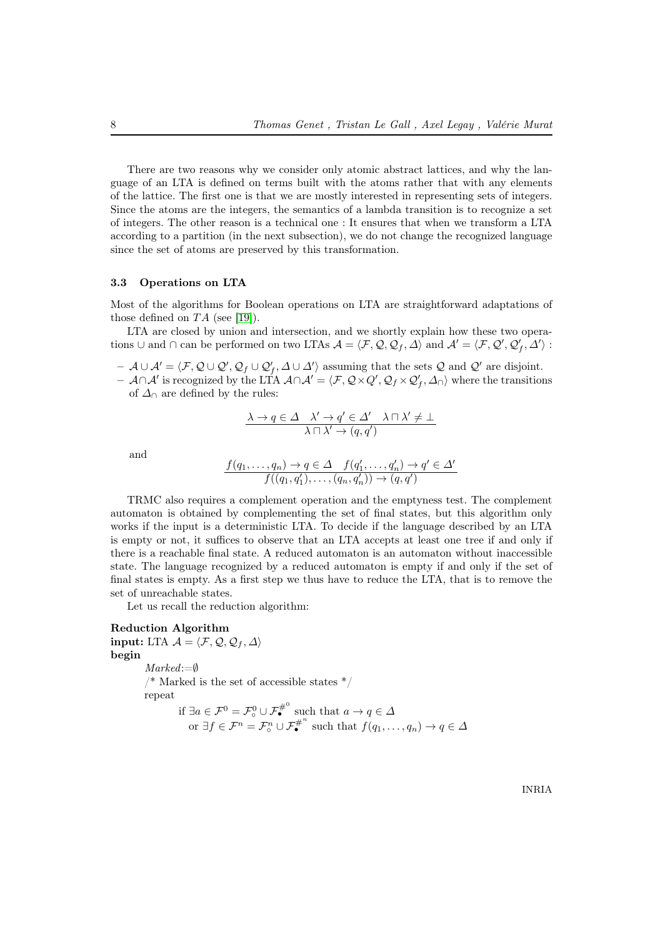There are two reasons why we consider only atomic abstract lattices, and why the language of an LTA is defined on terms built with the atoms rather that with any elements of the lattice. The first one is that we are mostly interested in representing sets of integers. Since the atoms are the integers, the semantics of a lambda transition is to recognize a set of integers. The other reason is a technical one : It ensures that when we transform a LTA according to a partition (in the next subsection), we do not change the recognized language since the set of atoms are preserved by this transformation.

### 3.3 Operations on LTA

Most of the algorithms for Boolean operations on LTA are straightforward adaptations of those defined on  $TA$  (see [\[19\]](#page-37-15)).

LTA are closed by union and intersection, and we shortly explain how these two operations  $\cup$  and  $\cap$  can be performed on two LTAs  $\mathcal{A} = \langle \mathcal{F}, \mathcal{Q}, \mathcal{Q}_f, \Delta \rangle$  and  $\mathcal{A}' = \langle \mathcal{F}, \mathcal{Q}', \mathcal{Q}'_f, \Delta' \rangle$ :

 $\mathcal{A} \cup \mathcal{A}' = \langle \mathcal{F}, \mathcal{Q} \cup \mathcal{Q}', \mathcal{Q}_f \cup \mathcal{Q}'_f, \Delta \cup \Delta' \rangle$  assuming that the sets  $\mathcal{Q}$  and  $\mathcal{Q}'$  are disjoint.

 $-$  A∩A' is recognized by the LTA  $A \cap A' = \langle F, Q \times Q', Q_f \times Q'_f, \Delta_{\cap} \rangle$  where the transitions of  $\Delta_{\cap}$  are defined by the rules:

$$
\frac{\lambda \to q \in \Delta \quad \lambda' \to q' \in \Delta' \quad \lambda \sqcap \lambda' \neq \bot}{\lambda \sqcap \lambda' \to (q, q')}
$$

and

$$
\frac{f(q_1,\ldots,q_n)\to q\in\Delta \quad f(q'_1,\ldots,q'_n)\to q'\in\Delta'}{f((q_1,q'_1),\ldots,(q_n,q'_n))\to(q,q')}
$$

TRMC also requires a complement operation and the emptyness test. The complement automaton is obtained by complementing the set of final states, but this algorithm only works if the input is a deterministic LTA. To decide if the language described by an LTA is empty or not, it suffices to observe that an LTA accepts at least one tree if and only if there is a reachable final state. A reduced automaton is an automaton without inaccessible state. The language recognized by a reduced automaton is empty if and only if the set of final states is empty. As a first step we thus have to reduce the LTA, that is to remove the set of unreachable states.

Let us recall the reduction algorithm:

### Reduction Algorithm

input: LTA  $\mathcal{A} = \langle \mathcal{F}, \mathcal{Q}, \mathcal{Q}_f, \Delta \rangle$ begin Marked:=∅  $\frac{1}{2}$  Marked is the set of accessible states  $\frac{1}{2}$ repeat if  $\exists a \in \mathcal{F}^0 = \mathcal{F}^0_\circ \cup \mathcal{F}_{\bullet}^{\#^0}$  such that  $a \to q \in \Delta$ or  $\exists f \in \mathcal{F}^n = \mathcal{F}^n_{\circ} \cup \mathcal{F}_{\bullet}^{\#^n}$  such that  $f(q_1, \ldots, q_n) \to q \in \Delta$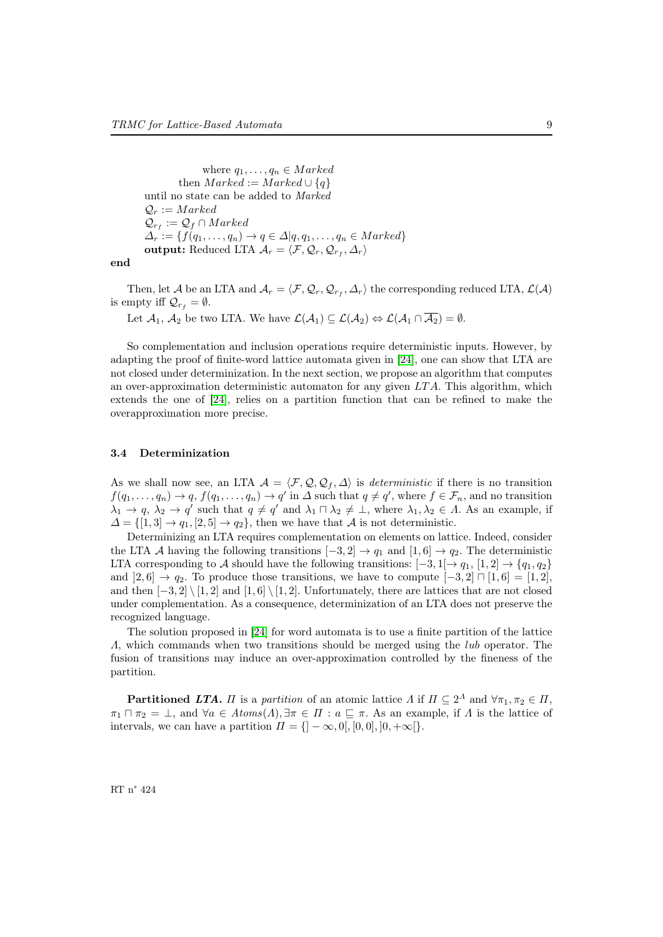where  $q_1, \ldots, q_n \in Marked$ then  $Market := Market \cup \{q\}$ until no state can be added to Marked  $\mathcal{Q}_r := Marked$  $\mathcal{Q}_{r_f} := \mathcal{Q}_f \cap \text{Marked}$  $\Delta_r := \{f(q_1,\ldots,q_n) \to q \in \Delta | q,q_1,\ldots,q_n \in \text{Marked}\}\$  ${\bf output:~Reduced~LTA} \; \mathcal{A}_r = \langle \mathcal{F}, \mathcal{Q}_r, \mathcal{Q}_{r_f}, \mathcal{\Delta}_r \rangle$ 

end

Then, let  $\cal A$  be an LTA and  ${\cal A}_r = \langle F, {\cal Q}_r, {\cal Q}_{r_f}, \Delta_r \rangle$  the corresponding reduced LTA,  ${\cal L}({\cal A})$ is empty iff  $\mathcal{Q}_{r_f} = \emptyset$ .

Let  $\mathcal{A}_1, \mathcal{A}_2$  be two LTA. We have  $\mathcal{L}(\mathcal{A}_1) \subseteq \mathcal{L}(\mathcal{A}_2) \Leftrightarrow \mathcal{L}(\mathcal{A}_1 \cap \overline{\mathcal{A}_2}) = \emptyset$ .

So complementation and inclusion operations require deterministic inputs. However, by adapting the proof of finite-word lattice automata given in [\[24\]](#page-37-7), one can show that LTA are not closed under determinization. In the next section, we propose an algorithm that computes an over-approximation deterministic automaton for any given  $LTA$ . This algorithm, which extends the one of [\[24\]](#page-37-7), relies on a partition function that can be refined to make the overapproximation more precise.

### 3.4 Determinization

As we shall now see, an LTA  $\mathcal{A} = \langle \mathcal{F}, \mathcal{Q}, \mathcal{Q}_f, \Delta \rangle$  is *deterministic* if there is no transition  $f(q_1,\ldots,q_n) \to q$ ,  $f(q_1,\ldots,q_n) \to q'$  in  $\Delta$  such that  $q \neq q'$ , where  $f \in \mathcal{F}_n$ , and no transition  $\lambda_1 \to q$ ,  $\lambda_2 \to q'$  such that  $q \neq q'$  and  $\lambda_1 \sqcap \lambda_2 \neq \bot$ , where  $\lambda_1, \lambda_2 \in \Lambda$ . As an example, if  $\Delta = \{ [1, 3] \rightarrow q_1, [2, 5] \rightarrow q_2 \},\$  then we have that A is not deterministic.

Determinizing an LTA requires complementation on elements on lattice. Indeed, consider the LTA A having the following transitions  $[-3, 2] \rightarrow q_1$  and  $[1, 6] \rightarrow q_2$ . The deterministic LTA corresponding to A should have the following transitions:  $[-3,1] \rightarrow q_1, [1,2] \rightarrow \{q_1, q_2\}$ and  $|2, 6| \rightarrow q_2$ . To produce those transitions, we have to compute  $[-3, 2] \sqcap [1, 6] = [1, 2]$ , and then  $[-3, 2] \setminus [1, 2]$  and  $[1, 6] \setminus [1, 2]$ . Unfortunately, there are lattices that are not closed under complementation. As a consequence, determinization of an LTA does not preserve the recognized language.

The solution proposed in [\[24\]](#page-37-7) for word automata is to use a finite partition of the lattice Λ, which commands when two transitions should be merged using the lub operator. The fusion of transitions may induce an over-approximation controlled by the fineness of the partition.

**Partitioned LTA.**  $\Pi$  is a partition of an atomic lattice  $\Lambda$  if  $\Pi \subseteq 2^{\Lambda}$  and  $\forall \pi_1, \pi_2 \in \Pi$ ,  $\pi_1 \sqcap \pi_2 = \bot$ , and  $\forall a \in Atoms(\Lambda), \exists \pi \in \Pi : a \sqsubseteq \pi$ . As an example, if  $\Lambda$  is the lattice of intervals, we can have a partition  $\Pi = \{]-\infty, 0[, [0, 0], ]0, +\infty[\}.$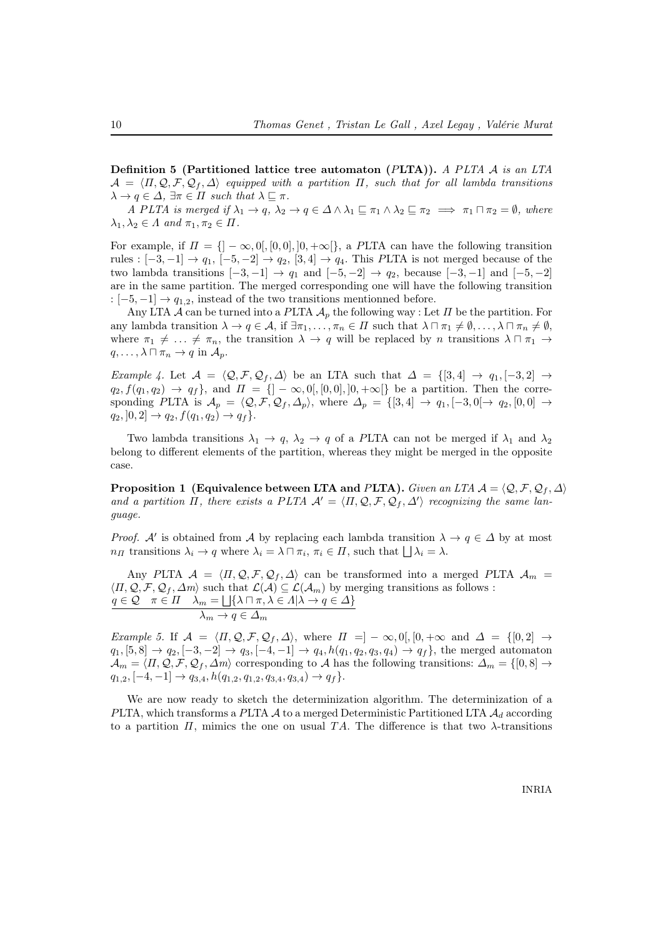Definition 5 (Partitioned lattice tree automaton (PLTA)). A PLTA  $\mathcal A$  is an LTA  $\mathcal{A} = \langle \Pi, \mathcal{Q}, \mathcal{F}, \mathcal{Q}_f, \Delta \rangle$  equipped with a partition  $\Pi$ , such that for all lambda transitions  $\lambda \to q \in \Delta$ ,  $\exists \pi \in \Pi$  such that  $\lambda \sqsubset \pi$ .

A PLTA is merged if  $\lambda_1 \to q$ ,  $\lambda_2 \to q \in \Delta \wedge \lambda_1 \sqsubseteq \pi_1 \wedge \lambda_2 \sqsubseteq \pi_2 \implies \pi_1 \sqcap \pi_2 = \emptyset$ , where  $\lambda_1, \lambda_2 \in \Lambda$  and  $\pi_1, \pi_2 \in \Pi$ .

For example, if  $\Pi = \{ |-\infty, 0|, [0, 0], 0, +\infty[ \}$ , a PLTA can have the following transition rules :  $[-3, -1] \rightarrow q_1$ ,  $[-5, -2] \rightarrow q_2$ ,  $[3, 4] \rightarrow q_4$ . This PLTA is not merged because of the two lambda transitions  $[-3, -1] \rightarrow q_1$  and  $[-5, -2] \rightarrow q_2$ , because  $[-3, -1]$  and  $[-5, -2]$ are in the same partition. The merged corresponding one will have the following transition :  $[-5, -1] \rightarrow q_{1,2}$ , instead of the two transitions mentionned before.

Any LTA  $\mathcal A$  can be turned into a PLTA  $\mathcal A_p$  the following way : Let  $\Pi$  be the partition. For any lambda transition  $\lambda \to q \in \mathcal{A}$ , if  $\exists \pi_1, \ldots, \pi_n \in \Pi$  such that  $\lambda \sqcap \pi_1 \neq \emptyset, \ldots, \lambda \sqcap \pi_n \neq \emptyset$ , where  $\pi_1 \neq \ldots \neq \pi_n$ , the transition  $\lambda \to q$  will be replaced by n transitions  $\lambda \sqcap \pi_1 \to$  $q, \ldots, \lambda \sqcap \pi_n \to q$  in  $\mathcal{A}_p$ .

Example 4. Let  $\mathcal{A} = \langle \mathcal{Q}, \mathcal{F}, \mathcal{Q}_f, \Delta \rangle$  be an LTA such that  $\Delta = \{[3, 4] \rightarrow q_1, [-3, 2] \rightarrow$  $q_2, f(q_1, q_2) \rightarrow q_f$ , and  $\Pi = \{]-\infty, 0[, [0, 0], ]0, +\infty[\}$  be a partition. Then the corresponding PLTA is  $\mathcal{A}_p = \langle \mathcal{Q}, \mathcal{F}, \mathcal{Q}_f, \mathcal{A}_p \rangle$ , where  $\mathcal{A}_p = \{[3, 4] \rightarrow q_1, [-3, 0] \rightarrow q_2, [0, 0] \rightarrow$  $q_2$ ,  $]0, 2] \rightarrow q_2, f(q_1, q_2) \rightarrow q_f$ .

Two lambda transitions  $\lambda_1 \to q$ ,  $\lambda_2 \to q$  of a PLTA can not be merged if  $\lambda_1$  and  $\lambda_2$ belong to different elements of the partition, whereas they might be merged in the opposite case.

Proposition 1 (Equivalence between LTA and PLTA). Given an LTA  $\mathcal{A} = \langle \mathcal{Q}, \mathcal{F}, \mathcal{Q}_f, \Delta \rangle$ and a partition  $\Pi$ , there exists a PLTA  $\mathcal{A}' = \langle \Pi, \mathcal{Q}, \mathcal{F}, \mathcal{Q}_f, \Delta' \rangle$  recognizing the same language.

*Proof.* A' is obtained from A by replacing each lambda transition  $\lambda \to q \in \Delta$  by at most  $n_H$  transitions  $\lambda_i \to q$  where  $\lambda_i = \lambda \sqcap \pi_i$ ,  $\pi_i \in \Pi$ , such that  $\Box \lambda_i = \lambda$ .

Any PLTA  $\mathcal{A} = \langle \Pi, \mathcal{Q}, \mathcal{F}, \mathcal{Q}_f, \Delta \rangle$  can be transformed into a merged PLTA  $\mathcal{A}_m$  =  $\langle \Pi, \mathcal{Q}, \mathcal{F}, \mathcal{Q}_f, \Delta m \rangle$  such that  $\mathcal{L}(\mathcal{A}) \subseteq \mathcal{L}(\mathcal{A}_m)$  by merging transitions as follows :  $q \in \mathcal{Q}$   $\pi \in \Pi$   $\lambda_m = \bigsqcup \{ \lambda \sqcap \pi, \lambda \in \Lambda | \lambda \to q \in \Delta \}$  $\lambda_m \to q \in \Delta_m$ 

Example 5. If  $\mathcal{A} = \langle \Pi, \mathcal{Q}, \mathcal{F}, \mathcal{Q}_f, \Delta \rangle$ , where  $\Pi = ] - \infty, 0[, [0, +\infty \text{ and } \Delta = \{[0, 2] \rightarrow$  $q_1$ ,  $[5, 8] \rightarrow q_2$ ,  $[-3, -2] \rightarrow q_3$ ,  $[-4, -1] \rightarrow q_4$ ,  $h(q_1, q_2, q_3, q_4) \rightarrow q_f$ , the merged automaton  $\mathcal{A}_m = \langle \Pi, \mathcal{Q}, \mathcal{F}, \mathcal{Q}_f, \Delta m \rangle$  corresponding to A has the following transitions:  $\Delta_m = \{[0, 8] \rightarrow$  $q_{1,2}, [-4,-1] \rightarrow q_{3,4}, h(q_{1,2}, q_{1,2}, q_{3,4}, q_{3,4}) \rightarrow q_f$ .

We are now ready to sketch the determinization algorithm. The determinization of a PLTA, which transforms a PLTA  $\mathcal A$  to a merged Deterministic Partitioned LTA  $\mathcal A_d$  according to a partition  $\Pi$ , mimics the one on usual TA. The difference is that two  $\lambda$ -transitions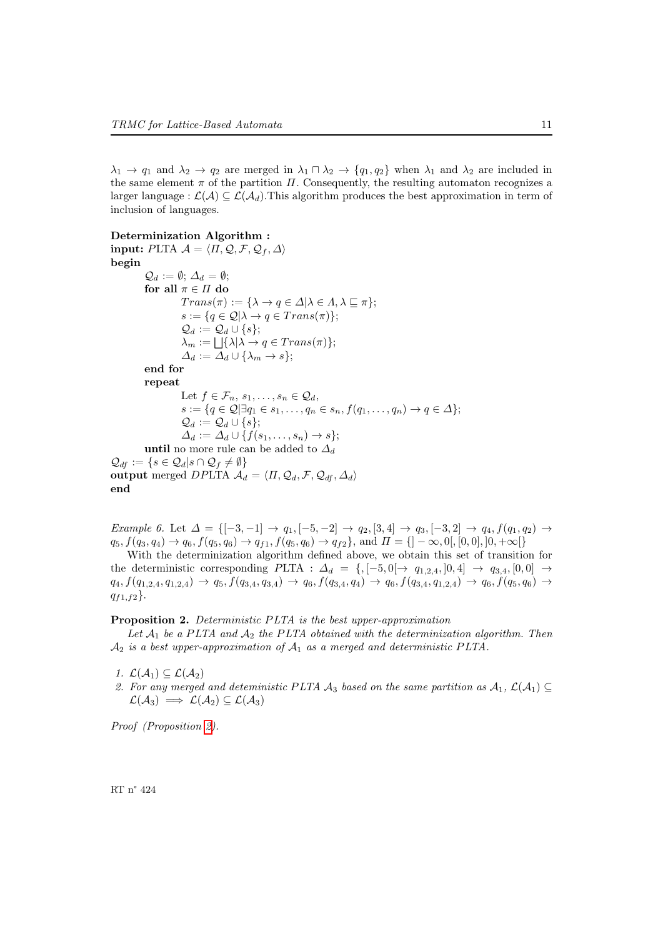$\lambda_1 \to q_1$  and  $\lambda_2 \to q_2$  are merged in  $\lambda_1 \cap \lambda_2 \to \{q_1, q_2\}$  when  $\lambda_1$  and  $\lambda_2$  are included in the same element  $\pi$  of the partition  $\Pi$ . Consequently, the resulting automaton recognizes a larger language :  $\mathcal{L}(\mathcal{A}) \subseteq \mathcal{L}(\mathcal{A}_d)$ . This algorithm produces the best approximation in term of inclusion of languages.

```
Determinization Algorithm :
input: PLTA \mathcal{A} = \langle \Pi, \mathcal{Q}, \mathcal{F}, \mathcal{Q}_f, \Delta \ranglebegin
             \mathcal{Q}_d := \emptyset; \, \Delta_d = \emptyset;for all \pi \in \Pi do
                           Trans(\pi) := {\lambda \to q \in \Delta | \lambda \in \Lambda, \lambda \sqsubseteq \pi};s := \{q \in \mathcal{Q} | \lambda \to q \in Trans(\pi)\};\mathcal{Q}_d := \mathcal{Q}_d \cup \{s\};\lambda_m := \bigsqcup \{ \lambda | \lambda \to q \in Trans(\pi) \};\Delta_d := \Delta_d \cup \{\lambda_m \to s\};end for
             repeat
                           Let f \in \mathcal{F}_n, s_1, \ldots, s_n \in \mathcal{Q}_d,
                           s := \{q \in \mathcal{Q} | \exists q_1 \in s_1, \ldots, q_n \in s_n, f(q_1, \ldots, q_n) \to q \in \Delta \};\mathcal{Q}_d := \mathcal{Q}_d \cup \{s\};\Delta_d := \Delta_d \cup \{f(s_1,\ldots,s_n) \to s\};until no more rule can be added to \Delta_d\mathcal{Q}_{df} := \{ s \in \mathcal{Q}_d | s \cap \mathcal{Q}_f \neq \emptyset \}output merged DPLTA A_d = \langle \Pi, \mathcal{Q}_d, \mathcal{F}, \mathcal{Q}_{df}, \Delta_d \rangleend
```
<span id="page-13-1"></span>Example 6. Let  $\Delta = \{[-3,-1] \rightarrow q_1, [-5,-2] \rightarrow q_2, [3,4] \rightarrow q_3, [-3,2] \rightarrow q_4, f(q_1,q_2) \rightarrow$  $q_5, f(q_3, q_4) \rightarrow q_6, f(q_5, q_6) \rightarrow q_{f1}, f(q_5, q_6) \rightarrow q_{f2}$ , and  $\Pi = \{]-\infty, 0[, [0, 0], [0, +\infty[\}$ 

With the determinization algorithm defined above, we obtain this set of transition for the deterministic corresponding PLTA :  $\Delta_d = \{, [-5, 0] \rightarrow q_{1,2,4}, ]0, 4] \rightarrow q_{3,4}, [0, 0] \rightarrow$  $q_4, f(q_{1,2,4}, q_{1,2,4}) \rightarrow q_5, f(q_{3,4}, q_{3,4}) \rightarrow q_6, f(q_{3,4}, q_4) \rightarrow q_6, f(q_{3,4}, q_{1,2,4}) \rightarrow q_6, f(q_5, q_6) \rightarrow$  $q_{f1,f2}$ .

### <span id="page-13-0"></span>Proposition 2. Deterministic PLTA is the best upper-approximation

Let  $A_1$  be a PLTA and  $A_2$  the PLTA obtained with the determinization algorithm. Then  $A_2$  is a best upper-approximation of  $A_1$  as a merged and deterministic PLTA.

- 1.  $\mathcal{L}(\mathcal{A}_1) \subseteq \mathcal{L}(\mathcal{A}_2)$
- 2. For any merged and deteministic PLTA  $\mathcal{A}_3$  based on the same partition as  $\mathcal{A}_1$ ,  $\mathcal{L}(\mathcal{A}_1) \subseteq$  $\mathcal{L}(\mathcal{A}_3) \implies \mathcal{L}(\mathcal{A}_2) \subseteq \mathcal{L}(\mathcal{A}_3)$

Proof (Proposition [2\)](#page-13-0).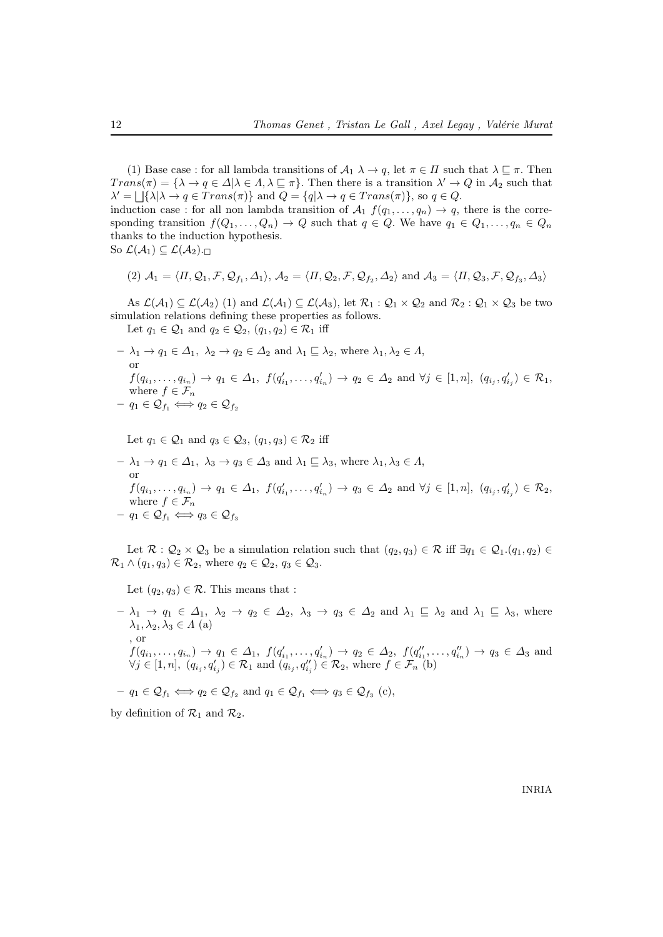(1) Base case : for all lambda transitions of  $\mathcal{A}_1 \lambda \to q$ , let  $\pi \in \Pi$  such that  $\lambda \sqsubseteq \pi$ . Then  $Trans(\pi) = {\lambda \to q \in \Delta | \lambda \in \Lambda, \lambda \sqsubseteq \pi}.$  Then there is a transition  $\lambda' \to Q$  in  $\mathcal{A}_2$  such that  $\lambda' = \bigsqcup \{\lambda | \lambda \to q \in Trans(\pi)\}\$ and  $Q = \{q | \lambda \to q \in Trans(\pi)\}\$ , so  $q \in Q$ .

induction case : for all non lambda transition of  $A_1$   $f(q_1, \ldots, q_n) \rightarrow q$ , there is the corresponding transition  $f(Q_1, \ldots, Q_n) \to Q$  such that  $q \in Q$ . We have  $q_1 \in Q_1, \ldots, q_n \in Q_n$ thanks to the induction hypothesis. So  $\mathcal{L}(\mathcal{A}_1) \subseteq \mathcal{L}(\mathcal{A}_2)$ .

$$
(2) \mathcal{A}_1 = \langle \Pi, \mathcal{Q}_1, \mathcal{F}, \mathcal{Q}_{f_1}, \Delta_1 \rangle, \mathcal{A}_2 = \langle \Pi, \mathcal{Q}_2, \mathcal{F}, \mathcal{Q}_{f_2}, \Delta_2 \rangle \text{ and } \mathcal{A}_3 = \langle \Pi, \mathcal{Q}_3, \mathcal{F}, \mathcal{Q}_{f_3}, \Delta_3 \rangle
$$

As  $\mathcal{L}(\mathcal{A}_1) \subseteq \mathcal{L}(\mathcal{A}_2)$  (1) and  $\mathcal{L}(\mathcal{A}_1) \subseteq \mathcal{L}(\mathcal{A}_3)$ , let  $\mathcal{R}_1 : \mathcal{Q}_1 \times \mathcal{Q}_2$  and  $\mathcal{R}_2 : \mathcal{Q}_1 \times \mathcal{Q}_3$  be two simulation relations defining these properties as follows.

Let  $q_1 \in \mathcal{Q}_1$  and  $q_2 \in \mathcal{Q}_2$ ,  $(q_1, q_2) \in \mathcal{R}_1$  iff

$$
-\lambda_1 \to q_1 \in \Delta_1, \ \lambda_2 \to q_2 \in \Delta_2 \text{ and } \lambda_1 \sqsubseteq \lambda_2 \text{, where } \lambda_1, \lambda_2 \in \Lambda,
$$
  
or  
 $f(q_{i_1}, \ldots, q_{i_n}) \to q_1 \in \Delta_1, \ f(q'_{i_1}, \ldots, q'_{i_n}) \to q_2 \in \Delta_2 \text{ and } \forall j \in [1, n], \ (q_{i_j}, q'_{i_j}) \in \mathcal{R}_1,$   
where  $f \in \mathcal{F}_n$   
 $-\ q_1 \in \mathcal{Q}_{f_1} \iff q_2 \in \mathcal{Q}_{f_2}$ 

Let  $q_1 \in \mathcal{Q}_1$  and  $q_3 \in \mathcal{Q}_3$ ,  $(q_1, q_3) \in \mathcal{R}_2$  iff

$$
-\lambda_1 \to q_1 \in \Delta_1, \ \lambda_3 \to q_3 \in \Delta_3 \text{ and } \lambda_1 \subseteq \lambda_3 \text{, where } \lambda_1, \lambda_3 \in \Lambda,
$$
  
or  
 $f(q_{i_1}, \ldots, q_{i_n}) \to q_1 \in \Delta_1, \ f(q'_{i_1}, \ldots, q'_{i_n}) \to q_3 \in \Delta_2 \text{ and } \forall j \in [1, n], \ (q_{i_j}, q'_{i_j}) \in \mathcal{R}_2,$   
where  $f \in \mathcal{F}_n$   
 $-q_1 \in \mathcal{Q}_{f_1} \iff q_3 \in \mathcal{Q}_{f_3}$ 

Let  $\mathcal{R}$  :  $\mathcal{Q}_2 \times \mathcal{Q}_3$  be a simulation relation such that  $(q_2, q_3) \in \mathcal{R}$  iff  $\exists q_1 \in \mathcal{Q}_1$ . $(q_1, q_2) \in$  $\mathcal{R}_1 \wedge (q_1, q_3) \in \mathcal{R}_2$ , where  $q_2 \in \mathcal{Q}_2$ ,  $q_3 \in \mathcal{Q}_3$ .

Let  $(q_2, q_3) \in \mathcal{R}$ . This means that :

 $-\lambda_1 \to q_1 \in \Delta_1$ ,  $\lambda_2 \to q_2 \in \Delta_2$ ,  $\lambda_3 \to q_3 \in \Delta_2$  and  $\lambda_1 \sqsubseteq \lambda_2$  and  $\lambda_1 \sqsubseteq \lambda_3$ , where  $\lambda_1, \lambda_2, \lambda_3 \in \Lambda$  (a) , or  $f(q_{i_1},...,q_{i_n}) \to q_1 \in \Delta_1$ ,  $f(q'_{i_1},...,q'_{i_n}) \to q_2 \in \Delta_2$ ,  $f(q''_{i_1},...,q''_{i_n}) \to q_3 \in \Delta_3$  and  $\forall j \in [1, n], (q_{i_j}, q'_{i_j}) \in \mathcal{R}_1 \text{ and } (q_{i_j}, q''_{i_j}) \in \mathcal{R}_2 \text{, where } f \in \mathcal{F}_n$  (b)

$$
-q_1 \in \mathcal{Q}_{f_1} \Longleftrightarrow q_2 \in \mathcal{Q}_{f_2}
$$
 and  $q_1 \in \mathcal{Q}_{f_1} \Longleftrightarrow q_3 \in \mathcal{Q}_{f_3}$  (c),

by definition of  $\mathcal{R}_1$  and  $\mathcal{R}_2$ .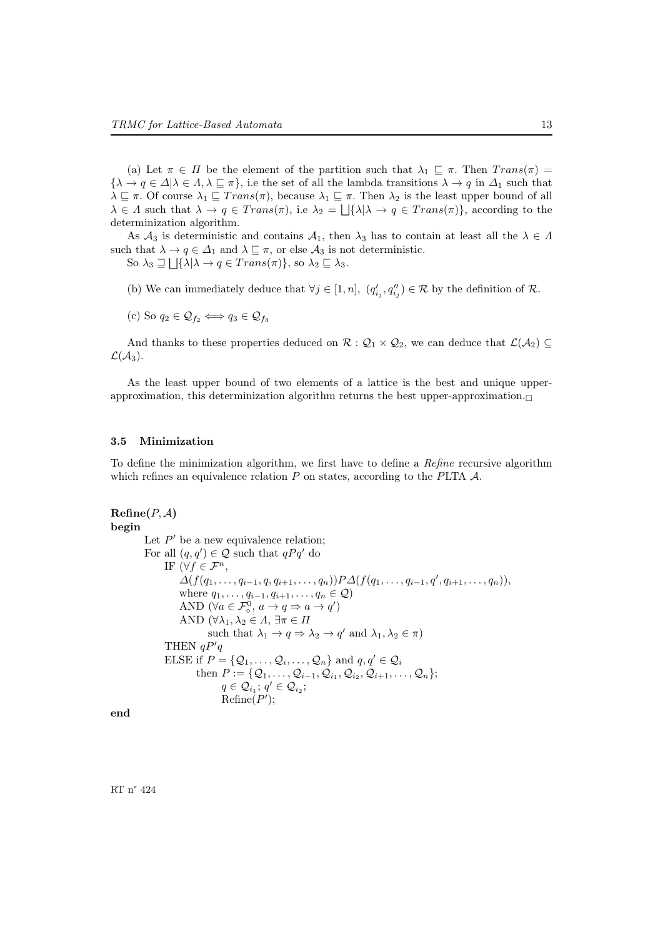(a) Let  $\pi \in \Pi$  be the element of the partition such that  $\lambda_1 \subseteq \pi$ . Then  $Trans(\pi) =$  ${\lambda \to q \in \Delta | \lambda \in \Lambda, \lambda \sqsubseteq \pi },$  i.e the set of all the lambda transitions  $\lambda \to q$  in  $\Delta_1$  such that  $\lambda \sqsubseteq \pi$ . Of course  $\lambda_1 \sqsubseteq Trans(\pi)$ , because  $\lambda_1 \sqsubseteq \pi$ . Then  $\lambda_2$  is the least upper bound of all  $\lambda \in \Lambda$  such that  $\lambda \to q \in Trans(\pi)$ , i.e  $\lambda_2 = \bigcup \{\lambda | \lambda \to q \in Trans(\pi)\}\)$ , according to the determinization algorithm.

As  $\mathcal{A}_3$  is deterministic and contains  $\mathcal{A}_1$ , then  $\lambda_3$  has to contain at least all the  $\lambda \in \Lambda$ such that  $\lambda \to q \in \Delta_1$  and  $\lambda \sqsubseteq \pi$ , or else  $\mathcal{A}_3$  is not deterministic.

So  $\lambda_3 \sqsupseteq \bigsqcup \{\lambda | \lambda \to q \in Trans(\pi)\},$  so  $\lambda_2 \sqsubseteq \lambda_3$ .

(b) We can immediately deduce that  $\forall j \in [1, n]$ ,  $(q'_{i_j}, q''_{i_j}) \in \mathcal{R}$  by the definition of  $\mathcal{R}$ .

(c) So 
$$
q_2 \in \mathcal{Q}_{f_2} \Longleftrightarrow q_3 \in \mathcal{Q}_{f_3}
$$

And thanks to these properties deduced on  $\mathcal{R} : \mathcal{Q}_1 \times \mathcal{Q}_2$ , we can deduce that  $\mathcal{L}(\mathcal{A}_2) \subseteq$  $\mathcal{L}(\mathcal{A}_3)$ .

As the least upper bound of two elements of a lattice is the best and unique upperapproximation, this determinization algorithm returns the best upper-approximation. $\Box$ 

#### 3.5 Minimization

To define the minimization algorithm, we first have to define a Refine recursive algorithm which refines an equivalence relation  $P$  on states, according to the PLTA  $A$ .

```
\mathbf{Refine}(P, \mathcal{A})begin
            Let P' be a new equivalence relation;
            For all (q, q') \in \mathcal{Q} such that qPq' do
                  IF (\forall f \in \mathcal{F}^n,\Delta(f(q_1,\ldots,q_{i-1},q,q_{i+1},\ldots,q_n))P\Delta(f(q_1,\ldots,q_{i-1},q',q_{i+1},\ldots,q_n)),where q_1, \ldots, q_{i-1}, q_{i+1}, \ldots, q_n \in \mathcal{Q}AND (\forall a \in \mathcal{F}_{\circ}^0, a \to q \Rightarrow a \to q')AND (\forall \lambda_1, \lambda_2 \in \Lambda, \exists \pi \in \Pi)such that \lambda_1 \to q \Rightarrow \lambda_2 \to q' and \lambda_1, \lambda_2 \in \pi)
                  THEN qP'qELSE if P = \{Q_1, \ldots, Q_i, \ldots, Q_n\} and q, q' \in Q_ithen P := \{Q_1, \ldots, Q_{i-1}, Q_{i_1}, Q_{i_2}, Q_{i+1}, \ldots, Q_n\};q \in \mathcal{Q}_{i_1}; q' \in \mathcal{Q}_{i_2};\text{Refine}(P');
```
end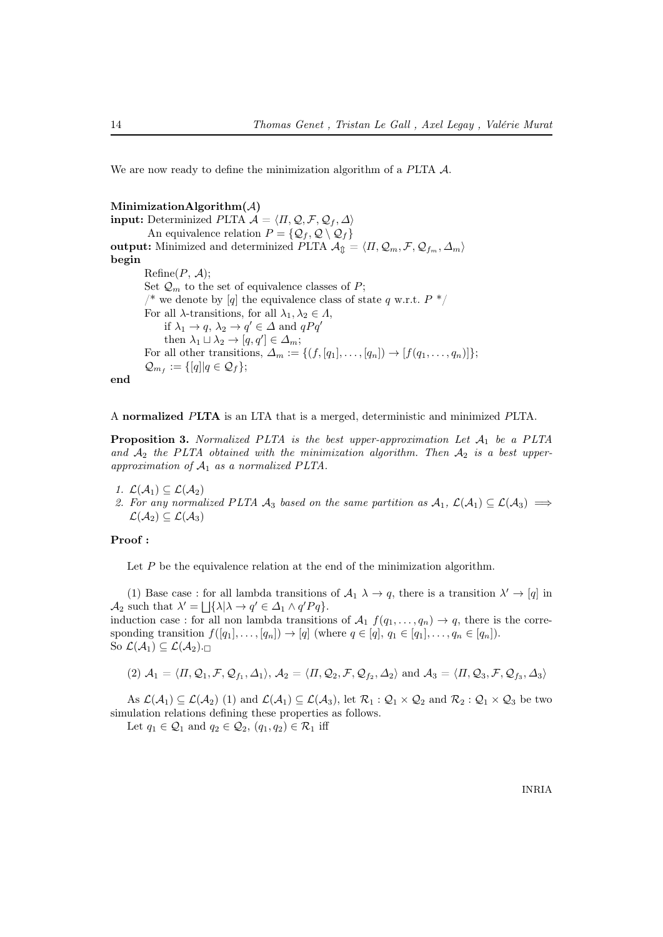We are now ready to define the minimization algorithm of a PLTA  $\mathcal{A}$ .

#### MinimizationAlgorithm $(A)$

**input:** Determinized PLTA  $\mathcal{A} = \langle \Pi, \mathcal{Q}, \mathcal{F}, \mathcal{Q}_f, \Delta \rangle$ An equivalence relation  $P = \{Q_f, Q \setminus Q_f\}$ output: Minimized and determinized PLTA  $\mathcal{A}_{\text{th}} = \langle \Pi, \mathcal{Q}_m, \mathcal{F}, \mathcal{Q}_{f_m}, \Delta_m \rangle$ begin  $\text{Refine}(P, \mathcal{A});$ Set  $\mathcal{Q}_m$  to the set of equivalence classes of P; /\* we denote by [q] the equivalence class of state q w.r.t.  $P \cdot \frac{1}{2}$ For all  $\lambda$ -transitions, for all  $\lambda_1, \lambda_2 \in \Lambda$ , if  $\lambda_1 \to q$ ,  $\lambda_2 \to q' \in \Delta$  and  $qPq'$ then  $\lambda_1 \sqcup \lambda_2 \rightarrow [q, q'] \in \Delta_m;$ For all other transitions,  $\Delta_m := \{ (f, [q_1], \ldots, [q_n]) \to [f(q_1, \ldots, q_n)] \};$  $\mathcal{Q}_{m_f} := \{ [q] | q \in \mathcal{Q}_f \};$ 

end

A normalized PLTA is an LTA that is a merged, deterministic and minimized PLTA.

**Proposition 3.** Normalized PLTA is the best upper-approximation Let  $A_1$  be a PLTA and  $A_2$  the PLTA obtained with the minimization algorithm. Then  $A_2$  is a best upperapproximation of  $A_1$  as a normalized PLTA.

1.  $\mathcal{L}(\mathcal{A}_1) \subseteq \mathcal{L}(\mathcal{A}_2)$ 2. For any normalized PLTA  $\mathcal{A}_3$  based on the same partition as  $\mathcal{A}_1$ ,  $\mathcal{L}(\mathcal{A}_1) \subseteq \mathcal{L}(\mathcal{A}_3) \implies$  $\mathcal{L}(\mathcal{A}_2) \subseteq \mathcal{L}(\mathcal{A}_3)$ 

### Proof :

Let  $P$  be the equivalence relation at the end of the minimization algorithm.

(1) Base case : for all lambda transitions of  $A_1 \lambda \to q$ , there is a transition  $\lambda' \to [q]$  in  $\mathcal{A}_2$  such that  $\lambda' = \bigsqcup \{ \lambda | \lambda \to q' \in \Delta_1 \wedge q' P q \}.$ 

induction case : for all non lambda transitions of  $\mathcal{A}_1$   $f(q_1, \ldots, q_n) \rightarrow q$ , there is the corresponding transition  $f([q_1], \ldots, [q_n]) \to [q]$  (where  $q \in [q], q_1 \in [q_1], \ldots, q_n \in [q_n]$ ). So  $\mathcal{L}(\mathcal{A}_1) \subseteq \mathcal{L}(\mathcal{A}_2)$ .

$$
(2) \mathcal{A}_1=\langle \varPi, \mathcal{Q}_1, \mathcal{F}, \mathcal{Q}_{f_1}, \varDelta_1 \rangle, \mathcal{A}_2=\langle \varPi, \mathcal{Q}_2, \mathcal{F}, \mathcal{Q}_{f_2}, \varDelta_2 \rangle \text{ and } \mathcal{A}_3=\langle \varPi, \mathcal{Q}_3, \mathcal{F}, \mathcal{Q}_{f_3}, \varDelta_3 \rangle
$$

As  $\mathcal{L}(\mathcal{A}_1) \subseteq \mathcal{L}(\mathcal{A}_2)$  (1) and  $\mathcal{L}(\mathcal{A}_1) \subseteq \mathcal{L}(\mathcal{A}_3)$ , let  $\mathcal{R}_1 : \mathcal{Q}_1 \times \mathcal{Q}_2$  and  $\mathcal{R}_2 : \mathcal{Q}_1 \times \mathcal{Q}_3$  be two simulation relations defining these properties as follows.

Let  $q_1 \in \mathcal{Q}_1$  and  $q_2 \in \mathcal{Q}_2$ ,  $(q_1, q_2) \in \mathcal{R}_1$  iff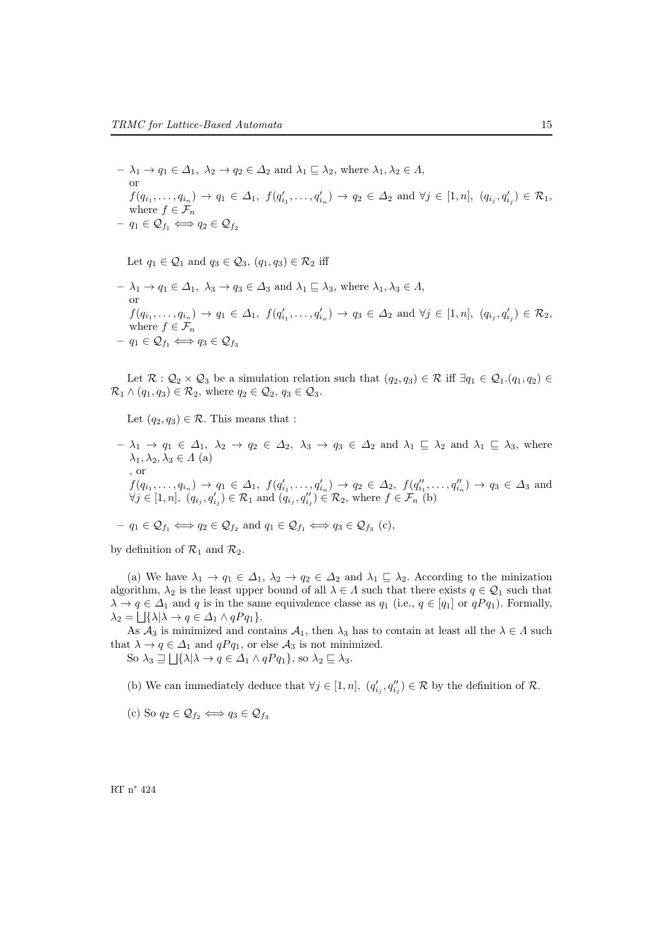$- \lambda_1 \to q_1 \in \Delta_1$ ,  $\lambda_2 \to q_2 \in \Delta_2$  and  $\lambda_1 \sqsubseteq \lambda_2$ , where  $\lambda_1, \lambda_2 \in \Lambda$ , or  $f(q_{i_1},...,q_{i_n}) \to q_1 \in \Delta_1, f(q'_{i_1},...,q'_{i_n}) \to q_2 \in \Delta_2 \text{ and } \forall j \in [1,n], (q_{i_j},q'_{i_j}) \in \mathcal{R}_1,$ where  $f \in \mathcal{F}_n$  $- q_1 \in \mathcal{Q}_{f_1} \Longleftrightarrow q_2 \in \mathcal{Q}_{f_2}$ 

Let  $q_1 \in \mathcal{Q}_1$  and  $q_3 \in \mathcal{Q}_3$ ,  $(q_1, q_3) \in \mathcal{R}_2$  iff

 $-\lambda_1 \to q_1 \in \Delta_1$ ,  $\lambda_3 \to q_3 \in \Delta_3$  and  $\lambda_1 \sqsubseteq \lambda_3$ , where  $\lambda_1, \lambda_3 \in \Lambda$ , or  $f(q_{i_1},...,q_{i_n}) \to q_1 \in \Delta_1, f(q'_{i_1},...,q'_{i_n}) \to q_3 \in \Delta_2 \text{ and } \forall j \in [1,n], (q_{i_j},q'_{i_j}) \in \mathcal{R}_2,$ where  $f \in \mathcal{F}_n$  $- q_1 \in \mathcal{Q}_{f_1} \Longleftrightarrow q_3 \in \mathcal{Q}_{f_3}$ 

Let  $\mathcal{R} : \mathcal{Q}_2 \times \mathcal{Q}_3$  be a simulation relation such that  $(q_2, q_3) \in \mathcal{R}$  iff  $\exists q_1 \in \mathcal{Q}_1.(q_1, q_2) \in$  $\mathcal{R}_1 \wedge (q_1, q_3) \in \mathcal{R}_2$ , where  $q_2 \in \mathcal{Q}_2$ ,  $q_3 \in \mathcal{Q}_3$ .

Let  $(q_2, q_3) \in \mathcal{R}$ . This means that :

 $-\lambda_1 \to q_1 \in \Delta_1$ ,  $\lambda_2 \to q_2 \in \Delta_2$ ,  $\lambda_3 \to q_3 \in \Delta_2$  and  $\lambda_1 \sqsubseteq \lambda_2$  and  $\lambda_1 \sqsubseteq \lambda_3$ , where  $\lambda_1, \lambda_2, \lambda_3 \in \Lambda$  (a) , or  $f(q_{i_1},...,q_{i_n}) \to q_1 \in \Delta_1$ ,  $f(q'_{i_1},...,q'_{i_n}) \to q_2 \in \Delta_2$ ,  $f(q''_{i_1},...,q''_{i_n}) \to q_3 \in \Delta_3$  and  $\forall j \in [1, n], (q_{i_j}, q'_{i_j}) \in \mathcal{R}_1 \text{ and } (q_{i_j}, q''_{i_j}) \in \mathcal{R}_2 \text{, where } f \in \mathcal{F}_n$ <sup>[b)</sup>

$$
-q_1 \in \mathcal{Q}_{f_1} \Longleftrightarrow q_2 \in \mathcal{Q}_{f_2}
$$
 and  $q_1 \in \mathcal{Q}_{f_1} \Longleftrightarrow q_3 \in \mathcal{Q}_{f_3}$  (c),

by definition of  $\mathcal{R}_1$  and  $\mathcal{R}_2$ .

(a) We have  $\lambda_1 \to q_1 \in \Delta_1$ ,  $\lambda_2 \to q_2 \in \Delta_2$  and  $\lambda_1 \sqsubseteq \lambda_2$ . According to the minization algorithm,  $\lambda_2$  is the least upper bound of all  $\lambda \in \Lambda$  such that there exists  $q \in \mathcal{Q}_1$  such that  $\lambda \to q \in \Delta_1$  and q is in the same equivalence classe as  $q_1$  (i.e.,  $q \in [q_1]$  or  $qPq_1$ ). Formally,  $\lambda_2 = \bigsqcup \{ \lambda | \lambda \to q \in \Delta_1 \wedge qPq_1 \}.$ 

As  $\mathcal{A}_3$  is minimized and contains  $\mathcal{A}_1$ , then  $\lambda_3$  has to contain at least all the  $\lambda \in \Lambda$  such that  $\lambda \to q \in \Delta_1$  and  $qPq_1$ , or else  $\mathcal{A}_3$  is not minimized.

So  $\lambda_3 \sqsupseteq \bigsqcup \{\lambda | \lambda \to q \in \Delta_1 \wedge qPq_1\}$ , so  $\lambda_2 \sqsubseteq \lambda_3$ .

- (b) We can immediately deduce that  $\forall j \in [1, n]$ ,  $(q'_{i_j}, q''_{i_j}) \in \mathcal{R}$  by the definition of  $\mathcal{R}$ .
- (c) So  $q_2 \in \mathcal{Q}_{f_2} \Longleftrightarrow q_3 \in \mathcal{Q}_{f_3}$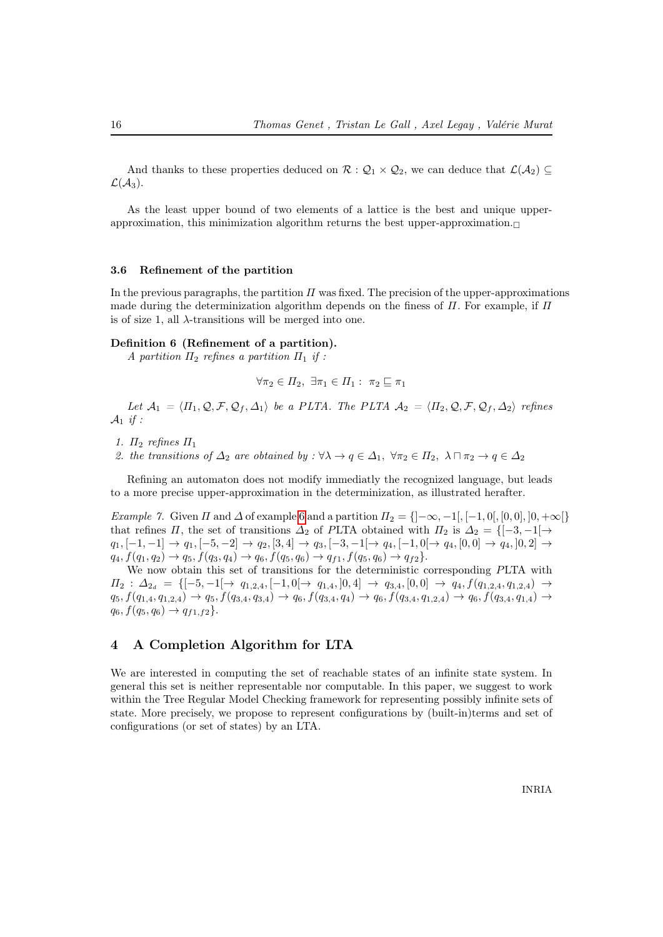And thanks to these properties deduced on  $\mathcal{R} : \mathcal{Q}_1 \times \mathcal{Q}_2$ , we can deduce that  $\mathcal{L}(\mathcal{A}_2) \subseteq$  $\mathcal{L}(\mathcal{A}_3)$ .

As the least upper bound of two elements of a lattice is the best and unique upperapproximation, this minimization algorithm returns the best upper-approximation. $\Box$ 

### 3.6 Refinement of the partition

In the previous paragraphs, the partition  $\Pi$  was fixed. The precision of the upper-approximations made during the determinization algorithm depends on the finess of  $\Pi$ . For example, if  $\Pi$ is of size 1, all  $\lambda$ -transitions will be merged into one.

### Definition 6 (Refinement of a partition).

A partition  $\Pi_2$  refines a partition  $\Pi_1$  if :

$$
\forall \pi_2 \in \Pi_2, \ \exists \pi_1 \in \Pi_1 : \ \pi_2 \sqsubseteq \pi_1
$$

Let  $\mathcal{A}_1 = \langle \Pi_1, \mathcal{Q}, \mathcal{F}, \mathcal{Q}_f, \Delta_1 \rangle$  be a PLTA. The PLTA  $\mathcal{A}_2 = \langle \Pi_2, \mathcal{Q}, \mathcal{F}, \mathcal{Q}_f, \Delta_2 \rangle$  refines  $\mathcal{A}_1$  if :

- 1.  $\Pi_2$  refines  $\Pi_1$
- 2. the transitions of  $\Delta_2$  are obtained by :  $\forall \lambda \to q \in \Delta_1$ ,  $\forall \pi_2 \in \Pi_2$ ,  $\lambda \sqcap \pi_2 \to q \in \Delta_2$

Refining an automaton does not modify immediatly the recognized language, but leads to a more precise upper-approximation in the determinization, as illustrated herafter.

Example 7. Given  $\Pi$  and  $\Delta$  of example [6](#page-13-1) and a partition  $\Pi_2 = \{]-\infty, -1[, [-1, 0[, [0, 0], ]0, +\infty[\}$ that refines  $\Pi$ , the set of transitions  $\Delta_2$  of PLTA obtained with  $\Pi_2$  is  $\Delta_2 = \{[-3, -1] \rightarrow \}$  $q_1, [-1, -1] \rightarrow q_1, [-5, -2] \rightarrow q_2, [3, 4] \rightarrow q_3, [-3, -1] \rightarrow q_4, [-1, 0] \rightarrow q_4, [0, 0] \rightarrow q_4, [0, 2] \rightarrow$  $q_4, f(q_1, q_2) \rightarrow q_5, f(q_3, q_4) \rightarrow q_6, f(q_5, q_6) \rightarrow q_{f1}, f(q_5, q_6) \rightarrow q_{f2}$ .

We now obtain this set of transitions for the deterministic corresponding PLTA with  $\Pi_2$  :  $\Delta_{2_d} = \{[-5, -1[ \rightarrow q_{1,2,4}, [-1, 0[ \rightarrow q_{1,4}, ] 0, 4] \rightarrow q_{3,4}, [0, 0] \rightarrow q_4, f(q_{1,2,4}, q_{1,2,4}) \rightarrow$  $q_5, f(q_{1,4}, q_{1,2,4}) \rightarrow q_5, f(q_{3,4}, q_{3,4}) \rightarrow q_6, f(q_{3,4}, q_4) \rightarrow q_6, f(q_{3,4}, q_{1,2,4}) \rightarrow q_6, f(q_{3,4}, q_{1,4}) \rightarrow$  $q_6, f(q_5, q_6) \rightarrow q_{f1,f2}$ .

### <span id="page-18-0"></span>4 A Completion Algorithm for LTA

We are interested in computing the set of reachable states of an infinite state system. In general this set is neither representable nor computable. In this paper, we suggest to work within the Tree Regular Model Checking framework for representing possibly infinite sets of state. More precisely, we propose to represent configurations by (built-in)terms and set of configurations (or set of states) by an LTA.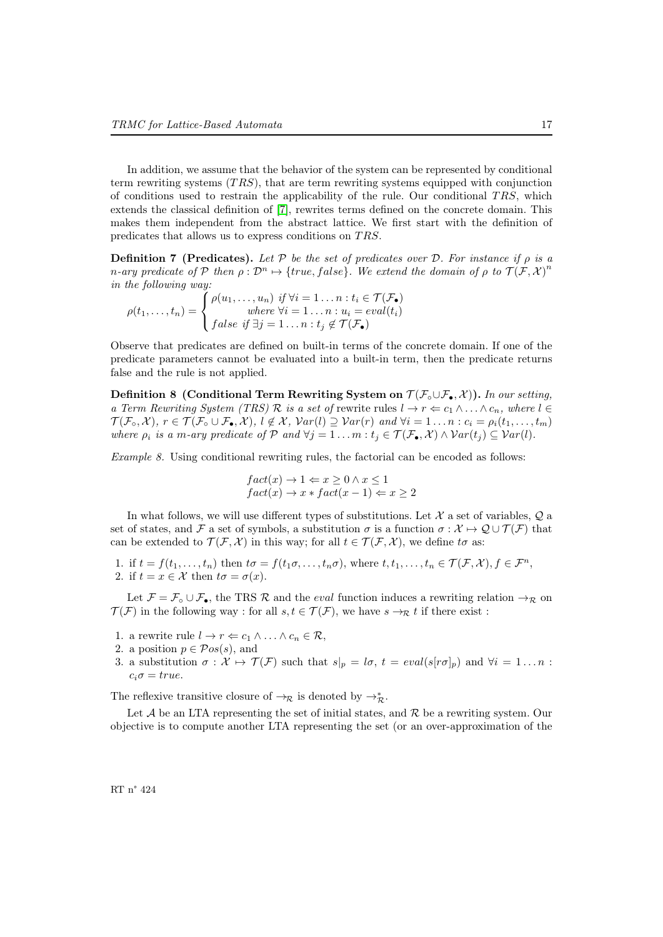In addition, we assume that the behavior of the system can be represented by conditional term rewriting systems  $(TRS)$ , that are term rewriting systems equipped with conjunction of conditions used to restrain the applicability of the rule. Our conditional  $TRS$ , which extends the classical definition of [\[7\]](#page-37-16), rewrites terms defined on the concrete domain. This makes them independent from the abstract lattice. We first start with the definition of predicates that allows us to express conditions on TRS.

**Definition 7 (Predicates).** Let P be the set of predicates over D. For instance if  $\rho$  is a n-ary predicate of P then  $\rho : \mathcal{D}^n \mapsto \{true, false\}$ . We extend the domain of  $\rho$  to  $\mathcal{T}(\mathcal{F}, \mathcal{X})^n$ in the following way:

$$
\rho(t_1,\ldots,t_n) = \begin{cases} \rho(u_1,\ldots,u_n) & \text{if } \forall i = 1\ldots n : t_i \in \mathcal{T}(\mathcal{F}_\bullet) \\ \text{where } \forall i = 1\ldots n : u_i = \text{eval}(t_i) \\ \text{false if } \exists j = 1\ldots n : t_j \notin \mathcal{T}(\mathcal{F}_\bullet) \end{cases}
$$

Observe that predicates are defined on built-in terms of the concrete domain. If one of the predicate parameters cannot be evaluated into a built-in term, then the predicate returns false and the rule is not applied.

Definition 8 (Conditional Term Rewriting System on  $\mathcal{T}(\mathcal{F}_{\bullet}\cup\mathcal{F}_{\bullet},\mathcal{X})$ ). In our setting, a Term Rewriting System (TRS) R is a set of rewrite rules  $l \to r \Leftarrow c_1 \wedge \ldots \wedge c_n$ , where  $l \in$  $\mathcal{T}(\mathcal{F}_{\circ}, \mathcal{X}), r \in \mathcal{T}(\mathcal{F}_{\circ} \cup \mathcal{F}_{\bullet}, \mathcal{X}), l \notin \mathcal{X}, \text{Var}(l) \supseteq \text{Var}(r) \text{ and } \forall i = 1 \dots n : c_i = \rho_i(t_1, \dots, t_m)$ where  $\rho_i$  is a m-ary predicate of P and  $\forall j = 1 \dots m : t_j \in \mathcal{T}(\mathcal{F}_\bullet, \mathcal{X}) \wedge \mathcal{V}ar(t_j) \subseteq \mathcal{V}ar(l)$ .

Example 8. Using conditional rewriting rules, the factorial can be encoded as follows:

$$
fact(x) \to 1 \Leftarrow x \ge 0 \land x \le 1
$$
  

$$
fact(x) \to x * fact(x - 1) \Leftarrow x \ge 2
$$

In what follows, we will use different types of substitutions. Let  $\mathcal X$  a set of variables,  $\mathcal Q$  a set of states, and F a set of symbols, a substitution  $\sigma$  is a function  $\sigma : \mathcal{X} \mapsto \mathcal{Q} \cup \mathcal{T}(\mathcal{F})$  that can be extended to  $\mathcal{T}(\mathcal{F}, \mathcal{X})$  in this way; for all  $t \in \mathcal{T}(\mathcal{F}, \mathcal{X})$ , we define to as:

1. if  $t = f(t_1, \ldots, t_n)$  then  $t\sigma = f(t_1\sigma, \ldots, t_n\sigma)$ , where  $t, t_1, \ldots, t_n \in \mathcal{T}(\mathcal{F}, \mathcal{X}), f \in \mathcal{F}^n$ , 2. if  $t = x \in \mathcal{X}$  then  $t\sigma = \sigma(x)$ .

Let  $\mathcal{F} = \mathcal{F} \circ \cup \mathcal{F}_{\bullet}$ , the TRS  $\mathcal{R}$  and the *eval* function induces a rewriting relation  $\rightarrow_{\mathcal{R}}$  on  $\mathcal{T}(\mathcal{F})$  in the following way : for all  $s, t \in \mathcal{T}(\mathcal{F})$ , we have  $s \to_{\mathcal{R}} t$  if there exist :

- 1. a rewrite rule  $l \to r \Leftarrow c_1 \land \dots \land c_n \in \mathcal{R}$ ,
- 2. a position  $p \in \mathcal{P}os(s)$ , and
- 3. a substitution  $\sigma : \mathcal{X} \mapsto \mathcal{T}(\mathcal{F})$  such that  $s|_p = l\sigma$ ,  $t = eval(s[r\sigma]_p)$  and  $\forall i = 1...n$ :  $c_i\sigma = true.$

The reflexive transitive closure of  $\rightarrow_{\mathcal{R}}$  is denoted by  $\rightarrow_{\mathcal{R}}^*$ .

Let  $A$  be an LTA representing the set of initial states, and  $R$  be a rewriting system. Our objective is to compute another LTA representing the set (or an over-approximation of the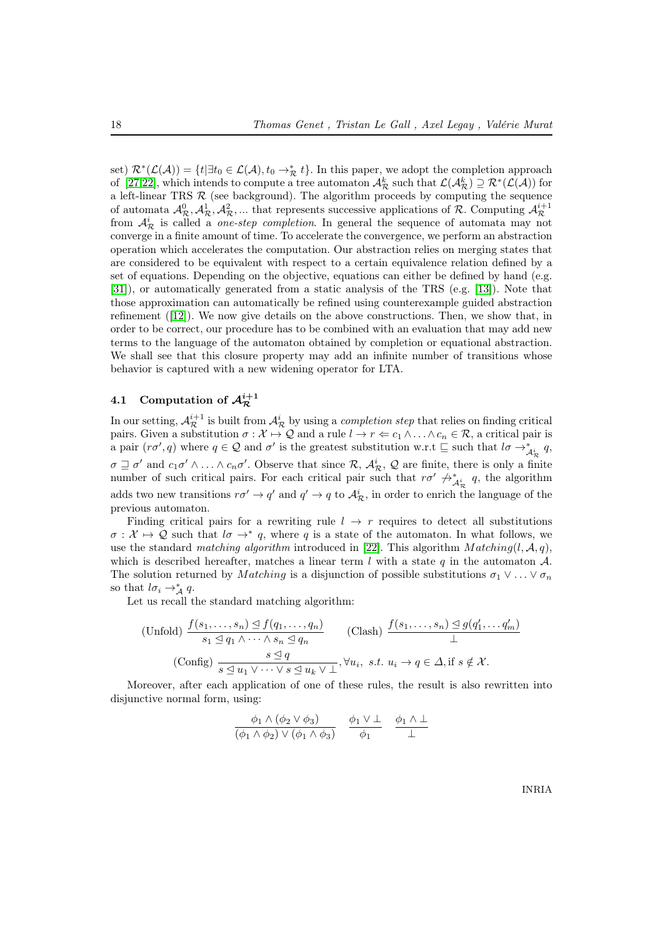set)  $\mathcal{R}^*(\mathcal{L}(\mathcal{A})) = \{t | \exists t_0 \in \mathcal{L}(\mathcal{A}), t_0 \to_{\mathcal{R}}^* t\}.$  In this paper, we adopt the completion approach of [\[27,](#page-38-3)[22\]](#page-37-17), which intends to compute a tree automaton  $\mathcal{A}_{\mathcal{R}}^k$  such that  $\mathcal{L}(\mathcal{A}_{\mathcal{R}}^k) \supseteq \mathcal{R}^*(\mathcal{L}(\mathcal{A}))$  for a left-linear TRS  $R$  (see background). The algorithm proceeds by computing the sequence of automata  $\mathcal{A}_{\mathcal{R}}^0, \mathcal{A}_{\mathcal{R}}^1, \mathcal{A}_{\mathcal{R}}^2, \dots$  that represents successive applications of  $\mathcal{R}$ . Computing  $\mathcal{A}_{\mathcal{R}}^{i+1}$ from  $\mathcal{A}_{\mathcal{R}}^{i}$  is called a *one-step completion*. In general the sequence of automata may not converge in a finite amount of time. To accelerate the convergence, we perform an abstraction operation which accelerates the computation. Our abstraction relies on merging states that are considered to be equivalent with respect to a certain equivalence relation defined by a set of equations. Depending on the objective, equations can either be defined by hand (e.g. [\[31\]](#page-38-7)), or automatically generated from a static analysis of the TRS (e.g. [\[13\]](#page-37-18)). Note that those approximation can automatically be refined using counterexample guided abstraction refinement ([\[12\]](#page-37-19)). We now give details on the above constructions. Then, we show that, in order to be correct, our procedure has to be combined with an evaluation that may add new terms to the language of the automaton obtained by completion or equational abstraction. We shall see that this closure property may add an infinite number of transitions whose behavior is captured with a new widening operator for LTA.

### <span id="page-20-0"></span>4.1 Computation of  $\mathcal{A}^{i+1}_\mathcal{R}$

In our setting,  $A_{\mathcal{R}}^{i+1}$  is built from  $A_{\mathcal{R}}^{i}$  by using a *completion step* that relies on finding critical pairs. Given a substitution  $\sigma : \mathcal{X} \mapsto \mathcal{Q}$  and a rule  $l \to r \Leftarrow c_1 \wedge \ldots \wedge c_n \in \mathcal{R}$ , a critical pair is a pair  $(r\sigma', q)$  where  $q \in \mathcal{Q}$  and  $\sigma'$  is the greatest substitution w.r.t  $\sqsubseteq$  such that  $l\sigma \to_{\mathcal{A}_R^+}^* q$ ,  $\sigma \sqsupseteq \sigma'$  and  $c_1\sigma' \wedge \ldots \wedge c_n\sigma'$ . Observe that since  $\mathcal{R}, \mathcal{A}_{\mathcal{R}}^i, \mathcal{Q}$  are finite, there is only a finite number of such critical pairs. For each critical pair such that  $r\sigma' \not\rightarrow^*_{\mathcal{A}^i_{\mathcal{R}}} q$ , the algorithm adds two new transitions  $r\sigma' \to q'$  and  $q' \to q$  to  $\mathcal{A}_{\mathcal{R}}^i$ , in order to enrich the language of the previous automaton.

Finding critical pairs for a rewriting rule  $l \rightarrow r$  requires to detect all substitutions  $\sigma: \mathcal{X} \mapsto \mathcal{Q}$  such that  $l\sigma \rightarrow^* q$ , where q is a state of the automaton. In what follows, we use the standard matching algorithm introduced in [\[22\]](#page-37-17). This algorithm  $Matching(l, \mathcal{A}, q)$ , which is described hereafter, matches a linear term l with a state q in the automaton  $\mathcal{A}$ . The solution returned by *M atching* is a disjunction of possible substitutions  $\sigma_1 \vee \ldots \vee \sigma_n$ so that  $l\sigma_i \rightarrow_A^* q$ .

Let us recall the standard matching algorithm:

$$
\begin{array}{ll}\n\text{(Unfold)} \ \frac{f(s_1, \ldots, s_n) \trianglelefteq f(q_1, \ldots, q_n)}{s_1 \trianglelefteq q_1 \wedge \cdots \wedge s_n \trianglelefteq q_n} & \text{(Clash)} \ \frac{f(s_1, \ldots, s_n) \trianglelefteq g(q'_1, \ldots, q'_m)}{\perp} \\
\text{(Config)} \ \frac{s \trianglelefteq q}{s \trianglelefteq u_1 \vee \cdots \vee s \trianglelefteq u_k \vee \perp}, \forall u_i, \ s.t. \ u_i \to q \in \Delta, \text{if } s \notin \mathcal{X}.\n\end{array}
$$

Moreover, after each application of one of these rules, the result is also rewritten into disjunctive normal form, using:

$$
\frac{\phi_1 \wedge (\phi_2 \vee \phi_3)}{(\phi_1 \wedge \phi_2) \vee (\phi_1 \wedge \phi_3)} \quad \frac{\phi_1 \vee \perp}{\phi_1} \quad \frac{\phi_1 \wedge \perp}{\perp}
$$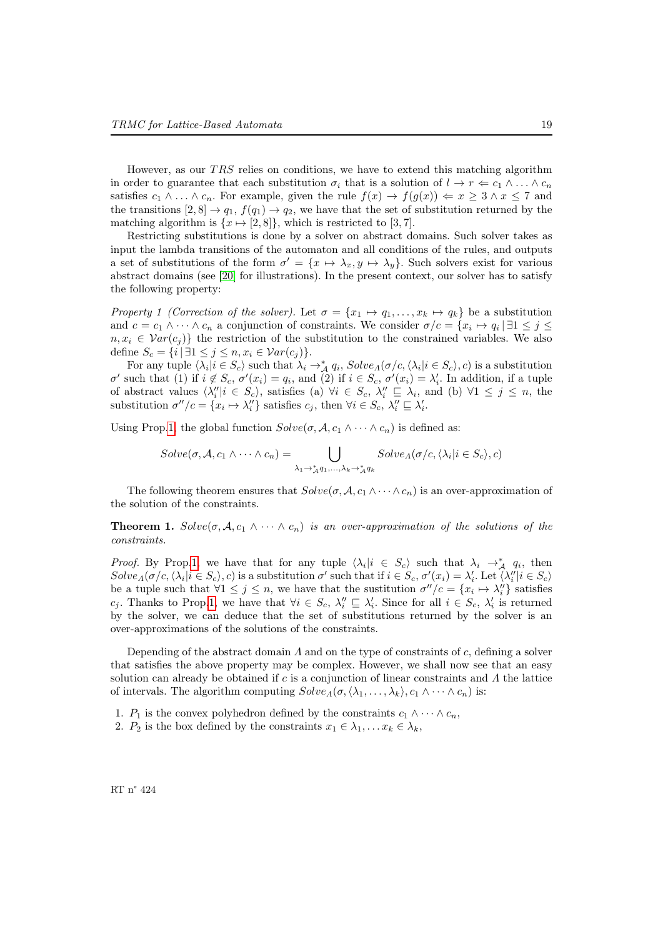However, as our  $TRS$  relies on conditions, we have to extend this matching algorithm in order to guarantee that each substitution  $\sigma_i$  that is a solution of  $l \to r \Leftarrow c_1 \wedge \ldots \wedge c_n$ satisfies  $c_1 \wedge \ldots \wedge c_n$ . For example, given the rule  $f(x) \rightarrow f(g(x)) \Leftarrow x \geq 3 \wedge x \leq 7$  and the transitions  $[2, 8] \rightarrow q_1$ ,  $f(q_1) \rightarrow q_2$ , we have that the set of substitution returned by the matching algorithm is  $\{x \mapsto [2, 8]\}$ , which is restricted to [3,7].

Restricting substitutions is done by a solver on abstract domains. Such solver takes as input the lambda transitions of the automaton and all conditions of the rules, and outputs a set of substitutions of the form  $\sigma' = \{x \mapsto \lambda_x, y \mapsto \lambda_y\}$ . Such solvers exist for various abstract domains (see [\[20\]](#page-37-20) for illustrations). In the present context, our solver has to satisfy the following property:

<span id="page-21-0"></span>Property 1 (Correction of the solver). Let  $\sigma = \{x_1 \mapsto q_1, \ldots, x_k \mapsto q_k\}$  be a substitution and  $c = c_1 \wedge \cdots \wedge c_n$  a conjunction of constraints. We consider  $\sigma/c = \{x_i \mapsto q_i \mid \exists 1 \leq j \leq n\}$  $n, x_i \in Var(c_j)$  the restriction of the substitution to the constrained variables. We also define  $S_c = \{i \mid \exists 1 \leq j \leq n, x_i \in \mathcal{V}ar(c_j)\}.$ 

For any tuple  $\langle \lambda_i | i \in S_c \rangle$  such that  $\lambda_i \to^*_{\mathcal{A}} q_i$ ,  $Solve_A(\sigma/c, \langle \lambda_i | i \in S_c \rangle, c)$  is a substitution σ' such that (1) if  $i \notin S_c$ ,  $σ'(x_i) = q_i$ , and (2) if  $i \in S_c$ ,  $σ'(x_i) = λ'_i$ . In addition, if a tuple of abstract values  $\langle \lambda''_i | i \in S_c \rangle$ , satisfies (a)  $\forall i \in S_c$ ,  $\lambda''_i \sqsubseteq \lambda_i$ , and (b)  $\forall 1 \leq j \leq n$ , the substitution  $\sigma''/c = \{x_i \mapsto \lambda_i''\}$  satisfies  $c_j$ , then  $\forall i \in S_c$ ,  $\lambda_i'' \sqsubseteq \lambda_i'$ .

Using Prop[.1,](#page-21-0) the global function  $Solve(\sigma, \mathcal{A}, c_1 \wedge \cdots \wedge c_n)$  is defined as:

$$
Solve(\sigma, \mathcal{A}, c_1 \wedge \cdots \wedge c_n) = \bigcup_{\lambda_1 \to \mathcal{A}, q_1, \ldots, \lambda_k \to \mathcal{A}, q_k} Solve_A(\sigma/c, \langle \lambda_i | i \in S_c \rangle, c)
$$

The following theorem ensures that  $Solve(\sigma, \mathcal{A}, c_1 \wedge \cdots \wedge c_n)$  is an over-approximation of the solution of the constraints.

**Theorem 1.**  $Solve(\sigma, \mathcal{A}, c_1 \wedge \cdots \wedge c_n)$  is an over-approximation of the solutions of the constraints.

*Proof.* By Prop[.1,](#page-21-0) we have that for any tuple  $\langle \lambda_i | i \in S_c \rangle$  such that  $\lambda_i \to_A^* q_i$ , then  $Solve_A(\sigma/c, \langle \lambda_i | i \in S_c \rangle, c)$  is a substitution  $\sigma'$  such that if  $i \in S_c$ ,  $\sigma'(x_i) = \lambda'_i$ . Let  $\langle \lambda''_i | i \in S_c \rangle$ be a tuple such that  $\forall 1 \leq j \leq n$ , we have that the sustitution  $\sigma''/c = \{x_i \mapsto \lambda''_i\}$  satisfies c<sub>j</sub>. Thanks to Prop[.1,](#page-21-0) we have that  $\forall i \in S_c$ ,  $\lambda''_i \subseteq \lambda'_i$ . Since for all  $i \in S_c$ ,  $\lambda'_i$  is returned by the solver, we can deduce that the set of substitutions returned by the solver is an over-approximations of the solutions of the constraints.

Depending of the abstract domain  $\Lambda$  and on the type of constraints of c, defining a solver that satisfies the above property may be complex. However, we shall now see that an easy solution can already be obtained if c is a conjunction of linear constraints and  $\Lambda$  the lattice of intervals. The algorithm computing  $Solve_A(\sigma, \langle \lambda_1, \ldots, \lambda_k \rangle, c_1 \wedge \cdots \wedge c_n)$  is:

1.  $P_1$  is the convex polyhedron defined by the constraints  $c_1 \wedge \cdots \wedge c_n$ ,

2.  $P_2$  is the box defined by the constraints  $x_1 \in \lambda_1, \ldots x_k \in \lambda_k$ ,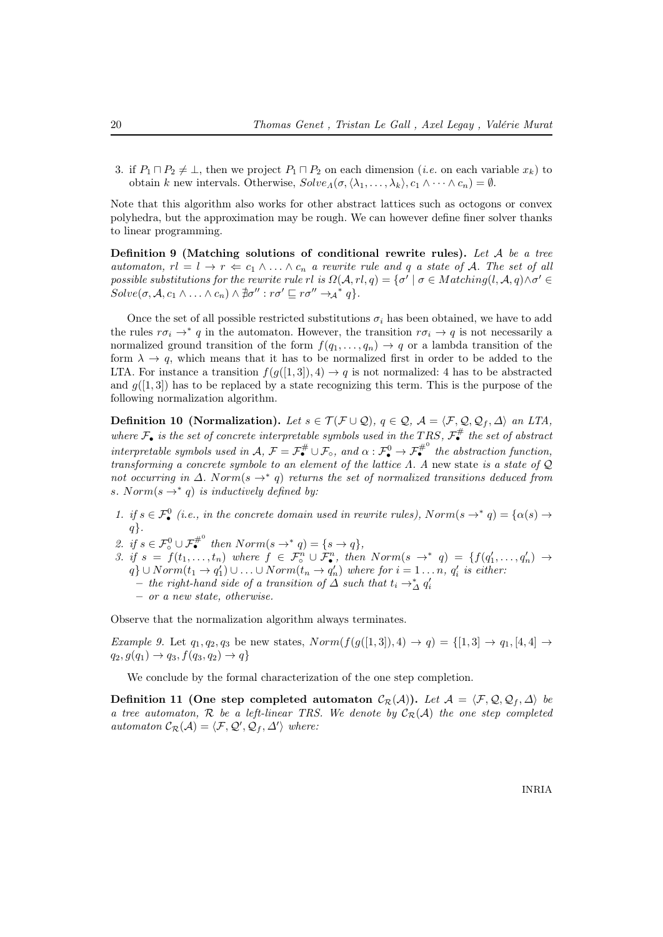3. if  $P_1 \sqcap P_2 \neq \bot$ , then we project  $P_1 \sqcap P_2$  on each dimension (*i.e.* on each variable  $x_k$ ) to obtain k new intervals. Otherwise,  $Solve_A(\sigma, \langle \lambda_1, \ldots, \lambda_k \rangle, c_1 \wedge \cdots \wedge c_n) = \emptyset$ .

Note that this algorithm also works for other abstract lattices such as octogons or convex polyhedra, but the approximation may be rough. We can however define finer solver thanks to linear programming.

<span id="page-22-0"></span>Definition 9 (Matching solutions of conditional rewrite rules). Let  $A$  be a tree automaton,  $rl = l \rightarrow r \Leftarrow c_1 \land \ldots \land c_n$  a rewrite rule and q a state of A. The set of all possible substitutions for the rewrite rule rl is  $\Omega(\mathcal{A},rl,q) = \{\sigma' \mid \sigma \in Matching(l,\mathcal{A},q) \wedge \sigma' \in$  $Solve(\sigma, \mathcal{A}, c_1 \wedge \ldots \wedge c_n) \wedge \exists \sigma'': r\sigma' \sqsubseteq r\sigma'' \rightarrow_{\mathcal{A}}^* q$ .

Once the set of all possible restricted substitutions  $\sigma_i$  has been obtained, we have to add the rules  $r\sigma_i \to^* q$  in the automaton. However, the transition  $r\sigma_i \to q$  is not necessarily a normalized ground transition of the form  $f(q_1, \ldots, q_n) \to q$  or a lambda transition of the form  $\lambda \to q$ , which means that it has to be normalized first in order to be added to the LTA. For instance a transition  $f(g([1,3]),4) \rightarrow q$  is not normalized: 4 has to be abstracted and  $g([1,3])$  has to be replaced by a state recognizing this term. This is the purpose of the following normalization algorithm.

Definition 10 (Normalization). Let  $s \in \mathcal{T}(\mathcal{F} \cup \mathcal{Q}), q \in \mathcal{Q}, \mathcal{A} = \langle \mathcal{F}, \mathcal{Q}, \mathcal{Q}_f, \Delta \rangle$  an LTA, where  $\mathcal{F}_{\bullet}$  is the set of concrete interpretable symbols used in the TRS,  $\mathcal{F}_{\bullet}^{\#}$  the set of abstract interpretable symbols used in  $\mathcal{A}, \mathcal{F} = \mathcal{F}_{\bullet}^{\#} \cup \mathcal{F}_{\circ}$ , and  $\alpha : \mathcal{F}_{\bullet}^{0} \to \mathcal{F}_{\bullet}^{\#^{0}}$  the abstraction function, transforming a concrete symbole to an element of the lattice  $\Lambda$ . A new state is a state of  $\mathcal{Q}$ not occurring in  $\Delta$ . Norm(s  $\rightarrow^*$  q) returns the set of normalized transitions deduced from s. Norm( $s \rightarrow * q$ ) is inductively defined by:

- 1. if  $s \in \mathcal{F}_\bullet^0$  (i.e., in the concrete domain used in rewrite rules),  $Norm(s \to^* q) = {\alpha(s) \to^* q}$  $q$ .
- 2. if  $s \in \mathcal{F}^0_\circ \cup \mathcal{F}_{\bullet}^{\#^0}$  then  $Norm(s \to^* q) = \{s \to q\},\$
- 3. if  $s = f(t_1,...,t_n)$  where  $f \in \mathcal{F}_{\circ}^n \cup \mathcal{F}_{\bullet}^n$ , then  $Norm(s \rightarrow^* q) = \{f(q'_1,...,q'_n) \rightarrow$  $q\} \cup Norm(t_1 \to q_1') \cup \ldots \cup Norm(t_n \to q_n')$  where for  $i = 1 \ldots n$ ,  $q_i'$  is either:  $-$  the right-hand side of a transition of  $\Delta$  such that  $t_i \rightarrow^*_{\Delta} q'_i$ – or a new state, otherwise.

Observe that the normalization algorithm always terminates.

Example 9. Let  $q_1, q_2, q_3$  be new states,  $Norm(f(g([1, 3]), 4) \rightarrow q) = \{[1, 3] \rightarrow q_1, [4, 4] \rightarrow$  $q_2, g(q_1) \to q_3, f(q_3, q_2) \to q$ 

We conclude by the formal characterization of the one step completion.

Definition 11 (One step completed automaton  $C_{\mathcal{R}}(\mathcal{A})$ ). Let  $\mathcal{A} = \langle \mathcal{F}, \mathcal{Q}, \mathcal{Q}_f, \Delta \rangle$  be a tree automaton, R be a left-linear TRS. We denote by  $\mathcal{C}_{\mathcal{R}}(\mathcal{A})$  the one step completed automaton  $\mathcal{C}_{\mathcal{R}}(\mathcal{A}) = \langle \mathcal{F}, \mathcal{Q}', \mathcal{Q}_f, \Delta' \rangle$  where: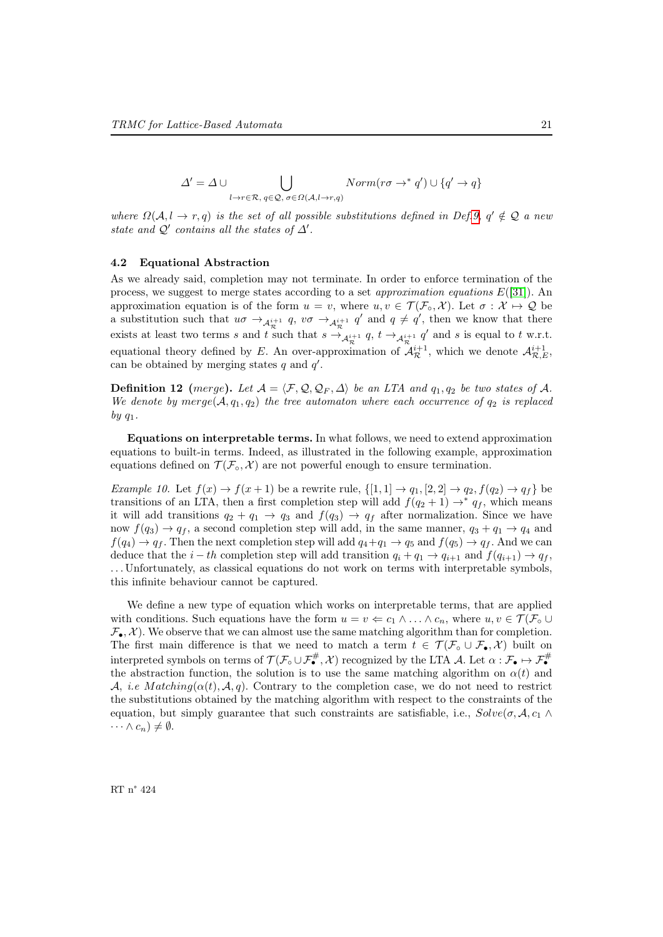$$
\Delta' = \Delta \cup \bigcup_{l \to r \in \mathcal{R}, q \in \mathcal{Q}, \sigma \in \Omega(\mathcal{A}, l \to r, q)} Norm(r\sigma \to^* q') \cup \{q' \to q\}
$$

where  $\Omega(\mathcal{A}, l \to r, q)$  is the set of all possible substitutions defined in Def[.9,](#page-22-0)  $q' \notin \mathcal{Q}$  a new state and  $\mathcal{Q}'$  contains all the states of  $\Delta'$ .

### 4.2 Equational Abstraction

As we already said, completion may not terminate. In order to enforce termination of the process, we suggest to merge states according to a set *approximation equations*  $E([31])$  $E([31])$  $E([31])$ . An approximation equation is of the form  $u = v$ , where  $u, v \in \mathcal{T}(\mathcal{F}_{\circ}, \mathcal{X})$ . Let  $\sigma : \mathcal{X} \mapsto \mathcal{Q}$  be a substitution such that  $u\sigma \to_{\mathcal{A}^{i+1}_\mathcal{R}} q$ ,  $v\sigma \to_{\mathcal{A}^{i+1}_\mathcal{R}} q'$  and  $q \neq q'$ , then we know that there exists at least two terms s and t such that  $s \to_{\mathcal{A}^{i+1}_\mathcal{R}} q$ ,  $t \to_{\mathcal{A}^{i+1}_\mathcal{R}} q'$  and s is equal to t w.r.t. equational theory defined by E. An over-approximation of  $\mathcal{A}_{\mathcal{R}}^{i+1}$ , which we denote  $\mathcal{A}_{\mathcal{R},E}^{i+1}$ , can be obtained by merging states  $q$  and  $q'$ .

**Definition 12** (merge). Let  $A = \langle F, Q, Q_F, \Delta \rangle$  be an LTA and  $q_1, q_2$  be two states of A. We denote by merge( $A, q_1, q_2$ ) the tree automaton where each occurrence of  $q_2$  is replaced by  $q_1$ .

Equations on interpretable terms. In what follows, we need to extend approximation equations to built-in terms. Indeed, as illustrated in the following example, approximation equations defined on  $\mathcal{T}(\mathcal{F}_{\circ}, \mathcal{X})$  are not powerful enough to ensure termination.

<span id="page-23-0"></span>Example 10. Let  $f(x) \rightarrow f(x+1)$  be a rewrite rule,  $\{[1,1] \rightarrow q_1, [2,2] \rightarrow q_2, f(q_2) \rightarrow q_f\}$  be transitions of an LTA, then a first completion step will add  $f(q_2 + 1) \rightarrow^* q_f$ , which means it will add transitions  $q_2 + q_1 \rightarrow q_3$  and  $f(q_3) \rightarrow q_f$  after normalization. Since we have now  $f(q_3) \rightarrow q_f$ , a second completion step will add, in the same manner,  $q_3 + q_1 \rightarrow q_4$  and  $f(q_4) \rightarrow q_f$ . Then the next completion step will add  $q_4+q_1 \rightarrow q_5$  and  $f(q_5) \rightarrow q_f$ . And we can deduce that the  $i - th$  completion step will add transition  $q_i + q_1 \rightarrow q_{i+1}$  and  $f(q_{i+1}) \rightarrow q_f$ , . . . Unfortunately, as classical equations do not work on terms with interpretable symbols, this infinite behaviour cannot be captured.

We define a new type of equation which works on interpretable terms, that are applied with conditions. Such equations have the form  $u = v \Leftarrow c_1 \wedge \ldots \wedge c_n$ , where  $u, v \in \mathcal{T}(\mathcal{F}_\circ \cup$  $\mathcal{F}_{\bullet}, \mathcal{X}$ ). We observe that we can almost use the same matching algorithm than for completion. The first main difference is that we need to match a term  $t \in \mathcal{T}(\mathcal{F}_{\circ} \cup \mathcal{F}_{\bullet}, \mathcal{X})$  built on interpreted symbols on terms of  $\mathcal{T}(\mathcal{F}_{\circ} \cup \mathcal{F}_{\bullet}^{\#}, \mathcal{X})$  recognized by the LTA  $\mathcal{A}$ . Let  $\alpha : \mathcal{F}_{\bullet} \mapsto \mathcal{F}_{\bullet}^{\#}$ the abstraction function, the solution is to use the same matching algorithm on  $\alpha(t)$  and A, i.e Matching( $\alpha(t)$ , A, q). Contrary to the completion case, we do not need to restrict the substitutions obtained by the matching algorithm with respect to the constraints of the equation, but simply guarantee that such constraints are satisfiable, i.e.,  $Solve(\sigma, \mathcal{A}, c_1 \wedge c_2)$  $\cdots \wedge c_n) \neq \emptyset.$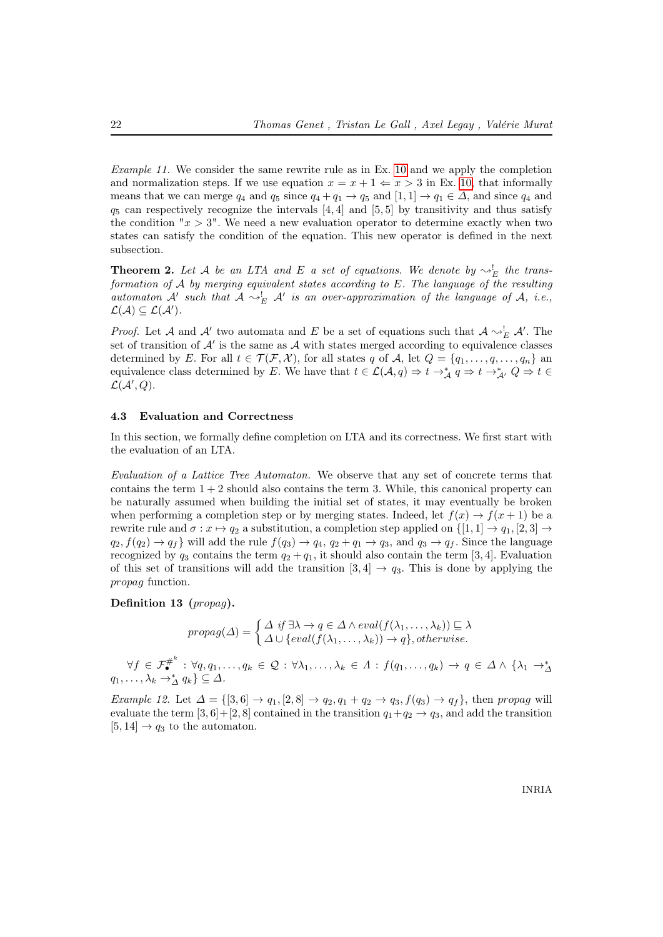Example 11. We consider the same rewrite rule as in Ex. [10](#page-23-0) and we apply the completion and normalization steps. If we use equation  $x = x + 1 \Leftarrow x > 3$  in Ex. [10,](#page-23-0) that informally means that we can merge  $q_4$  and  $q_5$  since  $q_4 + q_1 \rightarrow q_5$  and  $[1, 1] \rightarrow q_1 \in \Delta$ , and since  $q_4$  and  $q_5$  can respectively recognize the intervals [4, 4] and [5, 5] by transitivity and thus satisfy the condition " $x > 3$ ". We need a new evaluation operator to determine exactly when two states can satisfy the condition of the equation. This new operator is defined in the next subsection.

<span id="page-24-1"></span>**Theorem 2.** Let A be an LTA and E a set of equations. We denote by  $\sim_E^!$  the transformation of A by merging equivalent states according to E. The language of the resulting automaton A' such that  $A \sim_E^! A'$  is an over-approximation of the language of A, i.e.,  $\mathcal{L}(\mathcal{A}) \subseteq \mathcal{L}(\mathcal{A}').$ 

*Proof.* Let A and A' two automata and E be a set of equations such that  $A \sim_E^! A'$ . The set of transition of  $A'$  is the same as  $A$  with states merged according to equivalence classes determined by E. For all  $t \in \mathcal{T}(\mathcal{F}, \mathcal{X})$ , for all states q of A, let  $Q = \{q_1, \ldots, q, \ldots, q_n\}$  and equivalence class determined by E. We have that  $t \in \mathcal{L}(\mathcal{A}, q) \Rightarrow t \to_A^* q \Rightarrow t \to_{\mathcal{A}'}^* Q \Rightarrow t \in$  $\mathcal{L}(\mathcal{A}',Q).$ 

#### <span id="page-24-2"></span>4.3 Evaluation and Correctness

In this section, we formally define completion on LTA and its correctness. We first start with the evaluation of an LTA.

Evaluation of a Lattice Tree Automaton. We observe that any set of concrete terms that contains the term  $1 + 2$  should also contains the term 3. While, this canonical property can be naturally assumed when building the initial set of states, it may eventually be broken when performing a completion step or by merging states. Indeed, let  $f(x) \rightarrow f(x+1)$  be a rewrite rule and  $\sigma: x \mapsto q_2$  a substitution, a completion step applied on  $\{[1, 1] \mapsto q_1, [2, 3] \mapsto$  $q_2, f(q_2) \rightarrow q_f$  will add the rule  $f(q_3) \rightarrow q_4, q_2 + q_1 \rightarrow q_3$ , and  $q_3 \rightarrow q_f$ . Since the language recognized by  $q_3$  contains the term  $q_2 + q_1$ , it should also contain the term [3, 4]. Evaluation of this set of transitions will add the transition  $[3, 4] \rightarrow q_3$ . This is done by applying the propag function.

<span id="page-24-0"></span>Definition 13 (propag).

$$
propag(\Delta) = \begin{cases} \Delta \text{ if } \exists \lambda \to q \in \Delta \land eval(f(\lambda_1, ..., \lambda_k)) \sqsubseteq \lambda \\ \Delta \cup \{eval(f(\lambda_1, ..., \lambda_k)) \to q\}, otherwise. \end{cases}
$$

 $\forall f \in \mathcal{F}_{\bullet}^{\#^k}: \forall q, q_1, \ldots, q_k \in \mathcal{Q}: \forall \lambda_1, \ldots, \lambda_k \in \Lambda: f(q_1, \ldots, q_k) \to q \in \Delta \wedge \{\lambda_1 \to \lambda \leq q_1, \ldots, \lambda_k \to \lambda \leq q_k\}$ 

Example 12. Let  $\Delta = \{ [3, 6] \rightarrow q_1, [2, 8] \rightarrow q_2, q_1 + q_2 \rightarrow q_3, f(q_3) \rightarrow q_f \}$ , then propag will evaluate the term  $[3, 6] + [2, 8]$  contained in the transition  $q_1+q_2 \rightarrow q_3$ , and add the transition  $[5, 14] \rightarrow q_3$  to the automaton.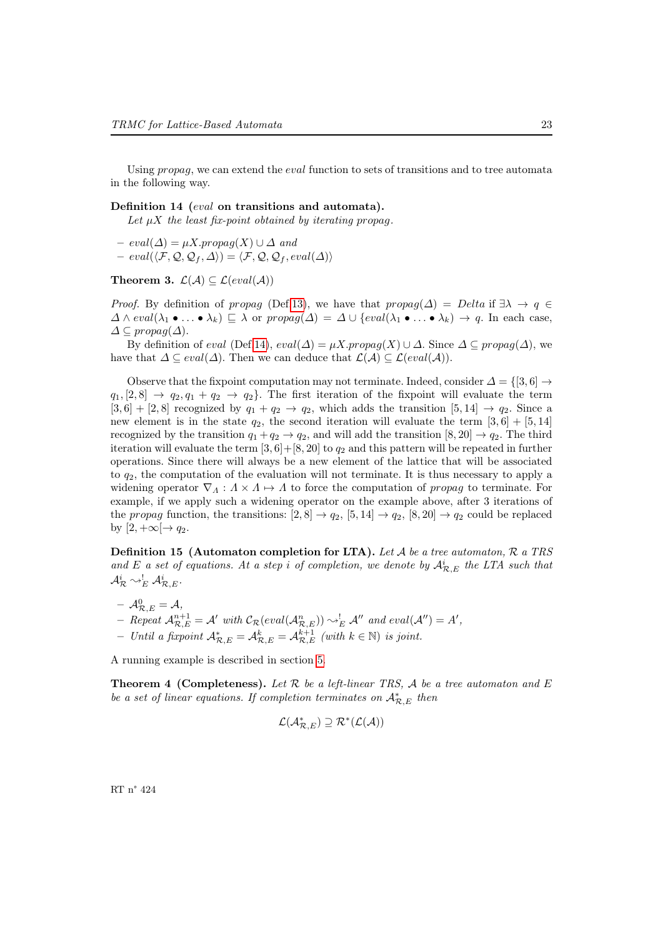Using *propag*, we can extend the *eval* function to sets of transitions and to tree automata in the following way.

### <span id="page-25-0"></span>Definition 14 (eval on transitions and automata).

Let  $\mu X$  the least fix-point obtained by iterating propag.

 $– eval(\Delta) = \mu X.$ propag $(X) \cup \Delta$  and

 $- \operatorname{eval}(\langle \mathcal{F}, \mathcal{Q}, \mathcal{Q}_f, \Delta \rangle) = \langle \mathcal{F}, \mathcal{Q}, \mathcal{Q}_f, \operatorname{eval}(\Delta) \rangle$ 

### Theorem 3.  $\mathcal{L}(\mathcal{A}) \subseteq \mathcal{L}(eval(\mathcal{A}))$

*Proof.* By definition of propag (Def[.13\)](#page-24-0), we have that  $propag(\Delta) = Delta$  if  $\exists \lambda \to q \in$  $\Delta \wedge eval(\lambda_1 \bullet \ldots \bullet \lambda_k) \sqsubseteq \lambda$  or  $propag(\Delta) = \Delta \cup \{eval(\lambda_1 \bullet \ldots \bullet \lambda_k) \to q.$  In each case,  $\Delta \subseteq propag(\Delta)$ .

By definition of eval (Def[.14\)](#page-25-0),  $eval(\Delta) = \mu X$ .propag(X) ∪  $\Delta$ . Since  $\Delta \subseteq$  propag( $\Delta$ ), we have that  $\Delta \subseteq eval(\Delta)$ . Then we can deduce that  $\mathcal{L}(\mathcal{A}) \subseteq \mathcal{L}(eval(\mathcal{A}))$ .

Observe that the fixpoint computation may not terminate. Indeed, consider  $\Delta = \{[3, 6] \rightarrow$  $q_1$ ,  $[2, 8] \rightarrow q_2, q_1 + q_2 \rightarrow q_2$ . The first iteration of the fixpoint will evaluate the term  $[3,6] + [2,8]$  recognized by  $q_1 + q_2 \rightarrow q_2$ , which adds the transition  $[5,14] \rightarrow q_2$ . Since a new element is in the state  $q_2$ , the second iteration will evaluate the term [3, 6] + [5, 14] recognized by the transition  $q_1 + q_2 \rightarrow q_2$ , and will add the transition  $[8, 20] \rightarrow q_2$ . The third iteration will evaluate the term  $[3, 6] + [8, 20]$  to  $q_2$  and this pattern will be repeated in further operations. Since there will always be a new element of the lattice that will be associated to  $q_2$ , the computation of the evaluation will not terminate. It is thus necessary to apply a widening operator  $\nabla_A : A \times A \mapsto A$  to force the computation of propag to terminate. For example, if we apply such a widening operator on the example above, after 3 iterations of the propag function, the transitions:  $[2, 8] \rightarrow q_2$ ,  $[5, 14] \rightarrow q_2$ ,  $[8, 20] \rightarrow q_2$  could be replaced by  $[2, +\infty] \rightarrow q_2$ .

**Definition 15 (Automaton completion for LTA).** Let  $A$  be a tree automaton,  $R$  a TRS and E a set of equations. At a step i of completion, we denote by  $\mathcal{A}_{\mathcal{R},E}^i$  the LTA such that  $\mathcal{A}^i_\mathcal{R}\leadsto^!_E\mathcal{A}^i_{\mathcal{R},E}.$ 

 $\;-\; {\cal A}_{{\cal R},E}^0={\cal A},$ - Repeat  $\mathcal{A}_{\mathcal{R},E}^{n+1} = \mathcal{A}'$  with  $\mathcal{C}_{\mathcal{R}}(eval(\mathcal{A}_{\mathcal{R},E}^n)) \sim_E^! \mathcal{A}''$  and  $eval(\mathcal{A}'') = A'$ ,  $-$  Until a fixpoint  $\mathcal{A}_{\mathcal{R},E}^* = \mathcal{A}_{\mathcal{R},E}^{k} = \mathcal{A}_{\mathcal{R},E}^{k+1}$  (with  $k \in \mathbb{N}$ ) is joint.

A running example is described in section [5.](#page-27-0)

**Theorem 4 (Completeness).** Let  $\mathcal{R}$  be a left-linear TRS,  $\mathcal{A}$  be a tree automaton and  $E$ be a set of linear equations. If completion terminates on  $\mathcal{A}_{\mathcal{R},E}^*$  then

$$
\mathcal{L}(\mathcal{A}_{\mathcal{R},E}^*)\supseteq\mathcal{R}^*(\mathcal{L}(\mathcal{A}))
$$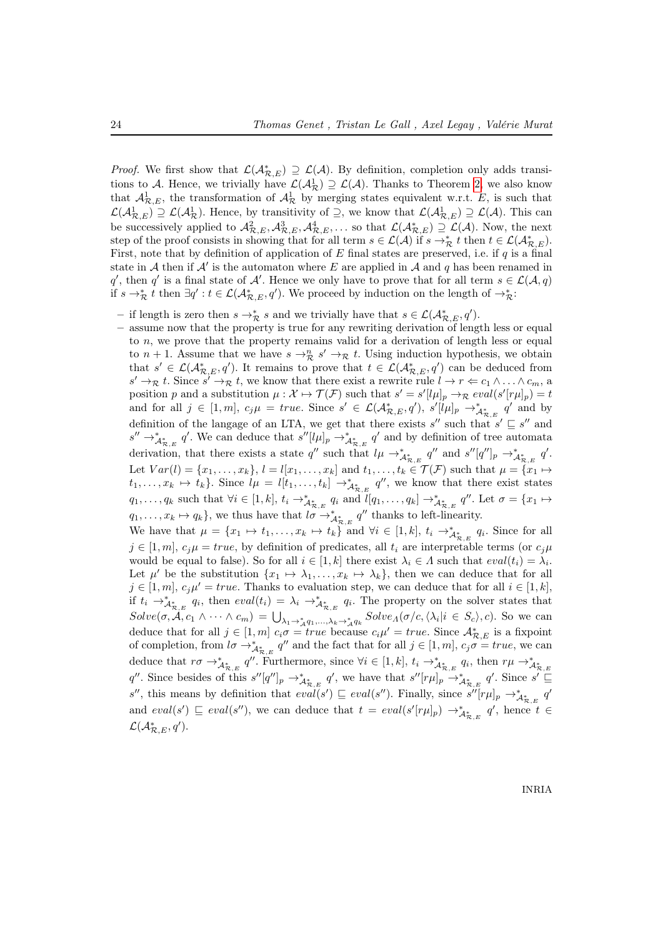*Proof.* We first show that  $\mathcal{L}(\mathcal{A}_{\mathcal{R},E}^*) \supseteq \mathcal{L}(\mathcal{A})$ . By definition, completion only adds transitions to A. Hence, we trivially have  $\mathcal{L}(\mathcal{A}_{\mathcal{R}}) \supseteq \mathcal{L}(\mathcal{A})$ . Thanks to Theorem [2,](#page-24-1) we also know that  $\mathcal{A}_{\mathcal{R},E}^1$ , the transformation of  $\mathcal{A}_{\mathcal{R}}^1$  by merging states equivalent w.r.t. E, is such that  $\mathcal{L}(\mathcal{A}_{\mathcal{R},E}^1) \supseteq \mathcal{L}(\mathcal{A}_{\mathcal{R}}^1)$ . Hence, by transitivity of  $\supseteq$ , we know that  $\mathcal{L}(\mathcal{A}_{\mathcal{R},E}^1) \supseteq \mathcal{L}(\mathcal{A})$ . This can be successively applied to  $\mathcal{A}_{\mathcal{R},E}^2, \mathcal{A}_{\mathcal{R},E}^3, \mathcal{A}_{\mathcal{R},E}^4, \ldots$  so that  $\mathcal{L}(\mathcal{A}_{\mathcal{R},E}^*) \supseteq \mathcal{L}(\mathcal{A})$ . Now, the next step of the proof consists in showing that for all term  $s \in \mathcal{L}(\mathcal{A})$  if  $s \to^*_{\mathcal{R}} t$  then  $t \in \mathcal{L}(\mathcal{A}_{\mathcal{R},E}^*)$ . First, note that by definition of application of E final states are preserved, i.e. if  $q$  is a final state in A then if A' is the automaton where E are applied in A and q has been renamed in q', then q' is a final state of  $\mathcal{A}'$ . Hence we only have to prove that for all term  $s \in \mathcal{L}(\mathcal{A}, q)$ if  $s \to_{\mathcal{R}}^* t$  then  $\exists q' : t \in \mathcal{L}(\mathcal{A}_{\mathcal{R},E}^*, q')$ . We proceed by induction on the length of  $\to_{\mathcal{R}}^*$ :

- − if length is zero then  $s \to^*_{\mathcal{R}} s$  and we trivially have that  $s \in \mathcal{L}(\mathcal{A}_{\mathcal{R},E}^*, q')$ .
- assume now that the property is true for any rewriting derivation of length less or equal to n, we prove that the property remains valid for a derivation of length less or equal to  $n+1$ . Assume that we have  $s \to_{\mathcal{R}}^n s' \to_{\mathcal{R}} t$ . Using induction hypothesis, we obtain that  $s' \in \mathcal{L}(\mathcal{A}_{\mathcal{R},E}^*, q')$ . It remains to prove that  $t \in \mathcal{L}(\mathcal{A}_{\mathcal{R},E}^*, q')$  can be deduced from  $s' \to_{\mathcal{R}} t$ . Since  $s' \to_{\mathcal{R}} t$ , we know that there exist a rewrite rule  $l \to r \Leftarrow c_1 \wedge \ldots \wedge c_m$ , a position p and a substitution  $\mu : \mathcal{X} \mapsto \mathcal{T}(\mathcal{F})$  such that  $s' = s'[l\mu]_p \to_{\mathcal{R}} eval(s'[r\mu]_p) = t$ and for all  $j \in [1,m]$ ,  $c_j \mu = true$ . Since  $s' \in \mathcal{L}(\mathcal{A}_{\mathcal{R},E}^*, q')$ ,  $s'[l\mu]_p \to_{\mathcal{A}_{\mathcal{R},E}^*}^* q'$  and by definition of the langage of an LTA, we get that there exists  $s''$  such that  $s' \subseteq s''$  and  $s'' \to^*_{A^*_{\mathcal{R},E}} q'$ . We can deduce that  $s''[l\mu]_p \to^*_{A^*_{\mathcal{R},E}} q'$  and by definition of tree automata derivation, that there exists a state q'' such that  $l\mu \rightarrow^*_{\mathcal{A}^*_{\mathcal{R},E}} q''$  and  $s''[q'']_p \rightarrow^*_{\mathcal{A}^*_{\mathcal{R},E}} q'$ . Let  $Var(l) = \{x_1, \ldots, x_k\}, l = l[x_1, \ldots, x_k]$  and  $t_1, \ldots, t_k \in \mathcal{T}(\mathcal{F})$  such that  $\mu = \{x_1 \mapsto$  $t_1, \ldots, x_k \mapsto t_k$ . Since  $l\mu = l[t_1, \ldots, t_k] \rightarrow^*_{\mathcal{A}_{\mathcal{R},E}^*} q''$ , we know that there exist states  $q_1, \ldots, q_k$  such that  $\forall i \in [1, k], t_i \rightarrow^*_{\mathcal{A}_{\mathcal{R}, E}^*} q_i$  and  $l[q_1, \ldots, q_k] \rightarrow^*_{\mathcal{A}_{\mathcal{R}, E}^*} q''$ . Let  $\sigma = \{x_1 \mapsto x_i\}$  $q_1, \ldots, x_k \mapsto q_k$ , we thus have that  $l\sigma \to^*_{\mathcal{A}_{\mathcal{R},E}^*} q''$  thanks to left-linearity.

We have that  $\mu = \{x_1 \mapsto t_1, \ldots, x_k \mapsto t_k\}$  and  $\forall i \in [1, k], t_i \to^*_{\mathcal{A}_{\mathcal{R}, E}^*} q_i$ . Since for all  $j \in [1, m]$ ,  $c_i \mu = true$ , by definition of predicates, all  $t_i$  are interpretable terms (or  $c_i \mu$ would be equal to false). So for all  $i \in [1, k]$  there exist  $\lambda_i \in \Lambda$  such that  $eval(t_i) = \lambda_i$ . Let  $\mu'$  be the substitution  $\{x_1 \mapsto \lambda_1, \ldots, x_k \mapsto \lambda_k\}$ , then we can deduce that for all  $j \in [1, m], c_j \mu' = true.$  Thanks to evaluation step, we can deduce that for all  $i \in [1, k]$ , if  $t_i \to^*_{\mathcal{A}_{\mathcal{R},E}^*} q_i$ , then  $eval(t_i) = \lambda_i \to^*_{\mathcal{A}_{\mathcal{R},E}^*} q_i$ . The property on the solver states that  $Solve(\sigma, \mathcal{A}, c_1 \wedge \cdots \wedge c_m) = \bigcup_{\lambda_1 \to_{\mathcal{A}}^* q_1, ..., \lambda_k \to_{\mathcal{A}}^* q_k} Solve_A(\sigma/c, \langle \lambda_i | i \in S_c \rangle, c)$ . So we can deduce that for all  $j \in [1, m]$   $c_i \sigma = true$  because  $c_i \mu' = true$ . Since  $\mathcal{A}_{\mathcal{R},E}^*$  is a fixpoint of completion, from  $l\sigma \to^*_{A^*_{\mathcal{R},E}} q''$  and the fact that for all  $j \in [1,m]$ ,  $c_j\sigma = true$ , we can deduce that  $r\sigma \to^*_{\mathcal{A}_{\mathcal{R},E}^*} q''$ . Furthermore, since  $\forall i \in [1,k], t_i \to^*_{\mathcal{A}_{\mathcal{R},E}^*} q_i$ , then  $r\mu \to^*_{\mathcal{A}_{\mathcal{R},E}^*}$ q''. Since besides of this  $s''[q'']_p \to_{A_{\mathcal{R},E}}^* q'$ , we have that  $s''[r\mu]_p \to_{A_{\mathcal{R},E}}^* q'$ . Since  $s' \sqsubseteq$ s'', this means by definition that  $eval(s') \sqsubseteq eval(s'')$ . Finally, since  $s''[r\mu]_p \to_{\mathcal{A}_{\mathcal{R},E}^*}^* q'$ and  $eval(s') \sqsubseteq eval(s'')$ , we can deduce that  $t = eval(s'[r\mu]_p) \rightarrow^*_{\mathcal{A}_{\mathcal{R},E}^*} q'$ , hence  $t \in$  $\mathcal{L}(\mathcal{A}_{\mathcal{R},E}^*, q').$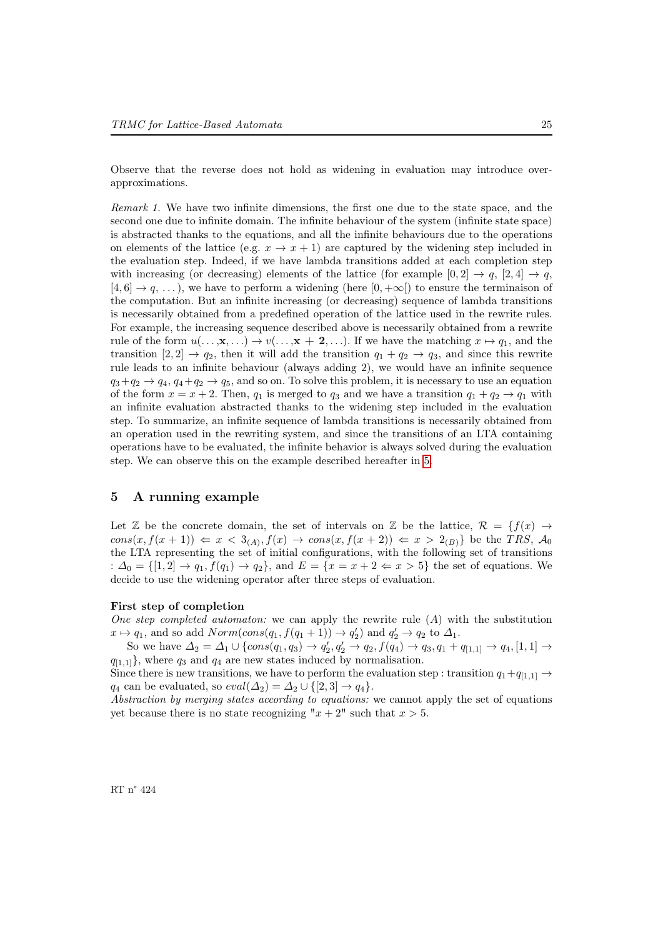Observe that the reverse does not hold as widening in evaluation may introduce overapproximations.

Remark 1. We have two infinite dimensions, the first one due to the state space, and the second one due to infinite domain. The infinite behaviour of the system (infinite state space) is abstracted thanks to the equations, and all the infinite behaviours due to the operations on elements of the lattice (e.g.  $x \to x + 1$ ) are captured by the widening step included in the evaluation step. Indeed, if we have lambda transitions added at each completion step with increasing (or decreasing) elements of the lattice (for example  $[0,2] \rightarrow q$ ,  $[2,4] \rightarrow q$ ,  $[4, 6] \rightarrow q, \ldots$ , we have to perform a widening (here  $[0, +\infty)$ ) to ensure the terminaison of the computation. But an infinite increasing (or decreasing) sequence of lambda transitions is necessarily obtained from a predefined operation of the lattice used in the rewrite rules. For example, the increasing sequence described above is necessarily obtained from a rewrite rule of the form  $u(\ldots, x, \ldots) \to v(\ldots, x + 2, \ldots)$ . If we have the matching  $x \mapsto q_1$ , and the transition  $[2, 2] \rightarrow q_2$ , then it will add the transition  $q_1 + q_2 \rightarrow q_3$ , and since this rewrite rule leads to an infinite behaviour (always adding 2), we would have an infinite sequence  $q_3+q_2 \rightarrow q_4, q_4+q_2 \rightarrow q_5$ , and so on. To solve this problem, it is necessary to use an equation of the form  $x = x + 2$ . Then,  $q_1$  is merged to  $q_3$  and we have a transition  $q_1 + q_2 \rightarrow q_1$  with an infinite evaluation abstracted thanks to the widening step included in the evaluation step. To summarize, an infinite sequence of lambda transitions is necessarily obtained from an operation used in the rewriting system, and since the transitions of an LTA containing operations have to be evaluated, the infinite behavior is always solved during the evaluation step. We can observe this on the example described hereafter in [5.](#page-27-0)

### <span id="page-27-0"></span>5 A running example

Let Z be the concrete domain, the set of intervals on Z be the lattice,  $\mathcal{R} = \{f(x) \rightarrow$  $cons(x, f(x+1)) \Leftarrow x < 3_{(A)}, f(x) \rightarrow cons(x, f(x+2)) \Leftarrow x > 2_{(B)}$  be the TRS,  $\mathcal{A}_0$ the LTA representing the set of initial configurations, with the following set of transitions :  $\Delta_0 = \{[1,2] \rightarrow q_1, f(q_1) \rightarrow q_2\}$ , and  $E = \{x = x + 2 \Leftarrow x > 5\}$  the set of equations. We decide to use the widening operator after three steps of evaluation.

### First step of completion

One step completed automaton: we can apply the rewrite rule  $(A)$  with the substitution  $x \mapsto q_1$ , and so add  $Norm(cons(q_1, f(q_1 + 1)) \to q'_2)$  and  $q'_2 \to q_2$  to  $\Delta_1$ .

So we have  $\Delta_2 = \Delta_1 \cup \{cons(q_1, q_3) \rightarrow q'_2, q'_2 \rightarrow q_2, f(q_4) \rightarrow q_3, q_1 + q_{[1,1]} \rightarrow q_4, [1,1] \rightarrow$  $q_{[1,1]}$ , where  $q_3$  and  $q_4$  are new states induced by normalisation.

Since there is new transitions, we have to perform the evaluation step : transition  $q_1+q_{[1,1]} \rightarrow$  $q_4$  can be evaluated, so  $eval(\Delta_2) = \Delta_2 \cup \{[2,3] \rightarrow q_4\}.$ 

Abstraction by merging states according to equations: we cannot apply the set of equations yet because there is no state recognizing " $x + 2$ " such that  $x > 5$ .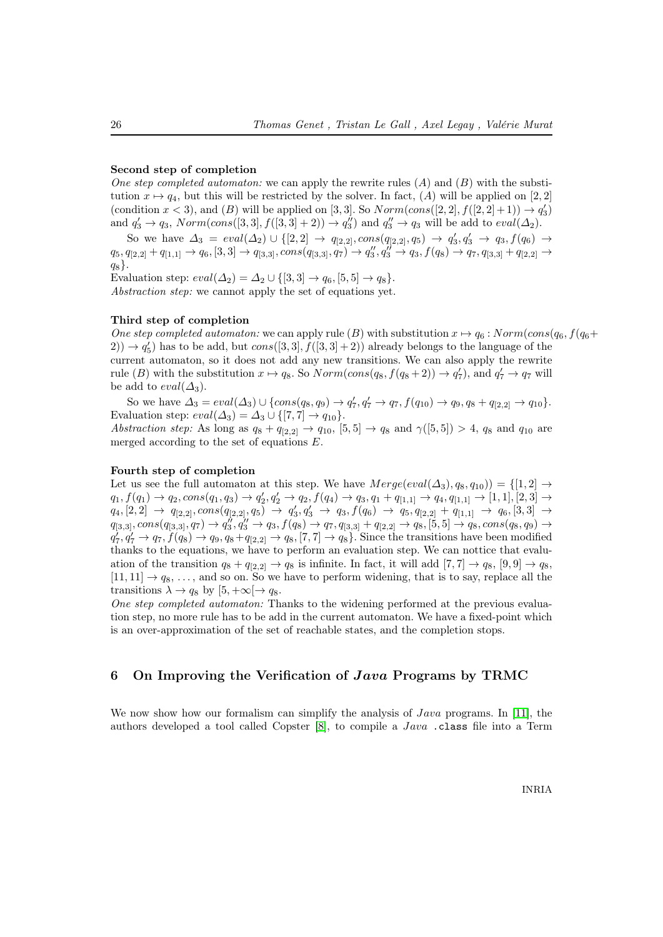### Second step of completion

One step completed automaton: we can apply the rewrite rules  $(A)$  and  $(B)$  with the substitution  $x \mapsto q_4$ , but this will be restricted by the solver. In fact,  $(A)$  will be applied on [2, 2] (condition  $x < 3$ ), and (B) will be applied on [3, 3]. So  $Norm(cons([2, 2], f([2, 2]+1)) \rightarrow q'_3)$ and  $q'_3 \rightarrow q_3$ ,  $Norm(cons([3,3], f([3,3]+2)) \rightarrow q''_3)$  and  $q''_3 \rightarrow q_3$  will be add to  $eval(\Delta_2)$ .

So we have  $\Delta_3 = eval(\Delta_2) \cup \{[2,2] \rightarrow q_{[2,2]}, cons(q_{[2,2]}, q_5) \rightarrow q'_3, q'_3 \rightarrow q_3, f(q_6) \rightarrow$  $q_5, q_{[2,2]} + q_{[1,1]} \rightarrow q_6, [3,3] \rightarrow q_{[3,3]}, cons(q_{[3,3]}, q_7) \rightarrow q''_3, q''_3 \rightarrow q_3, f(q_8) \rightarrow q_7, q_{[3,3]} + q_{[2,2]} \rightarrow$  $q_8$ .

Evaluation step:  $eval(\Delta_2) = \Delta_2 \cup \{[3,3] \rightarrow q_6, [5,5] \rightarrow q_8\}.$ Abstraction step: we cannot apply the set of equations yet.

### Third step of completion

One step completed automaton: we can apply rule  $(B)$  with substitution  $x \mapsto q_6$  : Norm(cons( $q_6$ ,  $f(q_6+$  $(2)$ )  $\rightarrow$   $q'_{5}$ ) has to be add, but  $cons([3,3], f([3,3]+2))$  already belongs to the language of the current automaton, so it does not add any new transitions. We can also apply the rewrite rule (B) with the substitution  $x \mapsto q_8$ . So  $Norm(cons(q_8, f(q_8 + 2)) \rightarrow q'_7)$ , and  $q'_7 \rightarrow q_7$  will be add to  $eval(\Delta_3)$ .

So we have  $\Delta_3 = eval(\Delta_3) \cup \{cons(q_8, q_9) \to q'_7, q'_7 \to q_7, f(q_{10}) \to q_9, q_8 + q_{[2,2]} \to q_{10}\}.$ Evaluation step:  $eval(\Delta_3) = \Delta_3 \cup \{[7,7] \rightarrow q_{10}\}.$ Abstraction step: As long as  $q_8 + q_{[2,2]} \rightarrow q_{10}$ ,  $[5,5] \rightarrow q_8$  and  $\gamma([5,5]) > 4$ ,  $q_8$  and  $q_{10}$  are merged according to the set of equations E.

### Fourth step of completion

Let us see the full automaton at this step. We have  $Merge(eval(\Delta_3), q_8, q_{10})) = \{[1, 2] \rightarrow$  $q_1, f(q_1) \rightarrow q_2, cons(q_1, q_3) \rightarrow q'_2, q'_2 \rightarrow q_2, f(q_4) \rightarrow q_3, q_1 + q_{[1,1]} \rightarrow q_4, q_{[1,1]} \rightarrow [1,1], [2,3] \rightarrow$  $q_4, [2,2] \rightarrow q_{[2,2]}, cons(q_{[2,2]}, q_5) \rightarrow q'_3, q'_3 \rightarrow q_3, f(q_6) \rightarrow q_5, q_{[2,2]} + q_{[1,1]} \rightarrow q_6, [3,3] \rightarrow$  $q_{[3,3]}, cons(q_{[3,3]}, q_{7}) \rightarrow q_{3}'', q_{3}'' \rightarrow q_{3}, f(q_{8}) \rightarrow q_{7}, q_{[3,3]} + q_{[2,2]} \rightarrow q_{8}, [5,5] \rightarrow q_{8}, cons(q_{8},q_{9}) \rightarrow$  $q_7', q_7' \rightarrow q_7, f(q_8) \rightarrow q_9, q_8+q_{[2,2]} \rightarrow q_8, [7,7] \rightarrow q_8$ . Since the transitions have been modified thanks to the equations, we have to perform an evaluation step. We can nottice that evaluation of the transition  $q_8 + q_{[2,2]} \rightarrow q_8$  is infinite. In fact, it will add  $[7,7] \rightarrow q_8$ ,  $[9,9] \rightarrow q_8$ ,  $[11, 11] \rightarrow q_8, \ldots$ , and so on. So we have to perform widening, that is to say, replace all the transitions  $\lambda \to q_8$  by  $[5, +\infty] \to q_8$ .

One step completed automaton: Thanks to the widening performed at the previous evaluation step, no more rule has to be add in the current automaton. We have a fixed-point which is an over-approximation of the set of reachable states, and the completion stops.

### 6 On Improving the Verification of Java Programs by TRMC

We now show how our formalism can simplify the analysis of  $Java$  programs. In [\[11\]](#page-37-6), the authors developed a tool called Copster [\[8\]](#page-37-21), to compile a Java .class file into a Term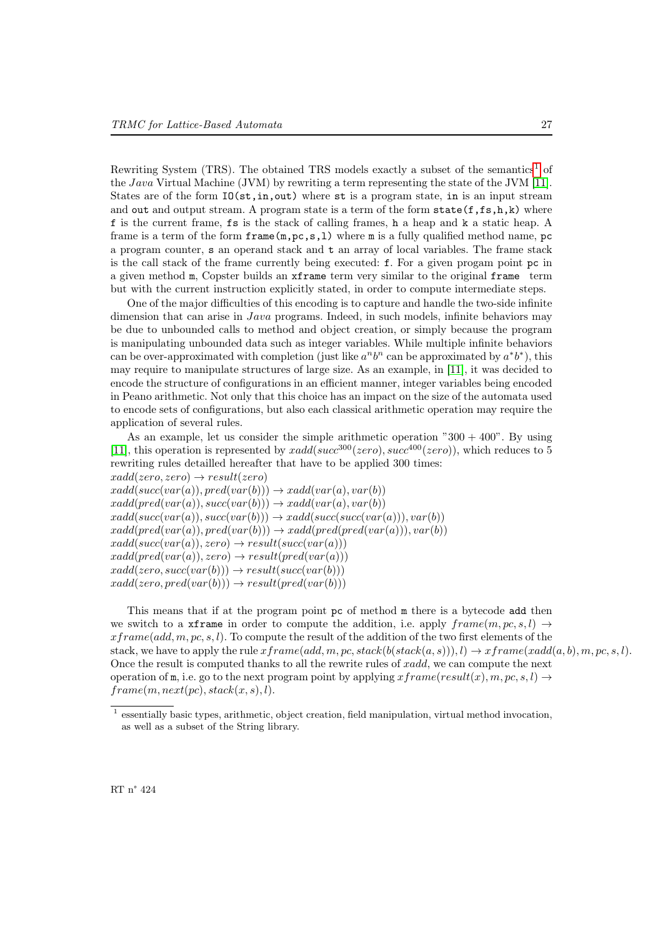Rewriting System (TRS). The obtained TRS models exactly a subset of the semantics<sup>[1](#page-29-0)</sup> of the Java Virtual Machine (JVM) by rewriting a term representing the state of the JVM [\[11\]](#page-37-6). States are of the form  $IO(st, in,out)$  where st is a program state, in is an input stream and out and output stream. A program state is a term of the form  $state(f,fs,h,k)$  where f is the current frame, fs is the stack of calling frames, h a heap and k a static heap. A frame is a term of the form  $frame(m,pc,s,1)$  where m is a fully qualified method name, pc a program counter, s an operand stack and t an array of local variables. The frame stack is the call stack of the frame currently being executed: f. For a given progam point pc in a given method m, Copster builds an xframe term very similar to the original frame term but with the current instruction explicitly stated, in order to compute intermediate steps.

One of the major difficulties of this encoding is to capture and handle the two-side infinite dimension that can arise in *Java* programs. Indeed, in such models, infinite behaviors may be due to unbounded calls to method and object creation, or simply because the program is manipulating unbounded data such as integer variables. While multiple infinite behaviors can be over-approximated with completion (just like  $a^n b^n$  can be approximated by  $a^* b^*$ ), this may require to manipulate structures of large size. As an example, in [\[11\]](#page-37-6), it was decided to encode the structure of configurations in an efficient manner, integer variables being encoded in Peano arithmetic. Not only that this choice has an impact on the size of the automata used to encode sets of configurations, but also each classical arithmetic operation may require the application of several rules.

As an example, let us consider the simple arithmetic operation  $"300 + 400"$ . By using [\[11\]](#page-37-6), this operation is represented by  $xadd(succ^{300}(zero), succ^{400}(zero))$ , which reduces to 5 rewriting rules detailled hereafter that have to be applied 300 times:

 $xadd(zero, zero) \rightarrow result(zero)$  $xadd(succ(var(a)), pred(var(b))) \rightarrow xadd(var(a), var(b))$  $xadd(pred(var(a)), succ(var(b))) \rightarrow xadd(var(a), var(b))$  $xadd(succ(var(a)), succ(var(b))) \rightarrow xadd(succ(succ(var(a))), var(b))$  $xadd(pred(var(a)), pred(var(b))) \rightarrow xadd(pred(pred(var(a))), var(b))$  $xadd(succ(var(a)), zero) \rightarrow result(succ(var(a)))$  $xadd(pred(var(a)), zero) \rightarrow result(pred(var(a)))$  $xadd(zero, succ(var(b))) \rightarrow result(succ(var(b)))$  $xadd(zero, pred(var(b))) \rightarrow result(pred(var(b)))$ 

This means that if at the program point pc of method m there is a bytecode add then we switch to a xframe in order to compute the addition, i.e. apply  $frame(m, pc, s, l) \rightarrow$  $x frame(add, m, pc, s, l)$ . To compute the result of the addition of the two first elements of the stack, we have to apply the rule  $xfname(add, m, pc, stack(b(state(a, s))), l) \rightarrow xfname(xadd(a, b), m, pc, s, l)$ . Once the result is computed thanks to all the rewrite rules of xadd, we can compute the next operation of m, i.e. go to the next program point by applying  $x frame(result(x), m, pc, s, l) \rightarrow$  $frame(m, next(pc), stack(x, s), l).$ 

<span id="page-29-0"></span><sup>&</sup>lt;sup>1</sup> essentially basic types, arithmetic, object creation, field manipulation, virtual method invocation, as well as a subset of the String library.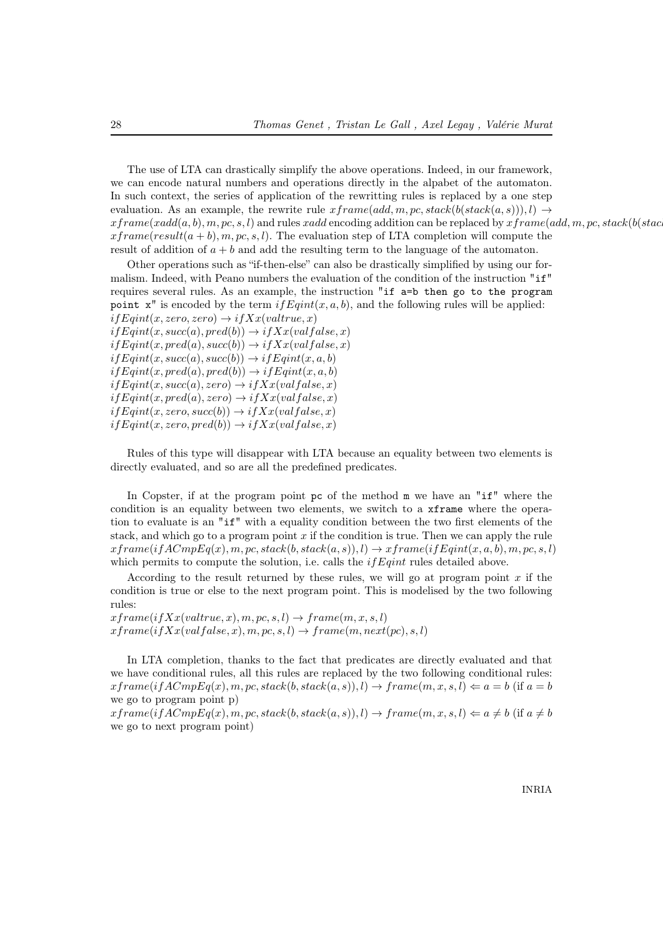The use of LTA can drastically simplify the above operations. Indeed, in our framework, we can encode natural numbers and operations directly in the alpabet of the automaton. In such context, the series of application of the rewritting rules is replaced by a one step evaluation. As an example, the rewrite rule  $x frame(add, m, pc, stack(bstack(a, s))), l) \rightarrow$  $xfname(xadd(a, b), m, pc, s, l)$  and rules xadd encoding addition can be replaced by  $xfname(add, m, pc, stack(b (stack$  $x frame(result(a + b), m, pc, s, l)$ . The evaluation step of LTA completion will compute the result of addition of  $a + b$  and add the resulting term to the language of the automaton.

Other operations such as "if-then-else" can also be drastically simplified by using our formalism. Indeed, with Peano numbers the evaluation of the condition of the instruction "if" requires several rules. As an example, the instruction "if a=b then go to the program point  $x''$  is encoded by the term  $if Eqint(x, a, b)$ , and the following rules will be applied:  $if$ Eqint(x, zero, zero)  $\rightarrow$  ifXx(valtrue, x)  $if$ Eqint $(x, succ(a), pred(b)) \rightarrow ifXx(valfalse, x)$  $if$ Eqint $(x, pred(a), succ(b)) \rightarrow ifXx(valfalse, x)$  $if$ Eqint $(x, succ(a), succ(b)) \rightarrow if$ Eqint $(x, a, b)$  $if$ Eqint $(x, pred(a), pred(b)) \rightarrow if$ Eqint $(x, a, b)$  $if$ Eqint $(x, succ(a), zero) \rightarrow ifXx(val false, x)$  $if$ Eqint $(x, pred(a), zero) \rightarrow if$  $Xx(val false, x)$  $if$ Eqint $(x, zero, succ(b)) \rightarrow ifXx(valfalse, x)$ 

 $if Eqint(x, zero, pred(b)) \rightarrow if Xx(val false, x)$ 

Rules of this type will disappear with LTA because an equality between two elements is directly evaluated, and so are all the predefined predicates.

In Copster, if at the program point pc of the method m we have an "if" where the condition is an equality between two elements, we switch to a xframe where the operation to evaluate is an "if" with a equality condition between the two first elements of the stack, and which go to a program point  $x$  if the condition is true. Then we can apply the rule  $xfname(ifACmpEq(x), m, pc, stack(b, stack(a, s)), l) \rightarrow xframel(fEqint(x, a, b), m, pc, s, l)$ which permits to compute the solution, i.e. calls the  $if$   $Eqint$  rules detailed above.

According to the result returned by these rules, we will go at program point  $x$  if the condition is true or else to the next program point. This is modelised by the two following rules:

 $xfname(ifxx(value,x), m, pc, s, l) \rightarrow frame(m, x, s, l)$  $xfname(ifXx(value, x), m, pc, s, l) \rightarrow frame(m, next(pc), s, l)$ 

In LTA completion, thanks to the fact that predicates are directly evaluated and that we have conditional rules, all this rules are replaced by the two following conditional rules:  $xfname(i fACmpEq(x), m, pc, stack(b, stack(a, s)), l) \rightarrow frame(m, x, s, l) \Leftarrow a = b$  (if  $a = b$ ) we go to program point p)

 $xfname(i fACmpEq(x), m, pc, stack(b, stack(a, s)), l) \rightarrow frame(m, x, s, l) \Leftarrow a \neq b$  (if  $a \neq b$ we go to next program point)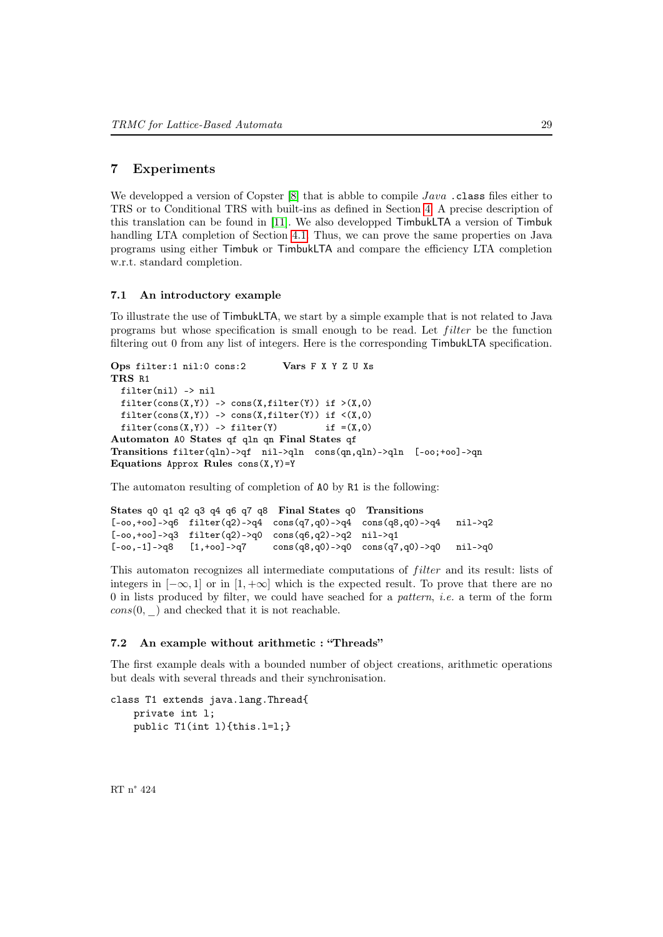### 7 Experiments

We developped a version of Copster  $[8]$  that is abble to compile Java. class files either to TRS or to Conditional TRS with built-ins as defined in Section [4.](#page-18-0) A precise description of this translation can be found in [\[11\]](#page-37-6). We also developped TimbukLTA a version of Timbuk handling LTA completion of Section [4.1.](#page-20-0) Thus, we can prove the same properties on Java programs using either Timbuk or TimbukLTA and compare the efficiency LTA completion w.r.t. standard completion.

### 7.1 An introductory example

To illustrate the use of TimbukLTA, we start by a simple example that is not related to Java programs but whose specification is small enough to be read. Let *filter* be the function filtering out 0 from any list of integers. Here is the corresponding TimbukLTA specification.

```
Ops filter:1 nil:0 cons:2 Vars F X Y Z U Xs
TRS R1
 filter(nil) -> nil
 filter(cons(X,Y)) -> cons(X,filter(Y)) if >(X,0)filter(cons(X,Y)) -> cons(X,filter(Y)) if \langle(X,0)
 filter(cons(X,Y)) -> filter(Y) if = (X, 0)Automaton A0 States qf qln qn Final States qf
Transitions filter(qln)->qf nil->qln cons(qn,qln)->qln [-oo;+oo]->qn
Equations Approx Rules cons(X, Y)=Y
```
The automaton resulting of completion of A0 by R1 is the following:

```
States q0 q1 q2 q3 q4 q6 q7 q8 Final States q0 Transitions
[-oo,+oo]->q6 filter(q2)->q4 cons(q7,q0)->q4 cons(q8,q0)->q4 nil->q2
[-oo,+oo]->q3 filter(q2)->q0 cons(q6,q2)->q2 nil->q1
[-\infty, -1]->q8 [1, +\infty]->q7 cons(q8,q0)->q0 cons(q7,q0)->q0 nil->q0
```
This automaton recognizes all intermediate computations of *filter* and its result: lists of integers in  $[-\infty, 1]$  or in  $[1, +\infty]$  which is the expected result. To prove that there are no  $0$  in lists produced by filter, we could have seached for a *pattern*, *i.e.* a term of the form  $cons(0, \quad)$  and checked that it is not reachable.

### 7.2 An example without arithmetic : "Threads"

The first example deals with a bounded number of object creations, arithmetic operations but deals with several threads and their synchronisation.

```
class T1 extends java.lang.Thread{
   private int l;
   public T1(int l){this.l=l;}
```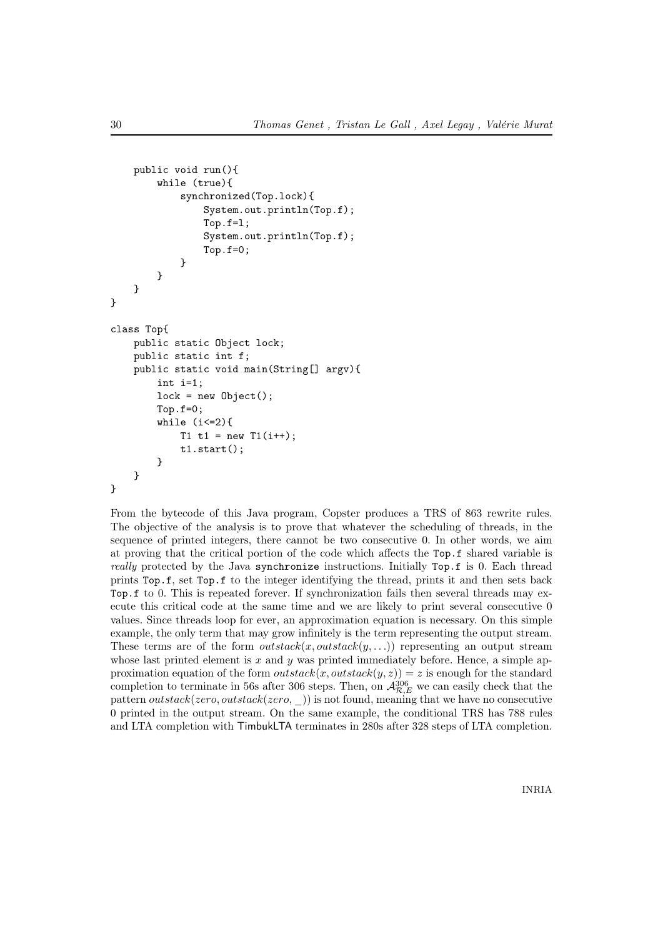```
public void run(){
        while (true){
            synchronized(Top.lock){
                System.out.println(Top.f);
                Top.f=l;
                System.out.println(Top.f);
                Top.f=0;
            }
        }
    }
}
class Top{
    public static Object lock;
    public static int f;
    public static void main(String[] argv){
        int i=1;
        lock = new Object();
        Top.f=0;
        while (i<=2){
            T1 t1 = new T1(i++);
            t1.start();
        }
    }
}
```
From the bytecode of this Java program, Copster produces a TRS of 863 rewrite rules. The objective of the analysis is to prove that whatever the scheduling of threads, in the sequence of printed integers, there cannot be two consecutive 0. In other words, we aim at proving that the critical portion of the code which affects the Top.f shared variable is really protected by the Java synchronize instructions. Initially Top.f is 0. Each thread prints Top.f, set Top.f to the integer identifying the thread, prints it and then sets back Top.f to 0. This is repeated forever. If synchronization fails then several threads may execute this critical code at the same time and we are likely to print several consecutive 0 values. Since threads loop for ever, an approximation equation is necessary. On this simple example, the only term that may grow infinitely is the term representing the output stream. These terms are of the form *outstack* $(x, outstack(y, \ldots))$  representing an output stream whose last printed element is  $x$  and  $y$  was printed immediately before. Hence, a simple approximation equation of the form  $outstack(x,outstack(y,z)) = z$  is enough for the standard completion to terminate in 56s after 306 steps. Then, on  $\mathcal{A}_{\mathcal{R},E}^{306}$  we can easily check that the pattern *outstack*(*zero*, *outstack*(*zero*, )) is not found, meaning that we have no consecutive 0 printed in the output stream. On the same example, the conditional TRS has 788 rules and LTA completion with TimbukLTA terminates in 280s after 328 steps of LTA completion.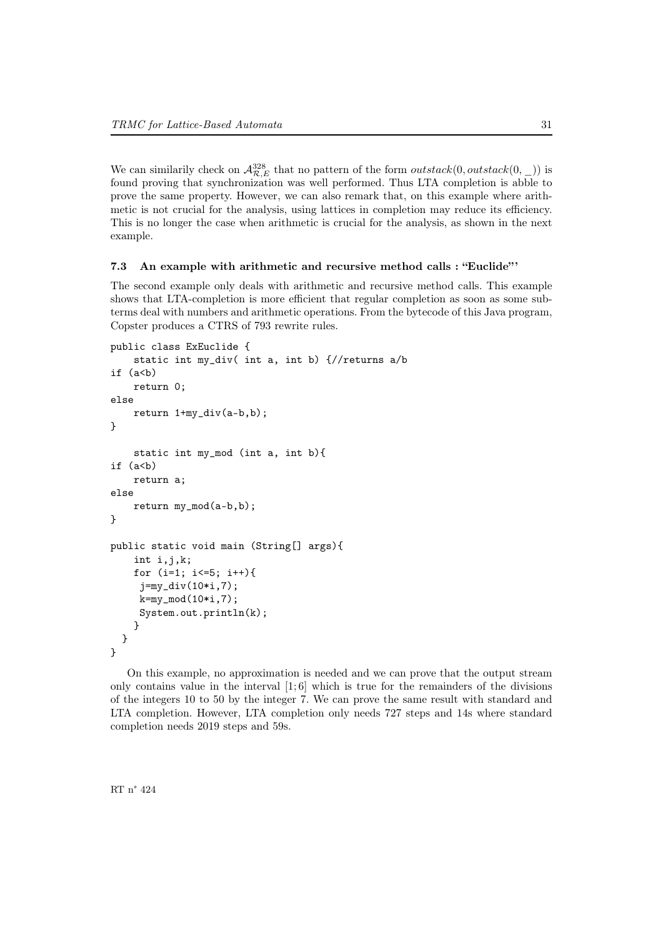We can similarily check on  $\mathcal{A}_{\mathcal{R},E}^{328}$  that no pattern of the form *outstack*(0, *outstack*(0, \_)) is found proving that synchronization was well performed. Thus LTA completion is abble to prove the same property. However, we can also remark that, on this example where arithmetic is not crucial for the analysis, using lattices in completion may reduce its efficiency. This is no longer the case when arithmetic is crucial for the analysis, as shown in the next example.

### 7.3 An example with arithmetic and recursive method calls : "Euclide"

The second example only deals with arithmetic and recursive method calls. This example shows that LTA-completion is more efficient that regular completion as soon as some subterms deal with numbers and arithmetic operations. From the bytecode of this Java program, Copster produces a CTRS of 793 rewrite rules.

```
public class ExEuclide {
    static int my_div( int a, int b) {//returns a/b
if (a < b)return 0;
else
    return 1+my_div(a-b,b);
}
    static int my_mod (int a, int b){
if (a < b)return a;
else
    return my_mod(a-b,b);
}
public static void main (String[] args){
    int i,j,k;
    for (i=1; i<=5; i++){
     j=my_div(10*i,7);
     k=my_model(10*i, 7);System.out.println(k);
    }
  }
}
```
On this example, no approximation is needed and we can prove that the output stream only contains value in the interval  $[1, 6]$  which is true for the remainders of the divisions of the integers 10 to 50 by the integer 7. We can prove the same result with standard and LTA completion. However, LTA completion only needs 727 steps and 14s where standard completion needs 2019 steps and 59s.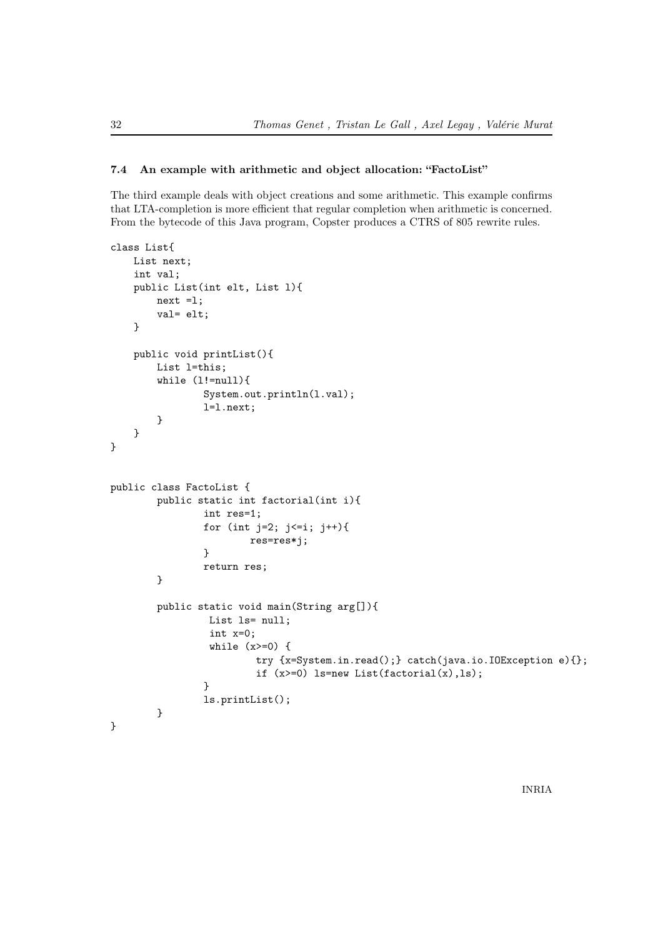### 7.4 An example with arithmetic and object allocation: "FactoList"

The third example deals with object creations and some arithmetic. This example confirms that LTA-completion is more efficient that regular completion when arithmetic is concerned. From the bytecode of this Java program, Copster produces a CTRS of 805 rewrite rules.

```
class List{
    List next;
    int val;
    public List(int elt, List l){
        next =l;
        val= elt;
    }
    public void printList(){
        List l=this;
        while (l!=\text{null}){
                System.out.println(l.val);
                 l=l.next;
        }
    }
}
public class FactoList {
        public static int factorial(int i){
                int res=1;
                for (int j=2; j \le i; j++){
                         res=res*j;
                 }
                return res;
        }
        public static void main(String arg[]){
                 List 1s= null;
                  int x=0;
                  while (x>=0) {
                          try {x=System.in.read();} catch(java.io.IOException e){};
                          if (x>=0) ls=new List(factorial(x), ls);
                 }
                 ls.printList();
        }
}
```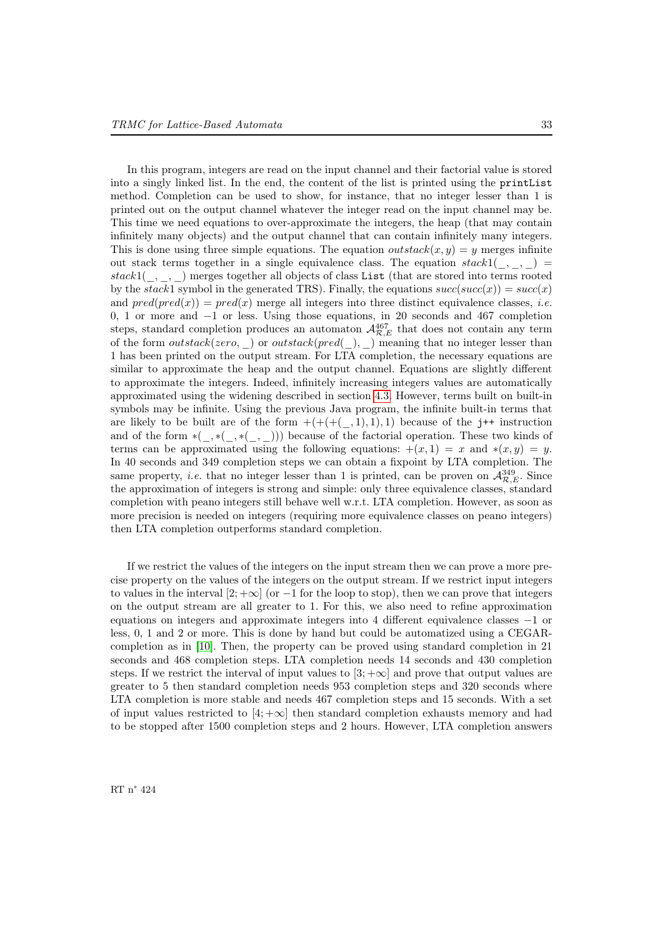In this program, integers are read on the input channel and their factorial value is stored into a singly linked list. In the end, the content of the list is printed using the printList method. Completion can be used to show, for instance, that no integer lesser than 1 is printed out on the output channel whatever the integer read on the input channel may be. This time we need equations to over-approximate the integers, the heap (that may contain infinitely many objects) and the output channel that can contain infinitely many integers. This is done using three simple equations. The equation *outstack*( $x, y$ ) = y merges infinite out stack terms together in a single equivalence class. The equation  $stack1(_,\_,\_)$ stack1 $($ ,  $)$  merges together all objects of class List (that are stored into terms rooted by the stack1 symbol in the generated TRS). Finally, the equations  $succ(succ(x)) = succ(x)$ and  $pred(pred(x)) = pred(x)$  merge all integers into three distinct equivalence classes, *i.e.* 0, 1 or more and −1 or less. Using those equations, in 20 seconds and 467 completion steps, standard completion produces an automaton  $\mathcal{A}_{\mathcal{R},E}^{467}$  that does not contain any term of the form  $outstack(zero, )$  or  $outstack(pred(.), )$  meaning that no integer lesser than 1 has been printed on the output stream. For LTA completion, the necessary equations are similar to approximate the heap and the output channel. Equations are slightly different to approximate the integers. Indeed, infinitely increasing integers values are automatically approximated using the widening described in section [4.3.](#page-24-2) However, terms built on built-in symbols may be infinite. Using the previous Java program, the infinite built-in terms that are likely to be built are of the form  $+ (+(+(-, 1), 1), 1)$  because of the j<sup>++</sup> instruction and of the form  $*(\ ,\ast(\ ,\ast(\ ,\ )))$  because of the factorial operation. These two kinds of terms can be approximated using the following equations:  $+(x, 1) = x$  and  $*(x, y) = y$ . In 40 seconds and 349 completion steps we can obtain a fixpoint by LTA completion. The same property, *i.e.* that no integer lesser than 1 is printed, can be proven on  $\mathcal{A}_{\mathcal{R},E}^{349}$ . Since the approximation of integers is strong and simple: only three equivalence classes, standard completion with peano integers still behave well w.r.t. LTA completion. However, as soon as more precision is needed on integers (requiring more equivalence classes on peano integers) then LTA completion outperforms standard completion.

If we restrict the values of the integers on the input stream then we can prove a more precise property on the values of the integers on the output stream. If we restrict input integers to values in the interval  $[2; +\infty]$  (or  $-1$  for the loop to stop), then we can prove that integers on the output stream are all greater to 1. For this, we also need to refine approximation equations on integers and approximate integers into 4 different equivalence classes −1 or less, 0, 1 and 2 or more. This is done by hand but could be automatized using a CEGARcompletion as in [\[10\]](#page-37-22). Then, the property can be proved using standard completion in 21 seconds and 468 completion steps. LTA completion needs 14 seconds and 430 completion steps. If we restrict the interval of input values to  $[3, +\infty]$  and prove that output values are greater to 5 then standard completion needs 953 completion steps and 320 seconds where LTA completion is more stable and needs 467 completion steps and 15 seconds. With a set of input values restricted to  $[4; +\infty]$  then standard completion exhausts memory and had to be stopped after 1500 completion steps and 2 hours. However, LTA completion answers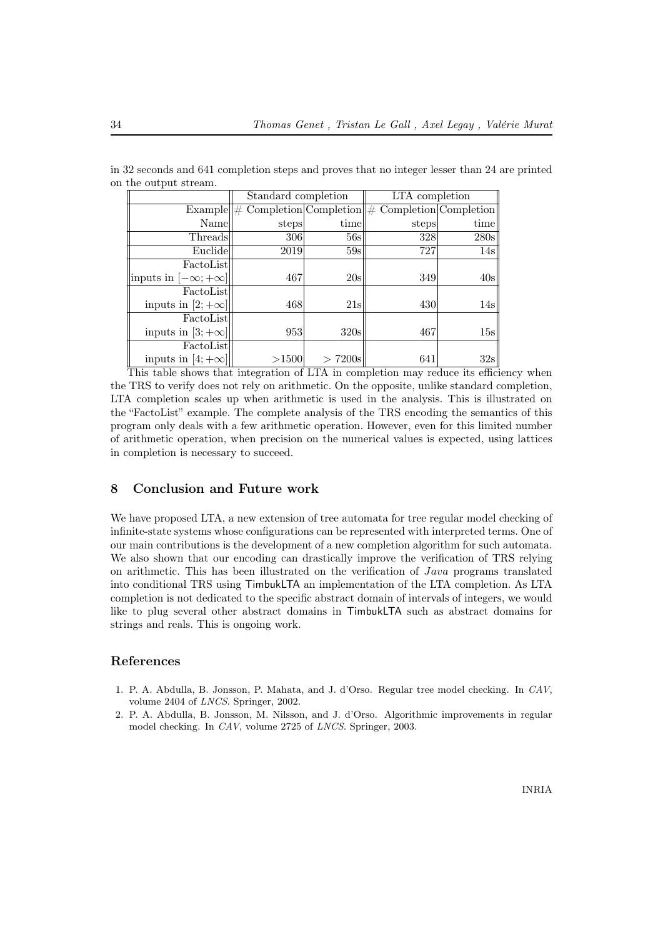| $\frac{1}{2}$                  |                     |            |                                                          |      |
|--------------------------------|---------------------|------------|----------------------------------------------------------|------|
|                                | Standard completion |            | LTA completion                                           |      |
| Example   H#                   |                     |            | $Completion   Completion   \# Completion   Completion  $ |      |
| Name                           | steps               | time       | steps                                                    | time |
| Threads                        | 306                 | 56s        | 328                                                      | 280s |
| Euclide                        | 2019                | 59s        | 727                                                      | 14s  |
| FactoList                      |                     |            |                                                          |      |
| inputs in $[-\infty; +\infty]$ | 467                 | 20s        | 349                                                      | 40s  |
| FactoList                      |                     |            |                                                          |      |
| inputs in [2; $+\infty$ ]      | 468                 | 21s        | 430                                                      | 14s  |
| FactoList                      |                     |            |                                                          |      |
| inputs in [3; $+\infty$ ]      | 953                 | 320s       | 467                                                      | 15s  |
| FactoList                      |                     |            |                                                          |      |
| inputs in [4; $+\infty$ ]      | >1500               | $> 7200$ s | 641                                                      | 32s  |

in 32 seconds and 641 completion steps and proves that no integer lesser than 24 are printed on the output stream.

This table shows that integration of LTA in completion may reduce its efficiency when the TRS to verify does not rely on arithmetic. On the opposite, unlike standard completion, LTA completion scales up when arithmetic is used in the analysis. This is illustrated on the "FactoList" example. The complete analysis of the TRS encoding the semantics of this program only deals with a few arithmetic operation. However, even for this limited number of arithmetic operation, when precision on the numerical values is expected, using lattices in completion is necessary to succeed.

### 8 Conclusion and Future work

We have proposed LTA, a new extension of tree automata for tree regular model checking of infinite-state systems whose configurations can be represented with interpreted terms. One of our main contributions is the development of a new completion algorithm for such automata. We also shown that our encoding can drastically improve the verification of TRS relying on arithmetic. This has been illustrated on the verification of Java programs translated into conditional TRS using TimbukLTA an implementation of the LTA completion. As LTA completion is not dedicated to the specific abstract domain of intervals of integers, we would like to plug several other abstract domains in TimbukLTA such as abstract domains for strings and reals. This is ongoing work.

### <span id="page-36-0"></span>References

- <span id="page-36-2"></span>1. P. A. Abdulla, B. Jonsson, P. Mahata, and J. d'Orso. Regular tree model checking. In CAV, volume 2404 of LNCS. Springer, 2002.
- <span id="page-36-1"></span>2. P. A. Abdulla, B. Jonsson, M. Nilsson, and J. d'Orso. Algorithmic improvements in regular model checking. In CAV, volume 2725 of LNCS. Springer, 2003.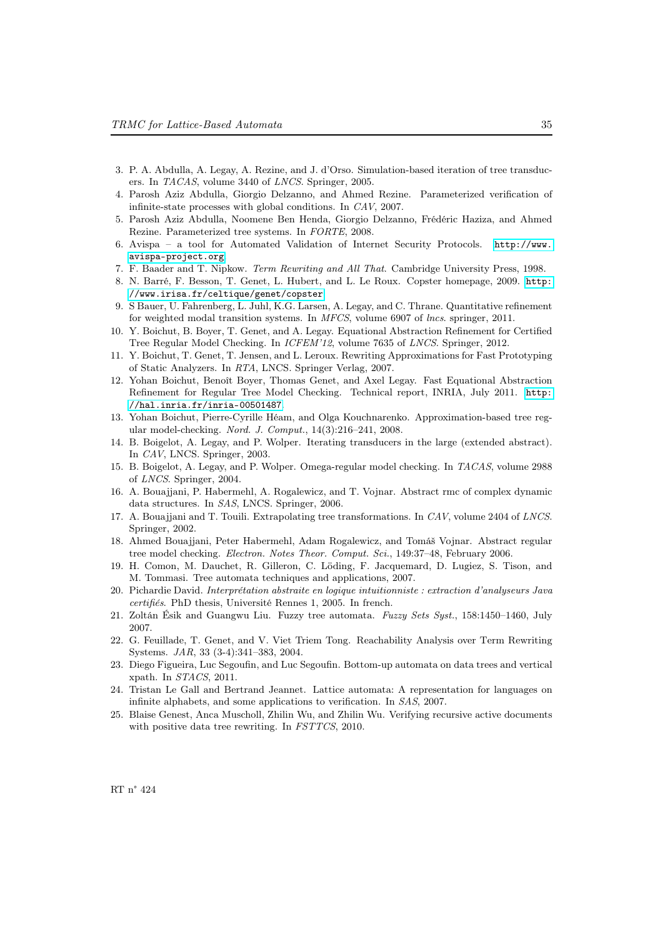- <span id="page-37-3"></span>3. P. A. Abdulla, A. Legay, A. Rezine, and J. d'Orso. Simulation-based iteration of tree transducers. In TACAS, volume 3440 of LNCS. Springer, 2005.
- <span id="page-37-8"></span>4. Parosh Aziz Abdulla, Giorgio Delzanno, and Ahmed Rezine. Parameterized verification of infinite-state processes with global conditions. In CAV, 2007.
- <span id="page-37-9"></span>5. Parosh Aziz Abdulla, Noomene Ben Henda, Giorgio Delzanno, Frédéric Haziza, and Ahmed Rezine. Parameterized tree systems. In FORTE, 2008.
- <span id="page-37-5"></span>6. Avispa – a tool for Automated Validation of Internet Security Protocols. [http://www.](http://www.avispa-project.org) [avispa-project.org](http://www.avispa-project.org).
- <span id="page-37-16"></span>7. F. Baader and T. Nipkow. Term Rewriting and All That. Cambridge University Press, 1998.
- <span id="page-37-21"></span>8. N. Barré, F. Besson, T. Genet, L. Hubert, and L. Le Roux. Copster homepage, 2009. [http:](http://www.irisa.fr/celtique/genet/copster) [//www.irisa.fr/celtique/genet/copster](http://www.irisa.fr/celtique/genet/copster).
- <span id="page-37-11"></span>9. S Bauer, U. Fahrenberg, L. Juhl, K.G. Larsen, A. Legay, and C. Thrane. Quantitative refinement for weighted modal transition systems. In MFCS, volume 6907 of lncs. springer, 2011.
- <span id="page-37-22"></span>10. Y. Boichut, B. Boyer, T. Genet, and A. Legay. Equational Abstraction Refinement for Certified Tree Regular Model Checking. In ICFEM'12, volume 7635 of LNCS. Springer, 2012.
- <span id="page-37-6"></span>11. Y. Boichut, T. Genet, T. Jensen, and L. Leroux. Rewriting Approximations for Fast Prototyping of Static Analyzers. In RTA, LNCS. Springer Verlag, 2007.
- <span id="page-37-19"></span>12. Yohan Boichut, Benoît Boyer, Thomas Genet, and Axel Legay. Fast Equational Abstraction Refinement for Regular Tree Model Checking. Technical report, INRIA, July 2011. [http:](http://hal.inria.fr/inria-00501487) [//hal.inria.fr/inria-00501487](http://hal.inria.fr/inria-00501487).
- <span id="page-37-18"></span>13. Yohan Boichut, Pierre-Cyrille Héam, and Olga Kouchnarenko. Approximation-based tree regular model-checking. Nord. J. Comput., 14(3):216–241, 2008.
- <span id="page-37-0"></span>14. B. Boigelot, A. Legay, and P. Wolper. Iterating transducers in the large (extended abstract). In CAV, LNCS. Springer, 2003.
- <span id="page-37-1"></span>15. B. Boigelot, A. Legay, and P. Wolper. Omega-regular model checking. In TACAS, volume 2988 of LNCS. Springer, 2004.
- <span id="page-37-4"></span>16. A. Bouajjani, P. Habermehl, A. Rogalewicz, and T. Vojnar. Abstract rmc of complex dynamic data structures. In SAS, LNCS. Springer, 2006.
- <span id="page-37-2"></span>17. A. Bouajjani and T. Touili. Extrapolating tree transformations. In CAV, volume 2404 of LNCS. Springer, 2002.
- <span id="page-37-10"></span>18. Ahmed Bouajjani, Peter Habermehl, Adam Rogalewicz, and Tomáš Vojnar. Abstract regular tree model checking. Electron. Notes Theor. Comput. Sci., 149:37–48, February 2006.
- <span id="page-37-15"></span>19. H. Comon, M. Dauchet, R. Gilleron, C. Löding, F. Jacquemard, D. Lugiez, S. Tison, and M. Tommasi. Tree automata techniques and applications, 2007.
- <span id="page-37-20"></span>20. Pichardie David. Interprétation abstraite en logique intuitionniste : extraction d'analyseurs Java certifiés. PhD thesis, Université Rennes 1, 2005. In french.
- <span id="page-37-14"></span>21. Zoltán Ésik and Guangwu Liu. Fuzzy tree automata. Fuzzy Sets Syst., 158:1450–1460, July 2007.
- <span id="page-37-17"></span>22. G. Feuillade, T. Genet, and V. Viet Triem Tong. Reachability Analysis over Term Rewriting Systems. JAR, 33 (3-4):341–383, 2004.
- <span id="page-37-12"></span>23. Diego Figueira, Luc Segoufin, and Luc Segoufin. Bottom-up automata on data trees and vertical xpath. In STACS, 2011.
- <span id="page-37-7"></span>24. Tristan Le Gall and Bertrand Jeannet. Lattice automata: A representation for languages on infinite alphabets, and some applications to verification. In SAS, 2007.
- <span id="page-37-13"></span>25. Blaise Genest, Anca Muscholl, Zhilin Wu, and Zhilin Wu. Verifying recursive active documents with positive data tree rewriting. In FSTTCS, 2010.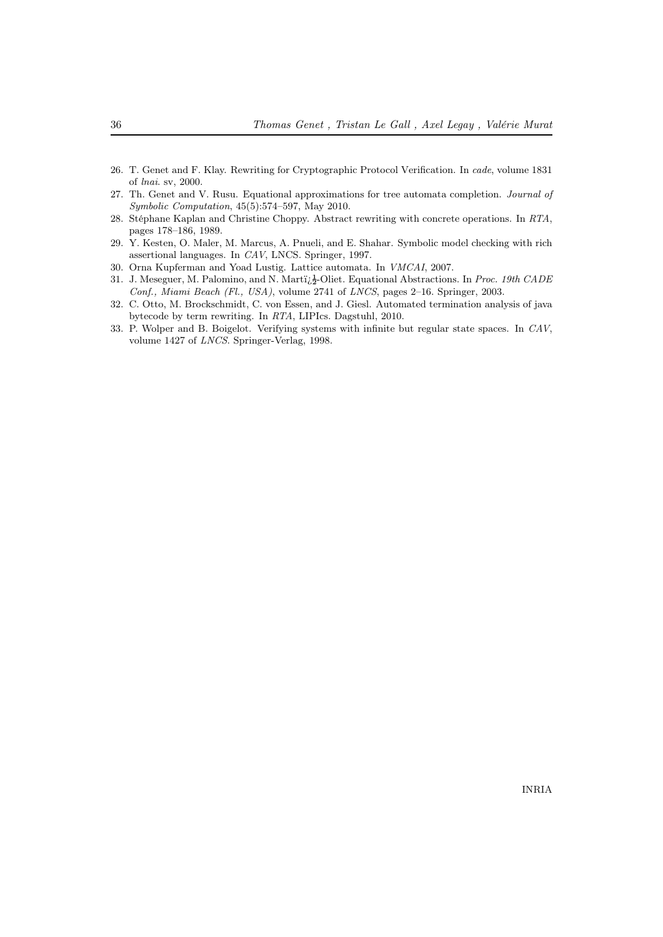- <span id="page-38-2"></span>26. T. Genet and F. Klay. Rewriting for Cryptographic Protocol Verification. In cade, volume 1831 of lnai. sv, 2000.
- <span id="page-38-3"></span>27. Th. Genet and V. Rusu. Equational approximations for tree automata completion. Journal of Symbolic Computation, 45(5):574–597, May 2010.
- <span id="page-38-4"></span>28. Stéphane Kaplan and Christine Choppy. Abstract rewriting with concrete operations. In RTA, pages 178–186, 1989.
- <span id="page-38-1"></span>29. Y. Kesten, O. Maler, M. Marcus, A. Pnueli, and E. Shahar. Symbolic model checking with rich assertional languages. In CAV, LNCS. Springer, 1997.
- <span id="page-38-5"></span>30. Orna Kupferman and Yoad Lustig. Lattice automata. In VMCAI, 2007.
- <span id="page-38-7"></span>31. J. Meseguer, M. Palomino, and N. Marti $\chi^1_2$ -Oliet. Equational Abstractions. In Proc. 19th CADE Conf., Miami Beach (Fl., USA), volume 2741 of LNCS, pages 2–16. Springer, 2003.
- <span id="page-38-6"></span>32. C. Otto, M. Brockschmidt, C. von Essen, and J. Giesl. Automated termination analysis of java bytecode by term rewriting. In RTA, LIPIcs. Dagstuhl, 2010.
- <span id="page-38-0"></span>33. P. Wolper and B. Boigelot. Verifying systems with infinite but regular state spaces. In CAV, volume 1427 of LNCS. Springer-Verlag, 1998.